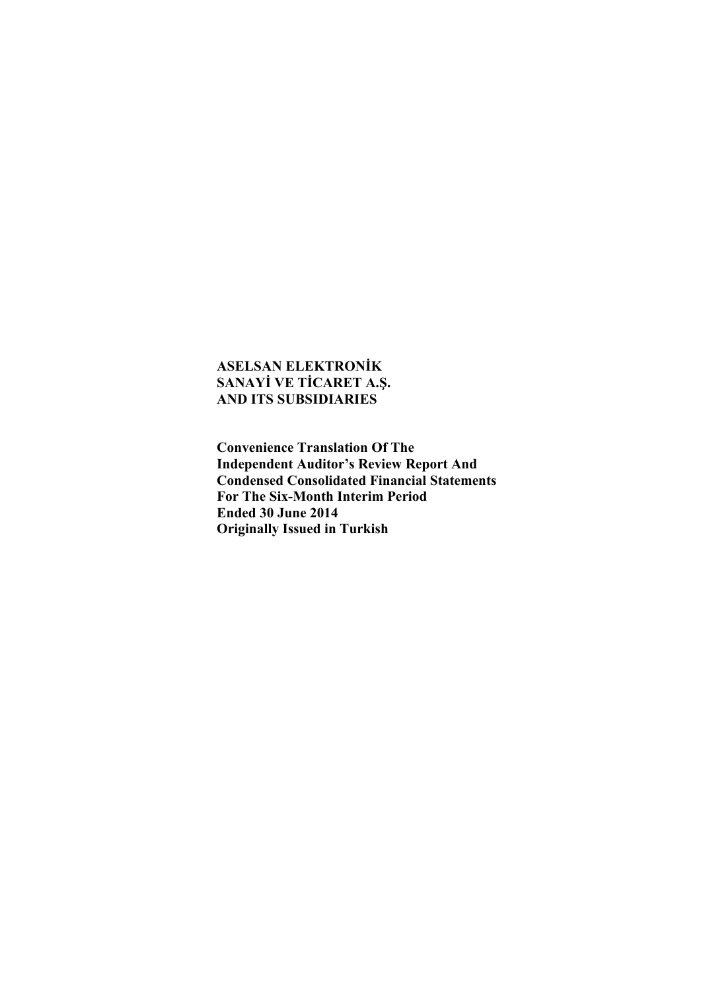**Convenience Translation Of The Independent Auditor's Review Report And Condensed Consolidated Financial Statements For The Six-Month Interim Period Ended 30 June 2014 Originally Issued in Turkish**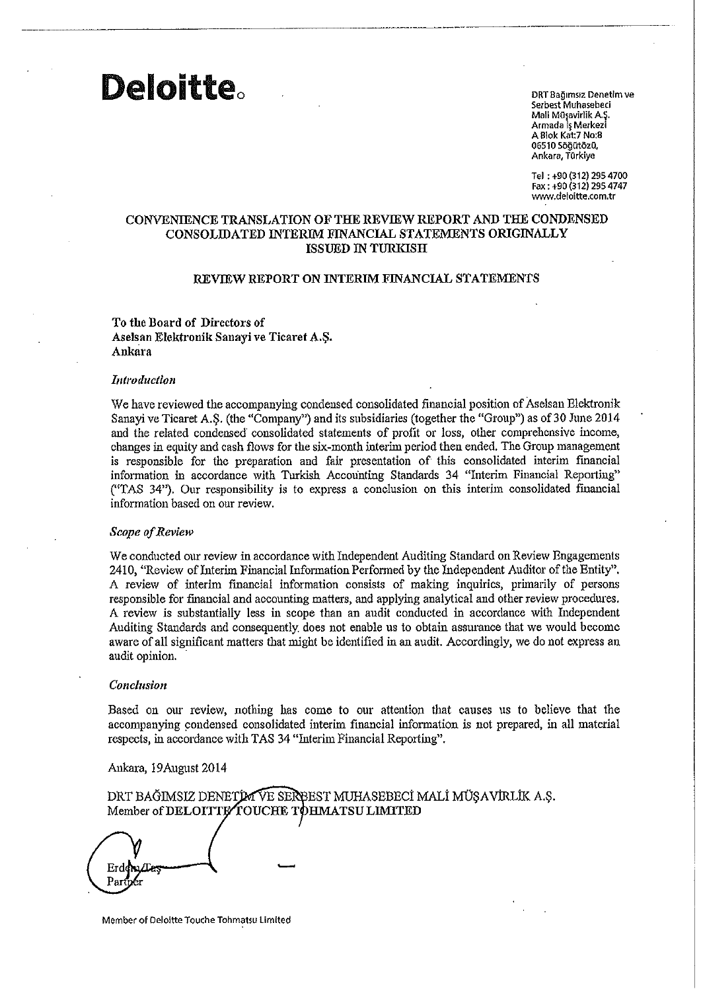DRT Bağımsız Denetim ve Serbest Muhasebeci Mali Müşavirlik A.Ş. Armada İş Merkezi A Blok Kat: 7 No: 8 06510 Söğütözü, Ankara, Türkiye

Tel: +90 (312) 295 4700 Fax: +90 (312) 295 4747 www.deloitte.com.tr

#### CONVENIENCE TRANSLATION OF THE REVIEW REPORT AND THE CONDENSED CONSOLIDATED INTERIM FINANCIAL STATEMENTS ORIGINALLY **ISSUED IN TURKISH**

#### REVIEW REPORT ON INTERIM FINANCIAL STATEMENTS

#### To the Board of Directors of Aselsan Elektronik Sanayi ve Ticaret A.S. Ankara

#### Introduction

**Deloitte** 

We have reviewed the accompanying condensed consolidated financial position of Aselsan Elektronik Sanayi ve Ticaret A.Ş. (the "Company") and its subsidiaries (together the "Group") as of 30 June 2014 and the related condensed consolidated statements of profit or loss, other comprehensive income, changes in equity and cash flows for the six-month interim period then ended. The Group management is responsible for the preparation and fair presentation of this consolidated interim financial information in accordance with Turkish Accounting Standards 34 "Interim Financial Reporting" ("TAS 34"). Our responsibility is to express a conclusion on this interim consolidated financial information based on our review.

#### Scope of Review

We conducted our review in accordance with Independent Auditing Standard on Review Engagements 2410, "Review of Interim Financial Information Performed by the Independent Auditor of the Entity". A review of interim financial information consists of making inquiries, primarily of persons responsible for financial and accounting matters, and applying analytical and other review procedures. A review is substantially less in scope than an audit conducted in accordance with Independent Auditing Standards and consequently does not enable us to obtain assurance that we would become aware of all significant matters that might be identified in an audit. Accordingly, we do not express an audit opinion.

#### Conclusion

Based on our review, nothing has come to our attention that causes us to believe that the accompanying condensed consolidated interim financial information is not prepared, in all material respects, in accordance with TAS 34 "Interim Financial Reporting".

#### Ankara, 19 August 2014

DRT BAĞIMSIZ DENETIM VE SERBEST MUHASEBECİ MALİ MÜŞAVIRLIK A.Ş. Member of DELOITTE TOUCHE TOHMATSU LIMITED

Erden Part

Member of Deloitte Touche Tohmatsu Limited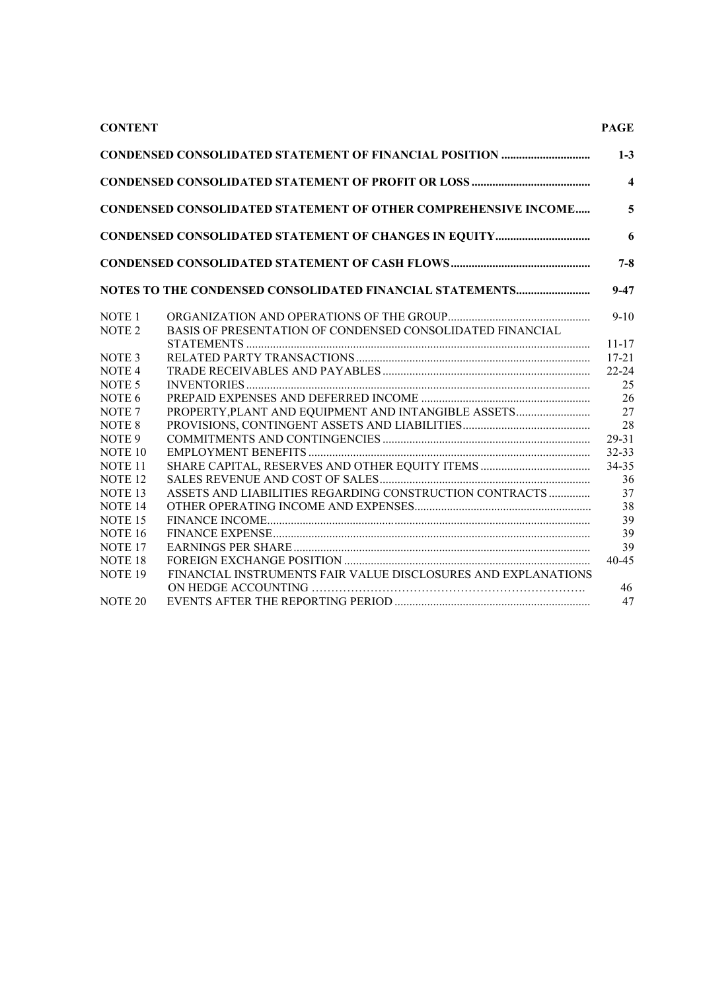#### **CONTENT PAGE**

|                    | <b>CONDENSED CONSOLIDATED STATEMENT OF OTHER COMPREHENSIVE INCOME</b> |                        |
|--------------------|-----------------------------------------------------------------------|------------------------|
|                    |                                                                       |                        |
|                    |                                                                       |                        |
|                    | NOTES TO THE CONDENSED CONSOLIDATED FINANCIAL STATEMENTS              |                        |
| NOTE <sub>1</sub>  |                                                                       |                        |
| NOTE <sub>2</sub>  | BASIS OF PRESENTATION OF CONDENSED CONSOLIDATED FINANCIAL             |                        |
|                    |                                                                       | $11 - 17$<br>$17 - 21$ |
| NOTE <sub>3</sub>  |                                                                       | $22 - 24$              |
| NOTE <sub>4</sub>  |                                                                       |                        |
| NOTE <sub>5</sub>  |                                                                       |                        |
| NOTE <sub>6</sub>  |                                                                       |                        |
| NOTE <sub>7</sub>  | PROPERTY, PLANT AND EQUIPMENT AND INTANGIBLE ASSETS                   |                        |
| <b>NOTE 8</b>      |                                                                       |                        |
| NOTE <sub>9</sub>  |                                                                       |                        |
| NOTE <sub>10</sub> |                                                                       |                        |
| NOTE <sub>11</sub> |                                                                       |                        |
| <b>NOTE 12</b>     |                                                                       |                        |
| NOTE <sub>13</sub> | ASSETS AND LIABILITIES REGARDING CONSTRUCTION CONTRACTS               |                        |
| <b>NOTE 14</b>     |                                                                       |                        |
| <b>NOTE 15</b>     |                                                                       |                        |
| <b>NOTE 16</b>     |                                                                       |                        |
| <b>NOTE 17</b>     |                                                                       |                        |
| <b>NOTE 18</b>     |                                                                       |                        |
| NOTE <sub>19</sub> | FINANCIAL INSTRUMENTS FAIR VALUE DISCLOSURES AND EXPLANATIONS         |                        |
|                    |                                                                       |                        |
| <b>NOTE 20</b>     |                                                                       |                        |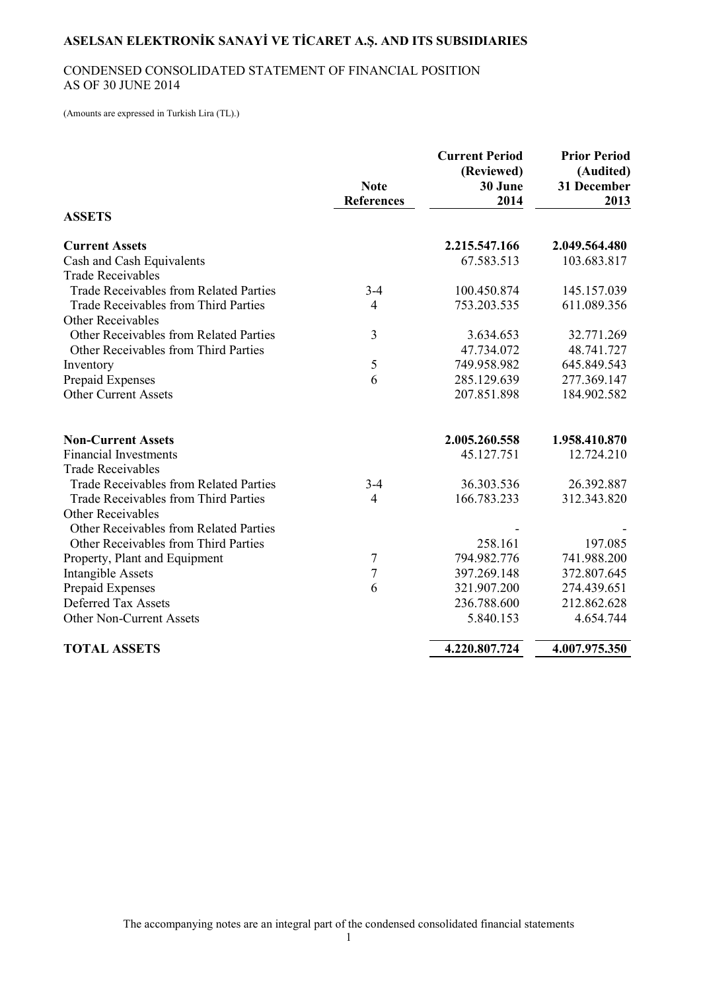### CONDENSED CONSOLIDATED STATEMENT OF FINANCIAL POSITION AS OF 30 JUNE 2014

(Amounts are expressed in Turkish Lira (TL).)

|                                               | <b>Note</b><br><b>References</b> | <b>Current Period</b><br>(Reviewed)<br>30 June<br>2014 | <b>Prior Period</b><br>(Audited)<br>31 December<br>2013 |
|-----------------------------------------------|----------------------------------|--------------------------------------------------------|---------------------------------------------------------|
| <b>ASSETS</b>                                 |                                  |                                                        |                                                         |
| <b>Current Assets</b>                         |                                  | 2.215.547.166                                          | 2.049.564.480                                           |
| Cash and Cash Equivalents                     |                                  | 67.583.513                                             | 103.683.817                                             |
| <b>Trade Receivables</b>                      |                                  |                                                        |                                                         |
| <b>Trade Receivables from Related Parties</b> | $3-4$                            | 100.450.874                                            | 145.157.039                                             |
| Trade Receivables from Third Parties          | $\overline{4}$                   | 753.203.535                                            | 611.089.356                                             |
| <b>Other Receivables</b>                      |                                  |                                                        |                                                         |
| Other Receivables from Related Parties        | 3                                | 3.634.653                                              | 32.771.269                                              |
| Other Receivables from Third Parties          |                                  | 47.734.072                                             | 48.741.727                                              |
| Inventory                                     | 5                                | 749.958.982                                            | 645.849.543                                             |
| Prepaid Expenses                              | 6                                | 285.129.639                                            | 277.369.147                                             |
| <b>Other Current Assets</b>                   |                                  | 207.851.898                                            | 184.902.582                                             |
| <b>Non-Current Assets</b>                     |                                  | 2.005.260.558                                          | 1.958.410.870                                           |
| <b>Financial Investments</b>                  |                                  | 45.127.751                                             | 12.724.210                                              |
| <b>Trade Receivables</b>                      |                                  |                                                        |                                                         |
| <b>Trade Receivables from Related Parties</b> | $3-4$                            | 36.303.536                                             | 26.392.887                                              |
| Trade Receivables from Third Parties          | $\overline{4}$                   | 166.783.233                                            | 312.343.820                                             |
| <b>Other Receivables</b>                      |                                  |                                                        |                                                         |
| Other Receivables from Related Parties        |                                  |                                                        |                                                         |
| Other Receivables from Third Parties          |                                  | 258.161                                                | 197.085                                                 |
| Property, Plant and Equipment                 | 7                                | 794.982.776                                            | 741.988.200                                             |
| <b>Intangible Assets</b>                      | $\overline{7}$                   | 397.269.148                                            | 372.807.645                                             |
| Prepaid Expenses                              | 6                                | 321.907.200                                            | 274.439.651                                             |
| <b>Deferred Tax Assets</b>                    |                                  | 236.788.600                                            | 212.862.628                                             |
| Other Non-Current Assets                      |                                  | 5.840.153                                              | 4.654.744                                               |
| <b>TOTAL ASSETS</b>                           |                                  | 4.220.807.724                                          | 4.007.975.350                                           |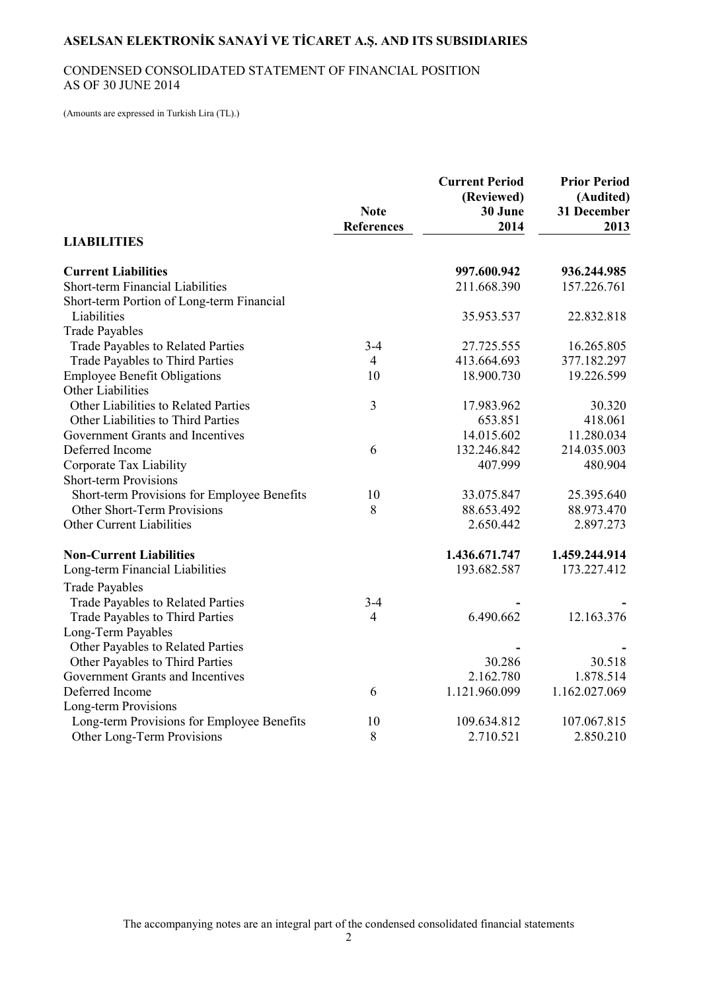### CONDENSED CONSOLIDATED STATEMENT OF FINANCIAL POSITION AS OF 30 JUNE 2014

(Amounts are expressed in Turkish Lira (TL).)

|                                             | <b>Note</b><br><b>References</b> | <b>Current Period</b><br>(Reviewed)<br>30 June<br>2014 | <b>Prior Period</b><br>(Audited)<br>31 December<br>2013 |
|---------------------------------------------|----------------------------------|--------------------------------------------------------|---------------------------------------------------------|
| <b>LIABILITIES</b>                          |                                  |                                                        |                                                         |
| <b>Current Liabilities</b>                  |                                  | 997.600.942                                            | 936.244.985                                             |
| Short-term Financial Liabilities            |                                  | 211.668.390                                            | 157.226.761                                             |
| Short-term Portion of Long-term Financial   |                                  |                                                        |                                                         |
| Liabilities                                 |                                  | 35.953.537                                             | 22.832.818                                              |
| <b>Trade Payables</b>                       |                                  |                                                        |                                                         |
| Trade Payables to Related Parties           | $3 - 4$                          | 27.725.555                                             | 16.265.805                                              |
| Trade Payables to Third Parties             | $\overline{4}$                   | 413.664.693                                            | 377.182.297                                             |
| <b>Employee Benefit Obligations</b>         | 10                               | 18.900.730                                             | 19.226.599                                              |
| <b>Other Liabilities</b>                    |                                  |                                                        |                                                         |
| Other Liabilities to Related Parties        | $\overline{3}$                   | 17.983.962                                             | 30.320                                                  |
| Other Liabilities to Third Parties          |                                  | 653.851                                                | 418.061                                                 |
| Government Grants and Incentives            |                                  | 14.015.602                                             | 11.280.034                                              |
| Deferred Income                             | 6                                | 132.246.842                                            | 214.035.003                                             |
| Corporate Tax Liability                     |                                  | 407.999                                                | 480.904                                                 |
| <b>Short-term Provisions</b>                |                                  |                                                        |                                                         |
| Short-term Provisions for Employee Benefits | 10                               | 33.075.847                                             | 25.395.640                                              |
| Other Short-Term Provisions                 | 8                                | 88.653.492                                             | 88.973.470                                              |
| Other Current Liabilities                   |                                  | 2.650.442                                              | 2.897.273                                               |
| <b>Non-Current Liabilities</b>              |                                  | 1.436.671.747                                          | 1.459.244.914                                           |
| Long-term Financial Liabilities             |                                  | 193.682.587                                            | 173.227.412                                             |
| <b>Trade Payables</b>                       |                                  |                                                        |                                                         |
| Trade Payables to Related Parties           | $3 - 4$                          |                                                        |                                                         |
| <b>Trade Payables to Third Parties</b>      | 4                                | 6.490.662                                              | 12.163.376                                              |
| Long-Term Payables                          |                                  |                                                        |                                                         |
| Other Payables to Related Parties           |                                  |                                                        |                                                         |
| Other Payables to Third Parties             |                                  | 30.286                                                 | 30.518                                                  |
| Government Grants and Incentives            |                                  | 2.162.780                                              | 1.878.514                                               |
| Deferred Income                             | 6                                | 1.121.960.099                                          | 1.162.027.069                                           |
| Long-term Provisions                        |                                  |                                                        |                                                         |
| Long-term Provisions for Employee Benefits  | 10                               | 109.634.812                                            | 107.067.815                                             |
| Other Long-Term Provisions                  | 8                                | 2.710.521                                              | 2.850.210                                               |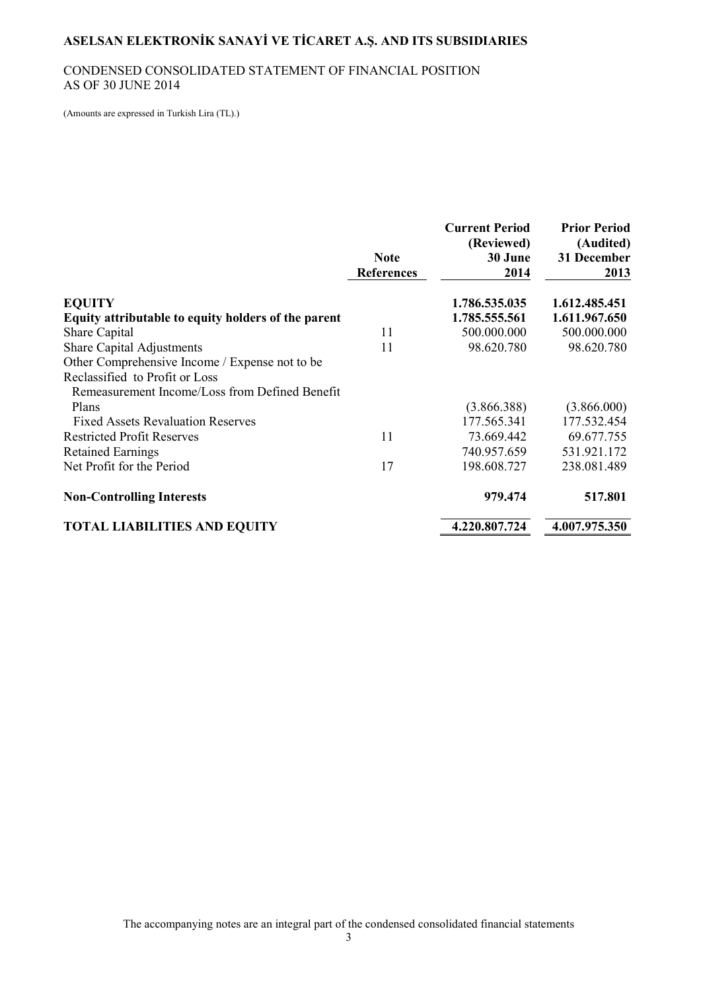#### CONDENSED CONSOLIDATED STATEMENT OF FINANCIAL POSITION AS OF 30 JUNE 2014

(Amounts are expressed in Turkish Lira (TL).)

|                                                     | <b>Note</b><br><b>References</b> | <b>Current Period</b><br>(Reviewed)<br>30 June<br>2014 | <b>Prior Period</b><br>(Audited)<br>31 December<br>2013 |
|-----------------------------------------------------|----------------------------------|--------------------------------------------------------|---------------------------------------------------------|
| <b>EQUITY</b>                                       |                                  | 1.786.535.035                                          | 1.612.485.451                                           |
| Equity attributable to equity holders of the parent |                                  | 1.785.555.561                                          | 1.611.967.650                                           |
| <b>Share Capital</b>                                | 11                               | 500.000.000                                            | 500.000.000                                             |
| <b>Share Capital Adjustments</b>                    | 11                               | 98.620.780                                             | 98.620.780                                              |
| Other Comprehensive Income / Expense not to be      |                                  |                                                        |                                                         |
| Reclassified to Profit or Loss                      |                                  |                                                        |                                                         |
| Remeasurement Income/Loss from Defined Benefit      |                                  |                                                        |                                                         |
| Plans                                               |                                  | (3.866.388)                                            | (3.866.000)                                             |
| <b>Fixed Assets Revaluation Reserves</b>            |                                  | 177.565.341                                            | 177.532.454                                             |
| <b>Restricted Profit Reserves</b>                   | 11                               | 73.669.442                                             | 69.677.755                                              |
| <b>Retained Earnings</b>                            |                                  | 740.957.659                                            | 531.921.172                                             |
| Net Profit for the Period                           | 17                               | 198.608.727                                            | 238.081.489                                             |
| <b>Non-Controlling Interests</b>                    |                                  | 979.474                                                | 517.801                                                 |
| <b>TOTAL LIABILITIES AND EQUITY</b>                 |                                  | 4.220.807.724                                          | 4.007.975.350                                           |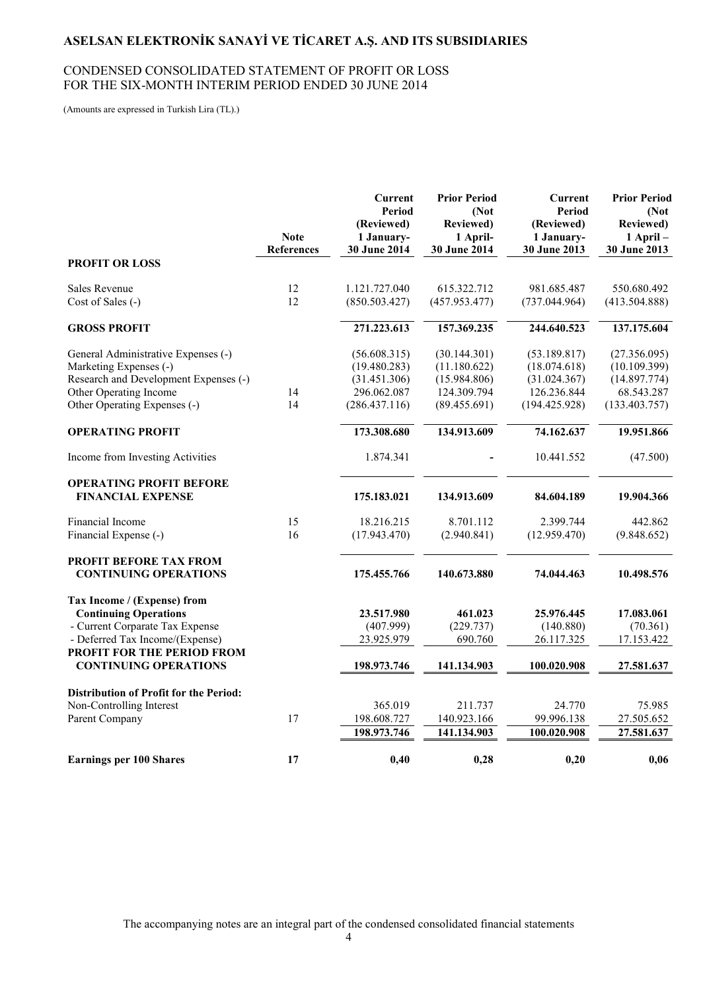#### CONDENSED CONSOLIDATED STATEMENT OF PROFIT OR LOSS FOR THE SIX-MONTH INTERIM PERIOD ENDED 30 JUNE 2014

(Amounts are expressed in Turkish Lira (TL).)

|                                                                 | <b>Note</b><br><b>References</b> | <b>Current</b><br>Period<br>(Reviewed)<br>1 January-<br>30 June 2014 | <b>Prior Period</b><br>(Not<br><b>Reviewed)</b><br>1 April-<br>30 June 2014 | <b>Current</b><br>Period<br>(Reviewed)<br>1 January-<br>30 June 2013 | <b>Prior Period</b><br>(Not)<br><b>Reviewed</b> )<br>$1$ April $-$<br>30 June 2013 |
|-----------------------------------------------------------------|----------------------------------|----------------------------------------------------------------------|-----------------------------------------------------------------------------|----------------------------------------------------------------------|------------------------------------------------------------------------------------|
| <b>PROFIT OR LOSS</b>                                           |                                  |                                                                      |                                                                             |                                                                      |                                                                                    |
| <b>Sales Revenue</b>                                            | 12                               | 1.121.727.040                                                        | 615.322.712                                                                 | 981.685.487                                                          | 550.680.492                                                                        |
| Cost of Sales (-)                                               | 12                               | (850.503.427)                                                        | (457.953.477)                                                               | (737.044.964)                                                        | (413.504.888)                                                                      |
| <b>GROSS PROFIT</b>                                             |                                  | 271.223.613                                                          | 157.369.235                                                                 | 244.640.523                                                          | 137.175.604                                                                        |
| General Administrative Expenses (-)<br>Marketing Expenses (-)   |                                  | (56.608.315)<br>(19.480.283)                                         | (30.144.301)<br>(11.180.622)                                                | (53.189.817)<br>(18.074.618)                                         | (27.356.095)<br>(10.109.399)                                                       |
| Research and Development Expenses (-)                           |                                  | (31.451.306)                                                         | (15.984.806)                                                                | (31.024.367)                                                         | (14.897.774)                                                                       |
| Other Operating Income                                          | 14                               | 296.062.087                                                          | 124.309.794                                                                 | 126.236.844                                                          | 68.543.287                                                                         |
| Other Operating Expenses (-)                                    | 14                               | (286.437.116)                                                        | (89.455.691)                                                                | (194.425.928)                                                        | (133.403.757)                                                                      |
| <b>OPERATING PROFIT</b>                                         |                                  | 173.308.680                                                          | 134.913.609                                                                 | 74.162.637                                                           | 19.951.866                                                                         |
| Income from Investing Activities                                |                                  | 1.874.341                                                            |                                                                             | 10.441.552                                                           | (47.500)                                                                           |
| <b>OPERATING PROFIT BEFORE</b><br><b>FINANCIAL EXPENSE</b>      |                                  | 175.183.021                                                          | 134.913.609                                                                 | 84.604.189                                                           | 19.904.366                                                                         |
| Financial Income                                                | 15                               | 18.216.215                                                           | 8.701.112                                                                   | 2.399.744                                                            | 442.862                                                                            |
| Financial Expense (-)                                           | 16                               | (17.943.470)                                                         | (2.940.841)                                                                 | (12.959.470)                                                         | (9.848.652)                                                                        |
| PROFIT BEFORE TAX FROM<br><b>CONTINUING OPERATIONS</b>          |                                  | 175.455.766                                                          | 140.673.880                                                                 | 74.044.463                                                           | 10.498.576                                                                         |
| Tax Income / (Expense) from                                     |                                  |                                                                      |                                                                             |                                                                      |                                                                                    |
| <b>Continuing Operations</b><br>- Current Corparate Tax Expense |                                  | 23.517.980<br>(407.999)                                              | 461.023<br>(229.737)                                                        | 25.976.445<br>(140.880)                                              | 17.083.061<br>(70.361)                                                             |
| - Deferred Tax Income/(Expense)                                 |                                  | 23.925.979                                                           | 690.760                                                                     | 26.117.325                                                           | 17.153.422                                                                         |
| PROFIT FOR THE PERIOD FROM<br><b>CONTINUING OPERATIONS</b>      |                                  | 198.973.746                                                          | 141.134.903                                                                 | 100.020.908                                                          | 27.581.637                                                                         |
|                                                                 |                                  |                                                                      |                                                                             |                                                                      |                                                                                    |
| <b>Distribution of Profit for the Period:</b>                   |                                  |                                                                      |                                                                             |                                                                      |                                                                                    |
| Non-Controlling Interest<br>Parent Company                      | 17                               | 365.019<br>198.608.727                                               | 211.737<br>140.923.166                                                      | 24.770<br>99.996.138                                                 | 75.985<br>27.505.652                                                               |
|                                                                 |                                  | 198.973.746                                                          | 141.134.903                                                                 | 100.020.908                                                          | 27.581.637                                                                         |
| <b>Earnings per 100 Shares</b>                                  | 17                               | 0,40                                                                 | 0,28                                                                        | 0,20                                                                 | 0,06                                                                               |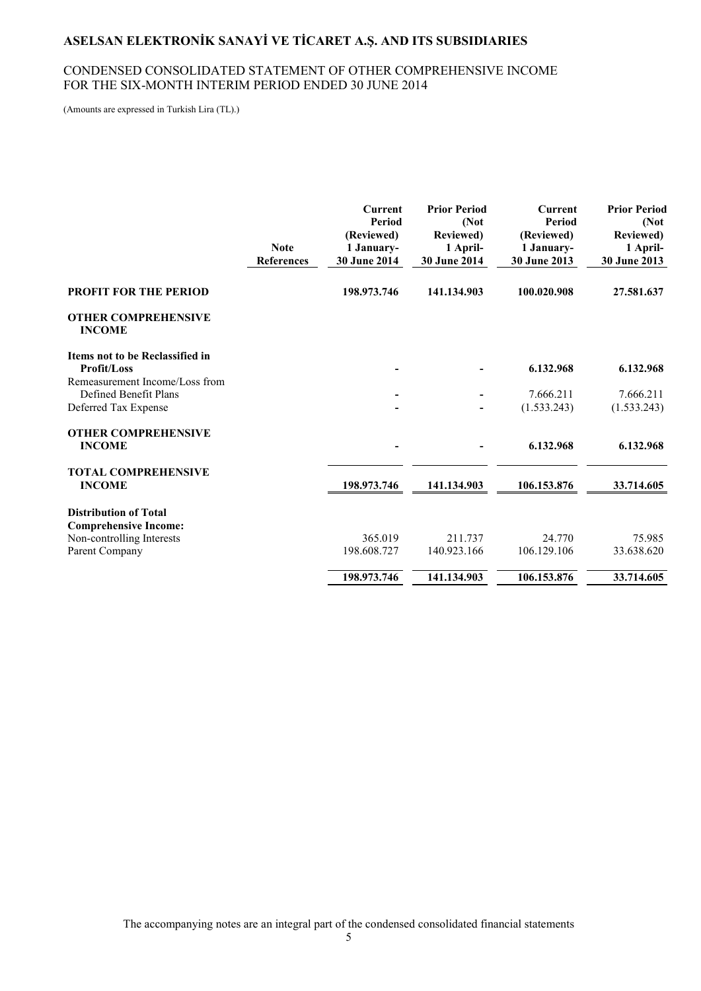#### CONDENSED CONSOLIDATED STATEMENT OF OTHER COMPREHENSIVE INCOME FOR THE SIX-MONTH INTERIM PERIOD ENDED 30 JUNE 2014

(Amounts are expressed in Turkish Lira (TL).)

|                                                         | <b>Note</b><br><b>References</b> | <b>Current</b><br><b>Period</b><br>(Reviewed)<br>1 January-<br><b>30 June 2014</b> | <b>Prior Period</b><br>(Not<br><b>Reviewed</b> )<br>1 April-<br><b>30 June 2014</b> | Current<br>Period<br>(Reviewed)<br>1 January-<br><b>30 June 2013</b> | <b>Prior Period</b><br>(Not<br><b>Reviewed</b> )<br>1 April-<br><b>30 June 2013</b> |
|---------------------------------------------------------|----------------------------------|------------------------------------------------------------------------------------|-------------------------------------------------------------------------------------|----------------------------------------------------------------------|-------------------------------------------------------------------------------------|
| <b>PROFIT FOR THE PERIOD</b>                            |                                  | 198.973.746                                                                        | 141.134.903                                                                         | 100.020.908                                                          | 27.581.637                                                                          |
| <b>OTHER COMPREHENSIVE</b><br><b>INCOME</b>             |                                  |                                                                                    |                                                                                     |                                                                      |                                                                                     |
| Items not to be Reclassified in<br>Profit/Loss          |                                  |                                                                                    |                                                                                     | 6.132.968                                                            | 6.132.968                                                                           |
| Remeasurement Income/Loss from<br>Defined Benefit Plans |                                  |                                                                                    |                                                                                     | 7.666.211                                                            | 7.666.211                                                                           |
| Deferred Tax Expense                                    |                                  |                                                                                    |                                                                                     | (1.533.243)                                                          | (1.533.243)                                                                         |
| <b>OTHER COMPREHENSIVE</b><br><b>INCOME</b>             |                                  |                                                                                    |                                                                                     | 6.132.968                                                            | 6.132.968                                                                           |
| <b>TOTAL COMPREHENSIVE</b><br><b>INCOME</b>             |                                  | 198.973.746                                                                        | 141.134.903                                                                         | 106.153.876                                                          | 33.714.605                                                                          |
| <b>Distribution of Total</b>                            |                                  |                                                                                    |                                                                                     |                                                                      |                                                                                     |
| <b>Comprehensive Income:</b>                            |                                  |                                                                                    |                                                                                     |                                                                      |                                                                                     |
| Non-controlling Interests                               |                                  | 365.019                                                                            | 211.737                                                                             | 24.770                                                               | 75.985                                                                              |
| Parent Company                                          |                                  | 198.608.727                                                                        | 140.923.166                                                                         | 106.129.106                                                          | 33.638.620                                                                          |
|                                                         |                                  | 198.973.746                                                                        | 141.134.903                                                                         | 106.153.876                                                          | 33.714.605                                                                          |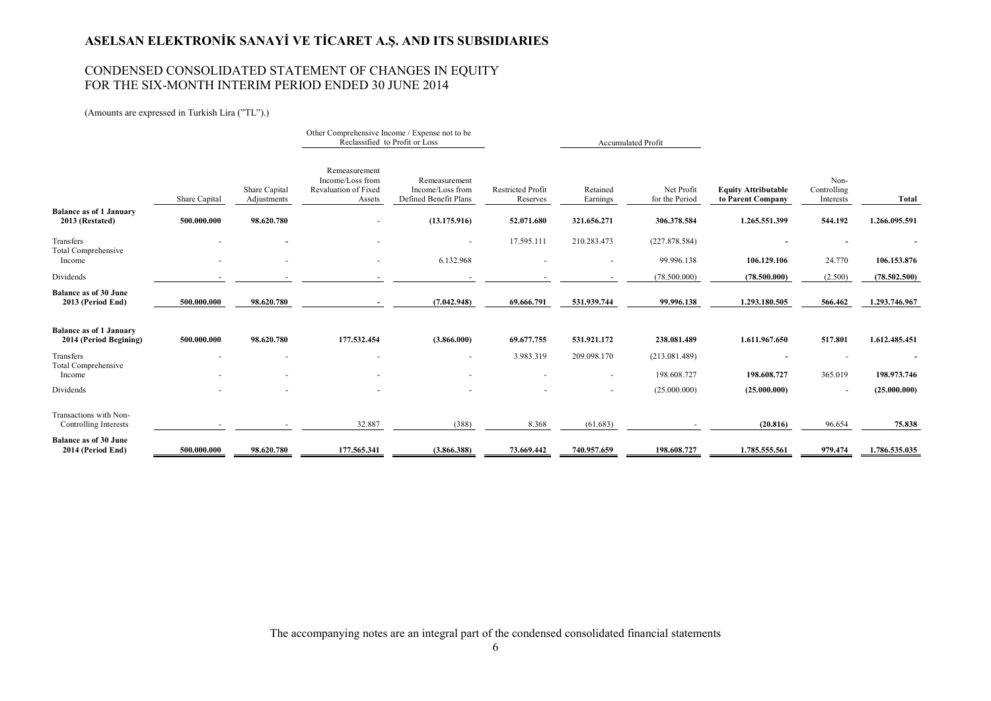#### CONDENSED CONSOLIDATED STATEMENT OF CHANGES IN EQUITY FOR THE SIX-MONTH INTERIM PERIOD ENDED 30 JUNE 2014

(Amounts are expressed in Turkish Lira ("TL").)

|                                                          |               |                              | Reclassified to Profit or Loss                                             | Other Comprehensive Income / Expense not to be             |                                      |                          | Accumulated Profit           |                                                 |                                  |               |
|----------------------------------------------------------|---------------|------------------------------|----------------------------------------------------------------------------|------------------------------------------------------------|--------------------------------------|--------------------------|------------------------------|-------------------------------------------------|----------------------------------|---------------|
|                                                          | Share Capital | Share Capital<br>Adjustments | Remeasurement<br>Income/Loss from<br><b>Revaluation of Fixed</b><br>Assets | Remeasurement<br>Income/Loss from<br>Defined Benefit Plans | <b>Restricted Profit</b><br>Reserves | Retained<br>Earnings     | Net Profit<br>for the Period | <b>Equity Attributable</b><br>to Parent Company | Non-<br>Controlling<br>Interests | Total         |
| <b>Balance as of 1 January</b><br>2013 (Restated)        | 500.000.000   | 98.620.780                   |                                                                            | (13.175.916)                                               | 52.071.680                           | 321.656.271              | 306.378.584                  | 1.265.551.399                                   | 544.192                          | 1.266.095.591 |
| Transfers                                                |               |                              |                                                                            |                                                            | 17.595.111                           | 210.283.473              | (227.878.584)                |                                                 |                                  |               |
| <b>Total Comprehensive</b><br>Income                     | ٠             | $\blacksquare$               |                                                                            | 6.132.968                                                  |                                      |                          | 99.996.138                   | 106.129.106                                     | 24.770                           | 106.153.876   |
| Dividends                                                |               |                              |                                                                            |                                                            |                                      |                          | (78.500.000)                 | (78.500.000)                                    | (2.500)                          | (78.502.500)  |
| <b>Balance as of 30 June</b><br>2013 (Period End)        | 500.000.000   | 98.620.780                   |                                                                            | (7.042.948)                                                | 69.666.791                           | 531.939.744              | 99.996.138                   | 1.293.180.505                                   | 566.462                          | 1.293.746.967 |
| <b>Balance as of 1 January</b><br>2014 (Period Begining) | 500.000.000   | 98.620.780                   | 177.532.454                                                                | (3.866.000)                                                | 69.677.755                           | 531.921.172              | 238.081.489                  | 1.611.967.650                                   | 517.801                          | 1.612.485.451 |
| Transfers<br><b>Total Comprehensive</b>                  |               |                              |                                                                            |                                                            | 3.983.319                            | 209.098.170              | (213.081.489)                |                                                 |                                  |               |
| Income                                                   |               |                              |                                                                            |                                                            |                                      | ٠                        | 198.608.727                  | 198.608.727                                     | 365.019                          | 198.973.746   |
| Dividends                                                |               |                              |                                                                            |                                                            |                                      | $\overline{\phantom{a}}$ | (25.000.000)                 | (25.000.000)                                    | $\blacksquare$                   | (25.000.000)  |
| Transactions with Non-<br>Controlling Interests          |               |                              | 32.887                                                                     | (388)                                                      | 8.368                                | (61.683)                 |                              | (20.816)                                        | 96.654                           | 75.838        |
| <b>Balance as of 30 June</b><br>2014 (Period End)        | 500.000.000   | 98.620.780                   | 177.565.341                                                                | (3.866.388)                                                | 73.669.442                           | 740.957.659              | 198.608.727                  | 1.785.555.561                                   | 979.474                          | 1.786.535.035 |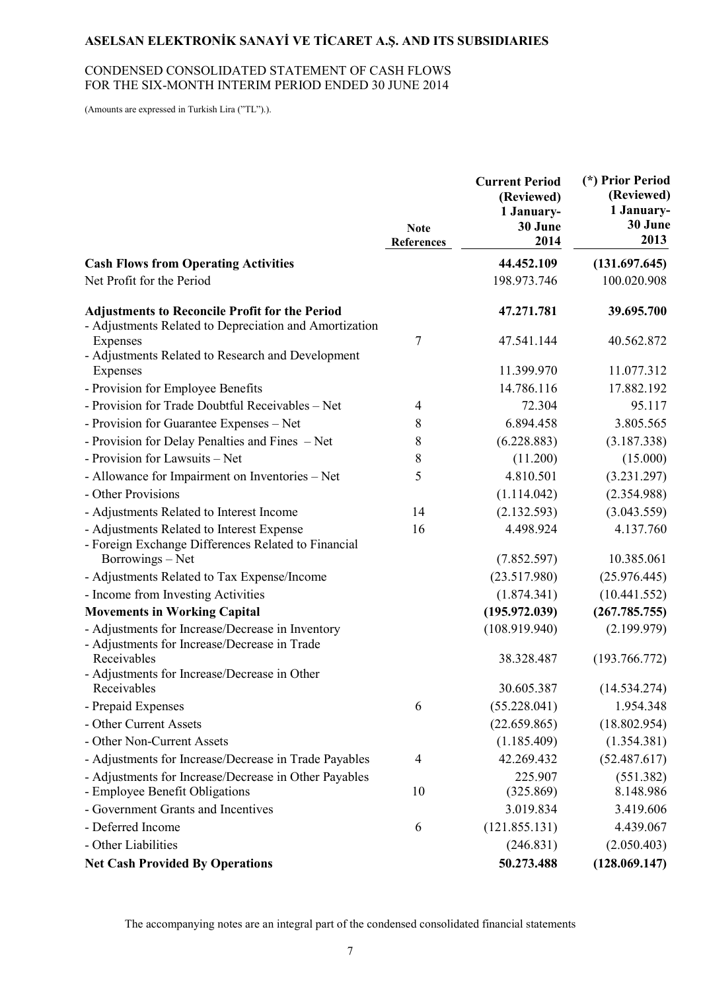#### CONDENSED CONSOLIDATED STATEMENT OF CASH FLOWS FOR THE SIX-MONTH INTERIM PERIOD ENDED 30 JUNE 2014

(Amounts are expressed in Turkish Lira ("TL").).

|                                                                                                                 | <b>Note</b><br><b>References</b> | <b>Current Period</b><br>(Reviewed)<br>1 January-<br>30 June<br>2014 | (*) Prior Period<br>(Reviewed)<br>1 January-<br>30 June<br>2013 |
|-----------------------------------------------------------------------------------------------------------------|----------------------------------|----------------------------------------------------------------------|-----------------------------------------------------------------|
| <b>Cash Flows from Operating Activities</b>                                                                     |                                  | 44.452.109                                                           | (131.697.645)                                                   |
| Net Profit for the Period                                                                                       |                                  | 198.973.746                                                          | 100.020.908                                                     |
| <b>Adjustments to Reconcile Profit for the Period</b><br>- Adjustments Related to Depreciation and Amortization |                                  | 47.271.781                                                           | 39.695.700                                                      |
| Expenses                                                                                                        | 7                                | 47.541.144                                                           | 40.562.872                                                      |
| - Adjustments Related to Research and Development<br>Expenses                                                   |                                  | 11.399.970                                                           | 11.077.312                                                      |
| - Provision for Employee Benefits                                                                               |                                  | 14.786.116                                                           | 17.882.192                                                      |
| - Provision for Trade Doubtful Receivables - Net                                                                | $\overline{4}$                   | 72.304                                                               | 95.117                                                          |
| - Provision for Guarantee Expenses - Net                                                                        | 8                                | 6.894.458                                                            | 3.805.565                                                       |
| - Provision for Delay Penalties and Fines – Net                                                                 | 8                                | (6.228.883)                                                          | (3.187.338)                                                     |
| - Provision for Lawsuits - Net                                                                                  | 8                                | (11.200)                                                             | (15.000)                                                        |
| - Allowance for Impairment on Inventories - Net                                                                 | 5                                | 4.810.501                                                            | (3.231.297)                                                     |
| - Other Provisions                                                                                              |                                  | (1.114.042)                                                          | (2.354.988)                                                     |
| - Adjustments Related to Interest Income                                                                        | 14                               | (2.132.593)                                                          | (3.043.559)                                                     |
| - Adjustments Related to Interest Expense<br>- Foreign Exchange Differences Related to Financial                | 16                               | 4.498.924                                                            | 4.137.760                                                       |
| Borrowings – Net                                                                                                |                                  | (7.852.597)                                                          | 10.385.061                                                      |
| - Adjustments Related to Tax Expense/Income                                                                     |                                  | (23.517.980)                                                         | (25.976.445)                                                    |
| - Income from Investing Activities                                                                              |                                  | (1.874.341)                                                          | (10.441.552)                                                    |
| <b>Movements in Working Capital</b>                                                                             |                                  | (195.972.039)                                                        | (267.785.755)                                                   |
| - Adjustments for Increase/Decrease in Inventory<br>- Adjustments for Increase/Decrease in Trade                |                                  | (108.919.940)                                                        | (2.199.979)                                                     |
| Receivables<br>- Adjustments for Increase/Decrease in Other                                                     |                                  | 38.328.487                                                           | (193.766.772)                                                   |
| Receivables                                                                                                     |                                  | 30.605.387                                                           | (14.534.274)                                                    |
| - Prepaid Expenses                                                                                              | 6                                | (55.228.041)                                                         | 1.954.348                                                       |
| - Other Current Assets                                                                                          |                                  | (22.659.865)                                                         | (18.802.954)                                                    |
| - Other Non-Current Assets                                                                                      |                                  | (1.185.409)                                                          | (1.354.381)                                                     |
| - Adjustments for Increase/Decrease in Trade Payables                                                           | 4                                | 42.269.432                                                           | (52.487.617)                                                    |
| - Adjustments for Increase/Decrease in Other Payables                                                           |                                  | 225.907                                                              | (551.382)                                                       |
| - Employee Benefit Obligations                                                                                  | 10                               | (325.869)                                                            | 8.148.986                                                       |
| - Government Grants and Incentives                                                                              |                                  | 3.019.834                                                            | 3.419.606                                                       |
| - Deferred Income                                                                                               | 6                                | (121.855.131)                                                        | 4.439.067                                                       |
| - Other Liabilities                                                                                             |                                  | (246.831)                                                            | (2.050.403)                                                     |
| <b>Net Cash Provided By Operations</b>                                                                          |                                  | 50.273.488                                                           | (128.069.147)                                                   |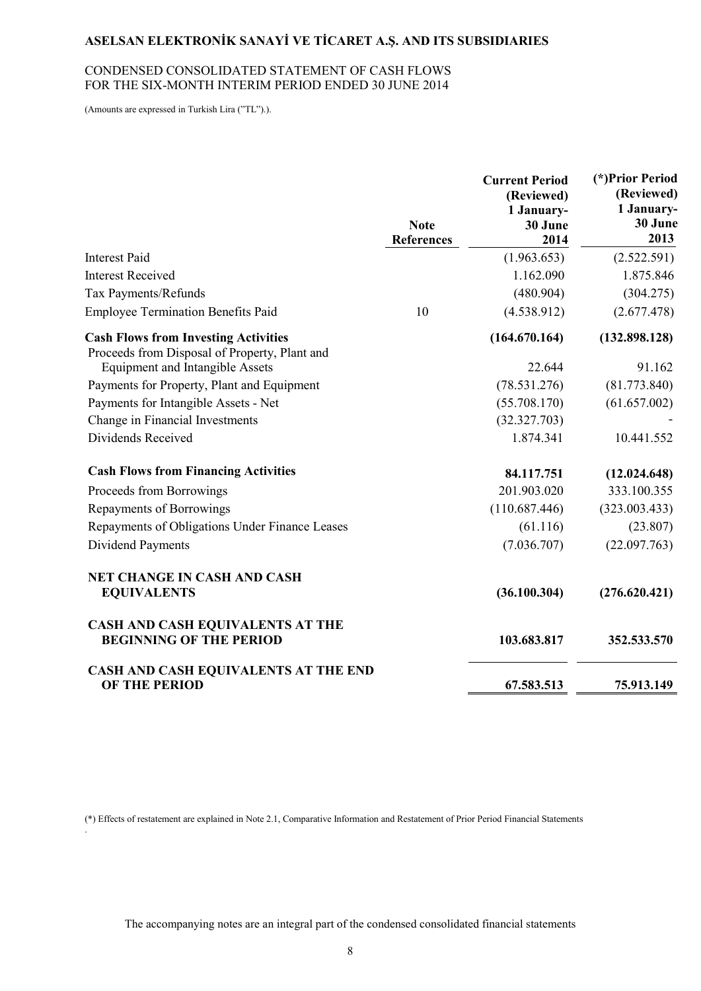#### CONDENSED CONSOLIDATED STATEMENT OF CASH FLOWS FOR THE SIX-MONTH INTERIM PERIOD ENDED 30 JUNE 2014

(Amounts are expressed in Turkish Lira ("TL").).

.

|                                                                                              | <b>Note</b><br><b>References</b> | <b>Current Period</b><br>(Reviewed)<br>1 January-<br>30 June<br>2014 | (*) Prior Period<br>(Reviewed)<br>1 January-<br>30 June<br>2013 |
|----------------------------------------------------------------------------------------------|----------------------------------|----------------------------------------------------------------------|-----------------------------------------------------------------|
| <b>Interest Paid</b>                                                                         |                                  | (1.963.653)                                                          | (2.522.591)                                                     |
| <b>Interest Received</b>                                                                     |                                  | 1.162.090                                                            | 1.875.846                                                       |
| Tax Payments/Refunds                                                                         |                                  | (480.904)                                                            | (304.275)                                                       |
| <b>Employee Termination Benefits Paid</b>                                                    | 10                               | (4.538.912)                                                          | (2.677.478)                                                     |
| <b>Cash Flows from Investing Activities</b><br>Proceeds from Disposal of Property, Plant and |                                  | (164.670.164)                                                        | (132.898.128)                                                   |
| <b>Equipment and Intangible Assets</b>                                                       |                                  | 22.644                                                               | 91.162                                                          |
| Payments for Property, Plant and Equipment                                                   |                                  | (78.531.276)                                                         | (81.773.840)                                                    |
| Payments for Intangible Assets - Net                                                         |                                  | (55.708.170)                                                         | (61.657.002)                                                    |
| Change in Financial Investments                                                              |                                  | (32.327.703)                                                         |                                                                 |
| Dividends Received                                                                           |                                  | 1.874.341                                                            | 10.441.552                                                      |
| <b>Cash Flows from Financing Activities</b>                                                  |                                  | 84.117.751                                                           | (12.024.648)                                                    |
| Proceeds from Borrowings                                                                     |                                  | 201.903.020                                                          | 333.100.355                                                     |
| Repayments of Borrowings                                                                     |                                  | (110.687.446)                                                        | (323.003.433)                                                   |
| Repayments of Obligations Under Finance Leases                                               |                                  | (61.116)                                                             | (23.807)                                                        |
| Dividend Payments                                                                            |                                  | (7.036.707)                                                          | (22.097.763)                                                    |
| <b>NET CHANGE IN CASH AND CASH</b><br><b>EQUIVALENTS</b>                                     |                                  | (36.100.304)                                                         | (276.620.421)                                                   |
| <b>CASH AND CASH EQUIVALENTS AT THE</b><br><b>BEGINNING OF THE PERIOD</b>                    |                                  | 103.683.817                                                          | 352.533.570                                                     |
| CASH AND CASH EQUIVALENTS AT THE END<br><b>OF THE PERIOD</b>                                 |                                  | 67.583.513                                                           | 75.913.149                                                      |

(\*) Effects of restatement are explained in Note 2.1, Comparative Information and Restatement of Prior Period Financial Statements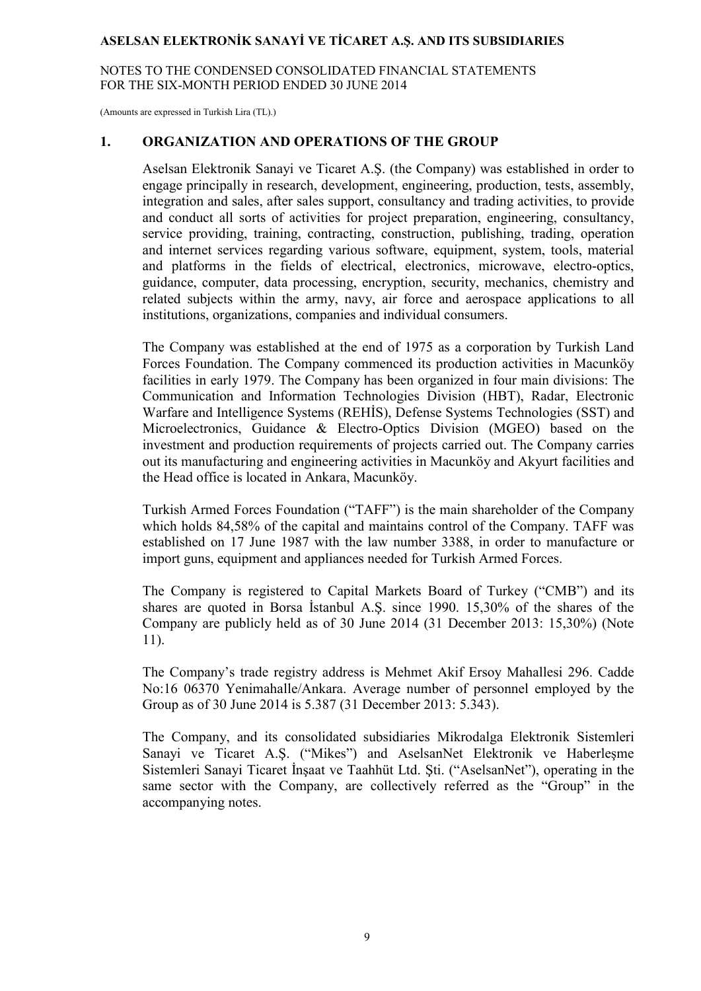NOTES TO THE CONDENSED CONSOLIDATED FINANCIAL STATEMENTS FOR THE SIX-MONTH PERIOD ENDED 30 JUNE 2014

(Amounts are expressed in Turkish Lira (TL).)

#### **1. ORGANIZATION AND OPERATIONS OF THE GROUP**

Aselsan Elektronik Sanayi ve Ticaret A.Ş. (the Company) was established in order to engage principally in research, development, engineering, production, tests, assembly, integration and sales, after sales support, consultancy and trading activities, to provide and conduct all sorts of activities for project preparation, engineering, consultancy, service providing, training, contracting, construction, publishing, trading, operation and internet services regarding various software, equipment, system, tools, material and platforms in the fields of electrical, electronics, microwave, electro-optics, guidance, computer, data processing, encryption, security, mechanics, chemistry and related subjects within the army, navy, air force and aerospace applications to all institutions, organizations, companies and individual consumers.

The Company was established at the end of 1975 as a corporation by Turkish Land Forces Foundation. The Company commenced its production activities in Macunköy facilities in early 1979. The Company has been organized in four main divisions: The Communication and Information Technologies Division (HBT), Radar, Electronic Warfare and Intelligence Systems (REHIS), Defense Systems Technologies (SST) and Microelectronics, Guidance & Electro-Optics Division (MGEO) based on the investment and production requirements of projects carried out. The Company carries out its manufacturing and engineering activities in Macunköy and Akyurt facilities and the Head office is located in Ankara, Macunköy.

Turkish Armed Forces Foundation ("TAFF") is the main shareholder of the Company which holds 84,58% of the capital and maintains control of the Company. TAFF was established on 17 June 1987 with the law number 3388, in order to manufacture or import guns, equipment and appliances needed for Turkish Armed Forces.

The Company is registered to Capital Markets Board of Turkey ("CMB") and its shares are quoted in Borsa Istanbul A.S. since 1990. 15,30% of the shares of the Company are publicly held as of 30 June 2014 (31 December 2013: 15,30%) (Note 11).

The Company's trade registry address is Mehmet Akif Ersoy Mahallesi 296. Cadde No:16 06370 Yenimahalle/Ankara. Average number of personnel employed by the Group as of 30 June 2014 is 5.387 (31 December 2013: 5.343).

The Company, and its consolidated subsidiaries Mikrodalga Elektronik Sistemleri Sanayi ve Ticaret A.Ş. ("Mikes") and AselsanNet Elektronik ve Haberleşme Sistemleri Sanayi Ticaret İnsaat ve Taahhüt Ltd. Sti. ("AselsanNet"), operating in the same sector with the Company, are collectively referred as the "Group" in the accompanying notes.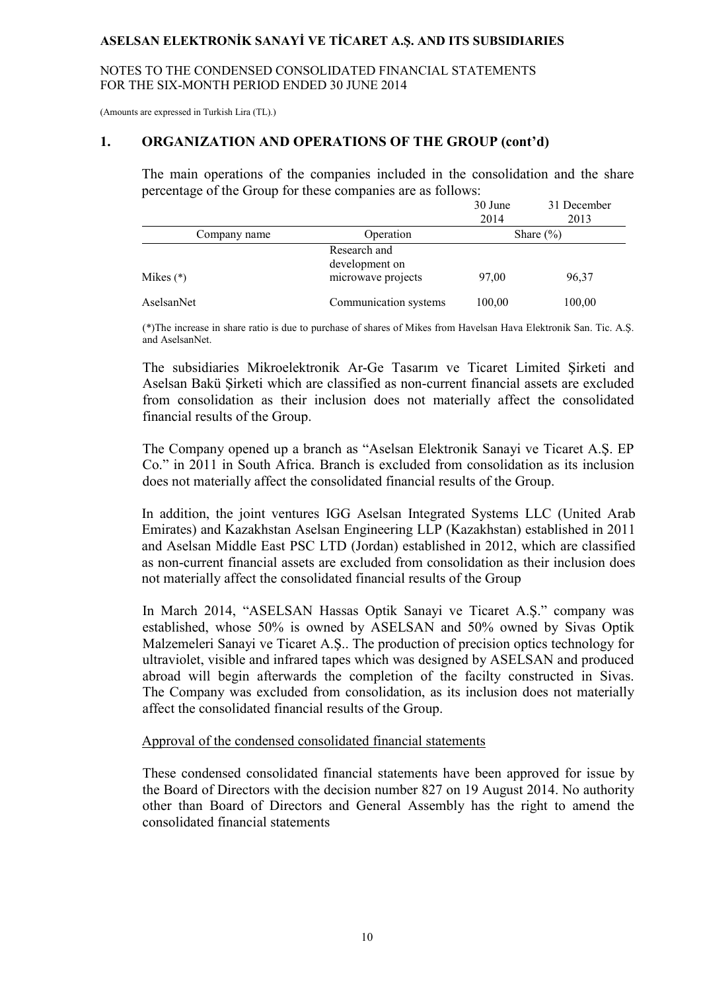NOTES TO THE CONDENSED CONSOLIDATED FINANCIAL STATEMENTS FOR THE SIX-MONTH PERIOD ENDED 30 JUNE 2014

(Amounts are expressed in Turkish Lira (TL).)

#### **1. ORGANIZATION AND OPERATIONS OF THE GROUP (cont'd)**

The main operations of the companies included in the consolidation and the share percentage of the Group for these companies are as follows:

|              |                                                      | 30 June<br>2014 | 31 December<br>2013 |
|--------------|------------------------------------------------------|-----------------|---------------------|
| Company name | Operation                                            |                 | Share $(\% )$       |
| Mikes $(*)$  | Research and<br>development on<br>microwave projects | 97,00           | 96,37               |
| AselsanNet   | Communication systems                                | 100,00          | 100,00              |

(\*)The increase in share ratio is due to purchase of shares of Mikes from Havelsan Hava Elektronik San. Tic. A.Ş. and AselsanNet.

The subsidiaries Mikroelektronik Ar-Ge Tasarım ve Ticaret Limited Şirketi and Aselsan Bakü Şirketi which are classified as non-current financial assets are excluded from consolidation as their inclusion does not materially affect the consolidated financial results of the Group.

The Company opened up a branch as "Aselsan Elektronik Sanayi ve Ticaret A.Ş. EP Co." in 2011 in South Africa. Branch is excluded from consolidation as its inclusion does not materially affect the consolidated financial results of the Group.

In addition, the joint ventures IGG Aselsan Integrated Systems LLC (United Arab Emirates) and Kazakhstan Aselsan Engineering LLP (Kazakhstan) established in 2011 and Aselsan Middle East PSC LTD (Jordan) established in 2012, which are classified as non-current financial assets are excluded from consolidation as their inclusion does not materially affect the consolidated financial results of the Group

In March 2014, "ASELSAN Hassas Optik Sanayi ve Ticaret A.Ş." company was established, whose 50% is owned by ASELSAN and 50% owned by Sivas Optik Malzemeleri Sanayi ve Ticaret A.Ş.. The production of precision optics technology for ultraviolet, visible and infrared tapes which was designed by ASELSAN and produced abroad will begin afterwards the completion of the facilty constructed in Sivas. The Company was excluded from consolidation, as its inclusion does not materially affect the consolidated financial results of the Group.

#### Approval of the condensed consolidated financial statements

These condensed consolidated financial statements have been approved for issue by the Board of Directors with the decision number 827 on 19 August 2014. No authority other than Board of Directors and General Assembly has the right to amend the consolidated financial statements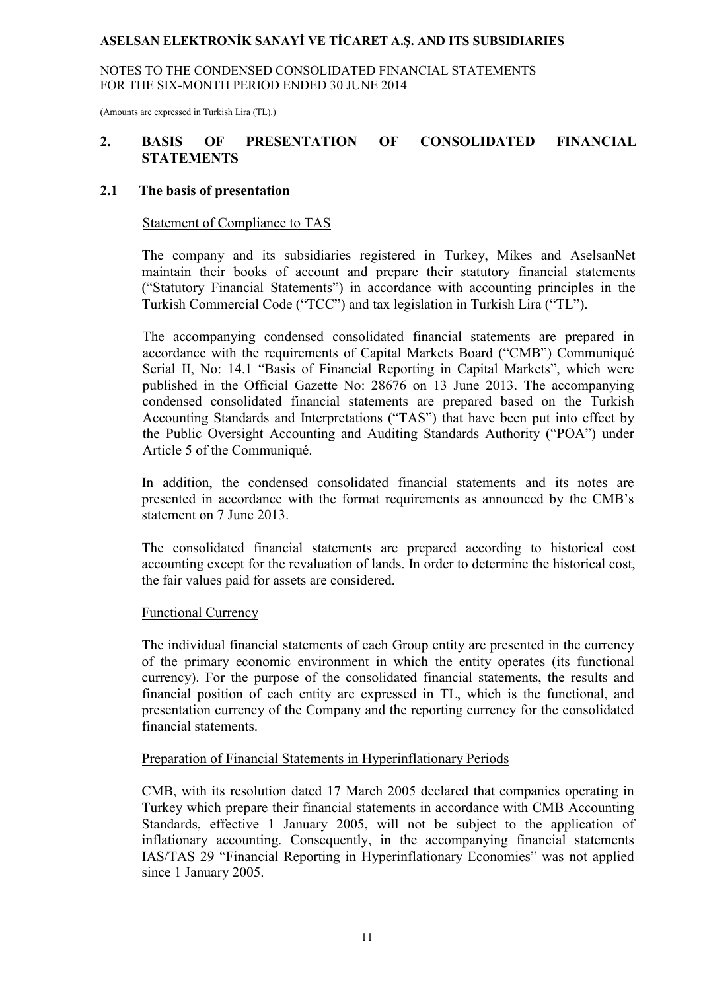NOTES TO THE CONDENSED CONSOLIDATED FINANCIAL STATEMENTS FOR THE SIX-MONTH PERIOD ENDED 30 JUNE 2014

(Amounts are expressed in Turkish Lira (TL).)

### **2. BASIS OF PRESENTATION OF CONSOLIDATED FINANCIAL STATEMENTS**

#### **2.1 The basis of presentation**

#### Statement of Compliance to TAS

The company and its subsidiaries registered in Turkey, Mikes and AselsanNet maintain their books of account and prepare their statutory financial statements ("Statutory Financial Statements") in accordance with accounting principles in the Turkish Commercial Code ("TCC") and tax legislation in Turkish Lira ("TL").

The accompanying condensed consolidated financial statements are prepared in accordance with the requirements of Capital Markets Board ("CMB") Communiqué Serial II, No: 14.1 "Basis of Financial Reporting in Capital Markets", which were published in the Official Gazette No: 28676 on 13 June 2013. The accompanying condensed consolidated financial statements are prepared based on the Turkish Accounting Standards and Interpretations ("TAS") that have been put into effect by the Public Oversight Accounting and Auditing Standards Authority ("POA") under Article 5 of the Communiqué.

In addition, the condensed consolidated financial statements and its notes are presented in accordance with the format requirements as announced by the CMB's statement on 7 June 2013.

The consolidated financial statements are prepared according to historical cost accounting except for the revaluation of lands. In order to determine the historical cost, the fair values paid for assets are considered.

#### Functional Currency

The individual financial statements of each Group entity are presented in the currency of the primary economic environment in which the entity operates (its functional currency). For the purpose of the consolidated financial statements, the results and financial position of each entity are expressed in TL, which is the functional, and presentation currency of the Company and the reporting currency for the consolidated financial statements.

#### Preparation of Financial Statements in Hyperinflationary Periods

CMB, with its resolution dated 17 March 2005 declared that companies operating in Turkey which prepare their financial statements in accordance with CMB Accounting Standards, effective 1 January 2005, will not be subject to the application of inflationary accounting. Consequently, in the accompanying financial statements IAS/TAS 29 "Financial Reporting in Hyperinflationary Economies" was not applied since 1 January 2005.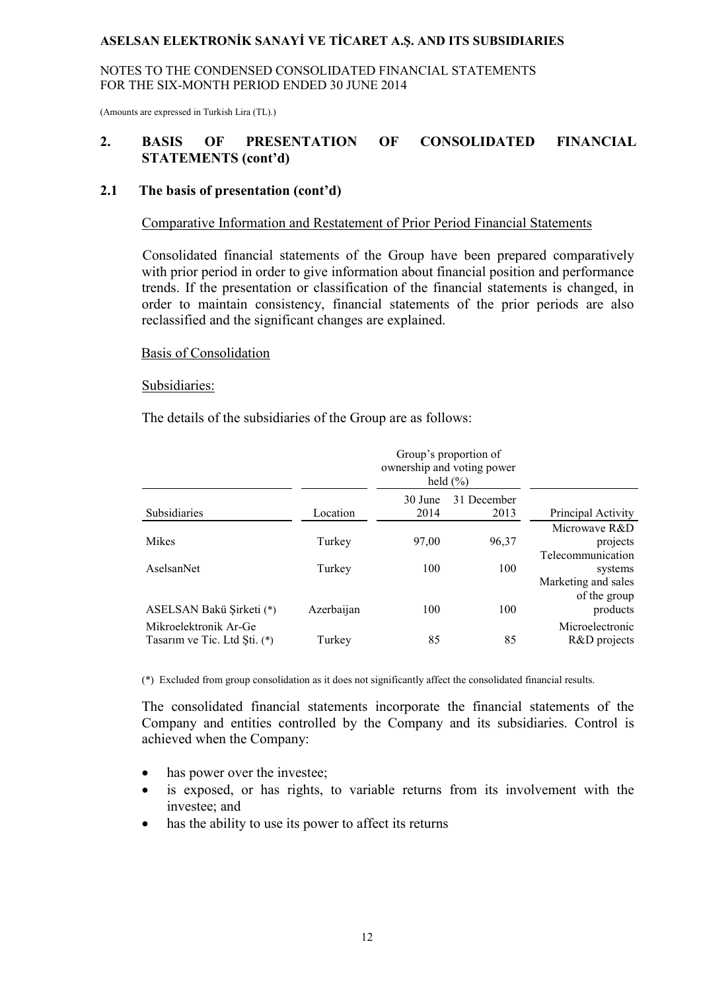NOTES TO THE CONDENSED CONSOLIDATED FINANCIAL STATEMENTS FOR THE SIX-MONTH PERIOD ENDED 30 JUNE 2014

(Amounts are expressed in Turkish Lira (TL).)

### **2. BASIS OF PRESENTATION OF CONSOLIDATED FINANCIAL STATEMENTS (cont'd)**

#### **2.1 The basis of presentation (cont'd)**

#### Comparative Information and Restatement of Prior Period Financial Statements

Consolidated financial statements of the Group have been prepared comparatively with prior period in order to give information about financial position and performance trends. If the presentation or classification of the financial statements is changed, in order to maintain consistency, financial statements of the prior periods are also reclassified and the significant changes are explained.

#### Basis of Consolidation

#### Subsidiaries:

The details of the subsidiaries of the Group are as follows:

|                                                       |            |                 | Group's proportion of<br>ownership and voting power<br>held $(\% )$ |                                                 |
|-------------------------------------------------------|------------|-----------------|---------------------------------------------------------------------|-------------------------------------------------|
| Subsidiaries                                          | Location   | 30 June<br>2014 | 31 December<br>2013                                                 | Principal Activity                              |
| <b>Mikes</b>                                          | Turkey     | 97,00           | 96,37                                                               | Microwaye R&D<br>projects                       |
| AselsanNet                                            | Turkey     | 100             | 100                                                                 | Telecommunication<br>systems                    |
| ASELSAN Bakü Şirketi (*)                              | Azerbaijan | 100             | 100                                                                 | Marketing and sales<br>of the group<br>products |
| Mikroelektronik Ar-Ge<br>Tasarım ve Tic. Ltd Şti. (*) | Turkey     | 85              | 85                                                                  | Microelectronic<br>R&D projects                 |

(\*) Excluded from group consolidation as it does not significantly affect the consolidated financial results.

The consolidated financial statements incorporate the financial statements of the Company and entities controlled by the Company and its subsidiaries. Control is achieved when the Company:

- has power over the investee;
- is exposed, or has rights, to variable returns from its involvement with the investee; and
- has the ability to use its power to affect its returns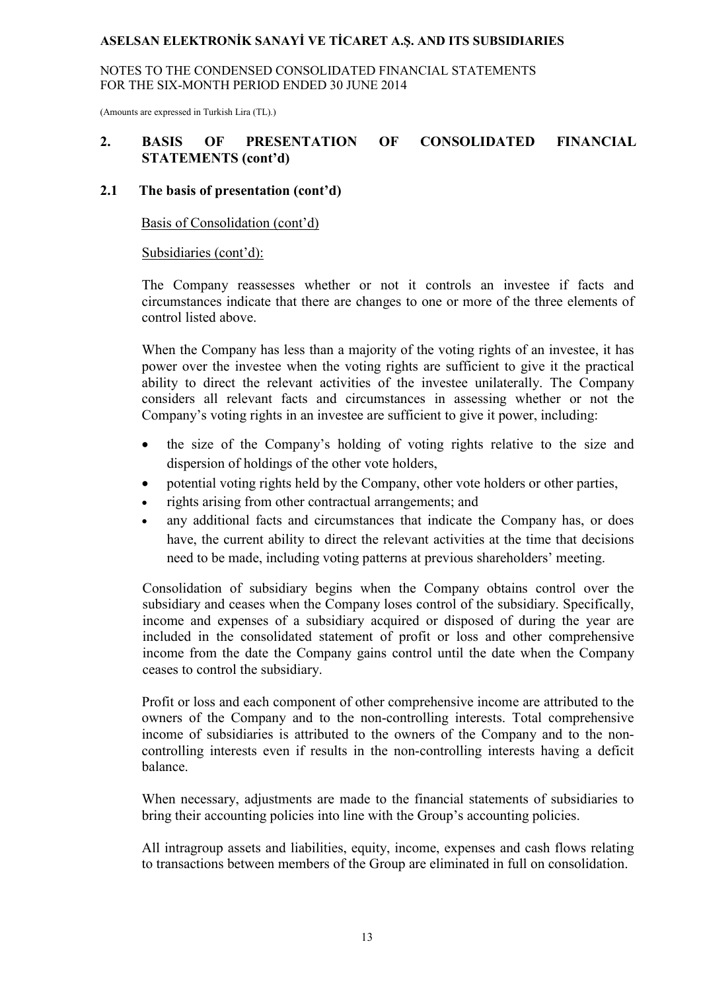NOTES TO THE CONDENSED CONSOLIDATED FINANCIAL STATEMENTS FOR THE SIX-MONTH PERIOD ENDED 30 JUNE 2014

(Amounts are expressed in Turkish Lira (TL).)

### **2. BASIS OF PRESENTATION OF CONSOLIDATED FINANCIAL STATEMENTS (cont'd)**

### **2.1 The basis of presentation (cont'd)**

Basis of Consolidation (cont'd)

#### Subsidiaries (cont'd):

The Company reassesses whether or not it controls an investee if facts and circumstances indicate that there are changes to one or more of the three elements of control listed above.

When the Company has less than a majority of the voting rights of an investee, it has power over the investee when the voting rights are sufficient to give it the practical ability to direct the relevant activities of the investee unilaterally. The Company considers all relevant facts and circumstances in assessing whether or not the Company's voting rights in an investee are sufficient to give it power, including:

- the size of the Company's holding of voting rights relative to the size and dispersion of holdings of the other vote holders,
- potential voting rights held by the Company, other vote holders or other parties,
- rights arising from other contractual arrangements; and
- any additional facts and circumstances that indicate the Company has, or does have, the current ability to direct the relevant activities at the time that decisions need to be made, including voting patterns at previous shareholders' meeting.

Consolidation of subsidiary begins when the Company obtains control over the subsidiary and ceases when the Company loses control of the subsidiary. Specifically, income and expenses of a subsidiary acquired or disposed of during the year are included in the consolidated statement of profit or loss and other comprehensive income from the date the Company gains control until the date when the Company ceases to control the subsidiary.

Profit or loss and each component of other comprehensive income are attributed to the owners of the Company and to the non-controlling interests. Total comprehensive income of subsidiaries is attributed to the owners of the Company and to the noncontrolling interests even if results in the non-controlling interests having a deficit balance.

When necessary, adjustments are made to the financial statements of subsidiaries to bring their accounting policies into line with the Group's accounting policies.

All intragroup assets and liabilities, equity, income, expenses and cash flows relating to transactions between members of the Group are eliminated in full on consolidation.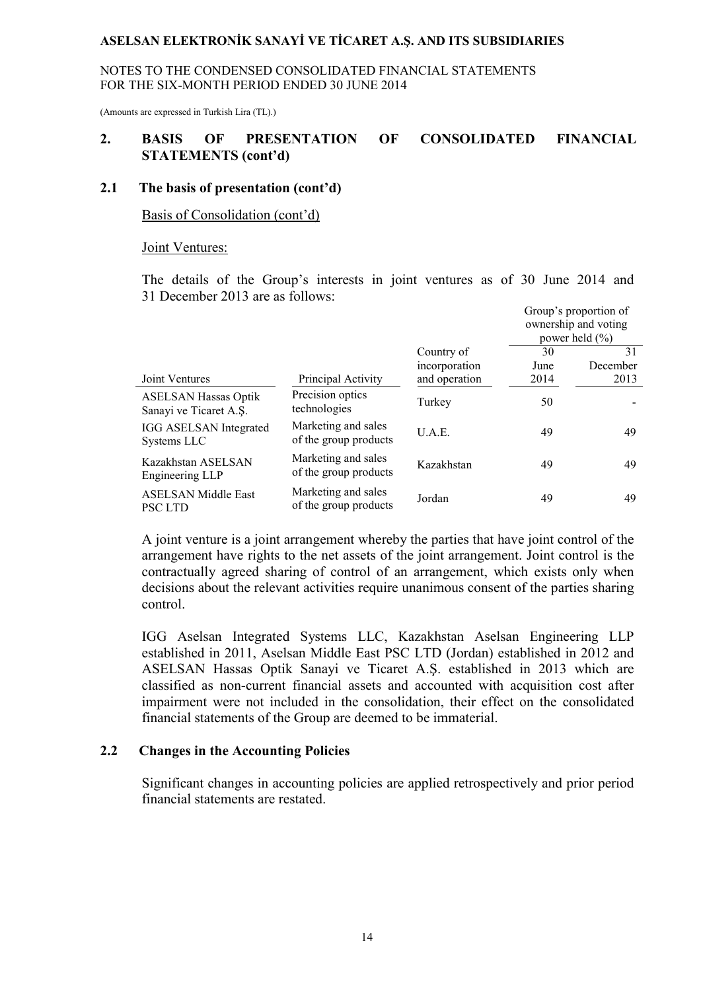NOTES TO THE CONDENSED CONSOLIDATED FINANCIAL STATEMENTS FOR THE SIX-MONTH PERIOD ENDED 30 JUNE 2014

(Amounts are expressed in Turkish Lira (TL).)

#### **2. BASIS OF PRESENTATION OF CONSOLIDATED FINANCIAL STATEMENTS (cont'd)**

### **2.1 The basis of presentation (cont'd)**

Basis of Consolidation (cont'd)

#### Joint Ventures:

The details of the Group's interests in joint ventures as of 30 June 2014 and 31 December 2013 are as follows:

|                                                       |                                              |                                              | Group's proportion of<br>ownership and voting<br>power held $(\% )$ |                        |  |
|-------------------------------------------------------|----------------------------------------------|----------------------------------------------|---------------------------------------------------------------------|------------------------|--|
| Joint Ventures                                        | Principal Activity                           | Country of<br>incorporation<br>and operation | 30<br>June<br>2014                                                  | 31<br>December<br>2013 |  |
| <b>ASELSAN Hassas Optik</b><br>Sanayi ve Ticaret A.S. | Precision optics<br>technologies             | Turkey                                       | 50                                                                  |                        |  |
| <b>IGG ASELSAN Integrated</b><br>Systems LLC          | Marketing and sales<br>of the group products | U.A.E.                                       | 49                                                                  | 49                     |  |
| Kazakhstan ASELSAN<br>Engineering LLP                 | Marketing and sales<br>of the group products | Kazakhstan                                   | 49                                                                  | 49                     |  |
| <b>ASELSAN Middle East</b><br><b>PSC LTD</b>          | Marketing and sales<br>of the group products | Jordan                                       | 49                                                                  | 49                     |  |

A joint venture is a joint arrangement whereby the parties that have joint control of the arrangement have rights to the net assets of the joint arrangement. Joint control is the contractually agreed sharing of control of an arrangement, which exists only when decisions about the relevant activities require unanimous consent of the parties sharing control.

IGG Aselsan Integrated Systems LLC, Kazakhstan Aselsan Engineering LLP established in 2011, Aselsan Middle East PSC LTD (Jordan) established in 2012 and ASELSAN Hassas Optik Sanayi ve Ticaret A.Ş. established in 2013 which are classified as non-current financial assets and accounted with acquisition cost after impairment were not included in the consolidation, their effect on the consolidated financial statements of the Group are deemed to be immaterial.

#### **2.2 Changes in the Accounting Policies**

Significant changes in accounting policies are applied retrospectively and prior period financial statements are restated.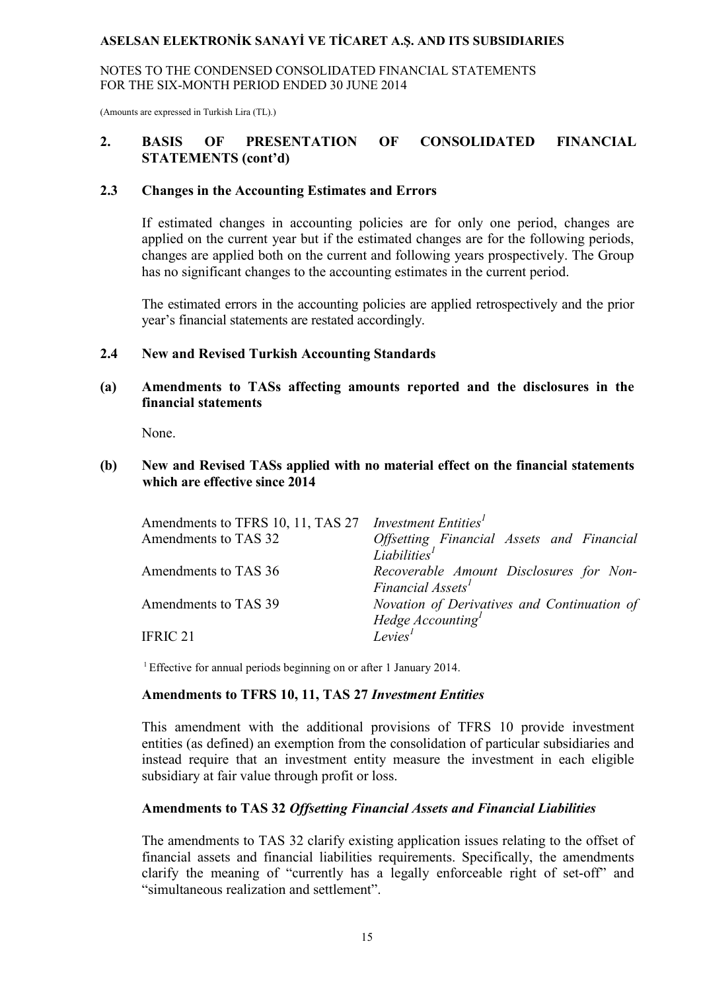NOTES TO THE CONDENSED CONSOLIDATED FINANCIAL STATEMENTS FOR THE SIX-MONTH PERIOD ENDED 30 JUNE 2014

(Amounts are expressed in Turkish Lira (TL).)

### **2. BASIS OF PRESENTATION OF CONSOLIDATED FINANCIAL STATEMENTS (cont'd)**

#### **2.3 Changes in the Accounting Estimates and Errors**

If estimated changes in accounting policies are for only one period, changes are applied on the current year but if the estimated changes are for the following periods, changes are applied both on the current and following years prospectively. The Group has no significant changes to the accounting estimates in the current period.

The estimated errors in the accounting policies are applied retrospectively and the prior year's financial statements are restated accordingly.

#### **2.4 New and Revised Turkish Accounting Standards**

### **(a) Amendments to TASs affecting amounts reported and the disclosures in the financial statements**

None.

#### **(b) New and Revised TASs applied with no material effect on the financial statements which are effective since 2014**

| Amendments to TFRS 10, 11, TAS 27 <i>Investment Entities<sup>1</sup></i> |                                             |
|--------------------------------------------------------------------------|---------------------------------------------|
| Amendments to TAS 32                                                     | Offsetting Financial Assets and Financial   |
|                                                                          | Liabilities <sup>1</sup>                    |
| Amendments to TAS 36                                                     | Recoverable Amount Disclosures for Non-     |
|                                                                          | Financial Assets <sup>1</sup>               |
| Amendments to TAS 39                                                     | Novation of Derivatives and Continuation of |
|                                                                          | Hedge Accounting <sup>1</sup>               |
| <b>IFRIC 21</b>                                                          | Levies <sup>1</sup>                         |

<sup>1</sup> Effective for annual periods beginning on or after 1 January 2014.

#### **Amendments to TFRS 10, 11, TAS 27** *Investment Entities*

This amendment with the additional provisions of TFRS 10 provide investment entities (as defined) an exemption from the consolidation of particular subsidiaries and instead require that an investment entity measure the investment in each eligible subsidiary at fair value through profit or loss.

#### **Amendments to TAS 32** *Offsetting Financial Assets and Financial Liabilities*

The amendments to TAS 32 clarify existing application issues relating to the offset of financial assets and financial liabilities requirements. Specifically, the amendments clarify the meaning of "currently has a legally enforceable right of set-off" and "simultaneous realization and settlement".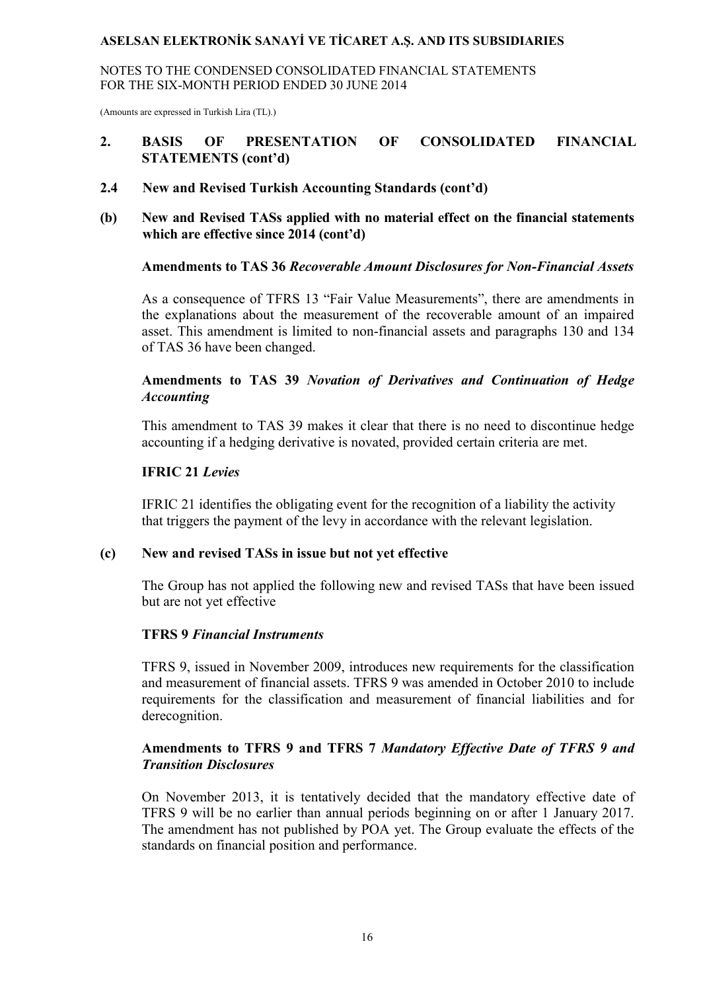NOTES TO THE CONDENSED CONSOLIDATED FINANCIAL STATEMENTS FOR THE SIX-MONTH PERIOD ENDED 30 JUNE 2014

(Amounts are expressed in Turkish Lira (TL).)

### **2. BASIS OF PRESENTATION OF CONSOLIDATED FINANCIAL STATEMENTS (cont'd)**

- **2.4 New and Revised Turkish Accounting Standards (cont'd)**
- **(b) New and Revised TASs applied with no material effect on the financial statements which are effective since 2014 (cont'd)**

#### **Amendments to TAS 36** *Recoverable Amount Disclosures for Non-Financial Assets*

As a consequence of TFRS 13 "Fair Value Measurements", there are amendments in the explanations about the measurement of the recoverable amount of an impaired asset. This amendment is limited to non-financial assets and paragraphs 130 and 134 of TAS 36 have been changed.

### **Amendments to TAS 39** *Novation of Derivatives and Continuation of Hedge Accounting*

This amendment to TAS 39 makes it clear that there is no need to discontinue hedge accounting if a hedging derivative is novated, provided certain criteria are met.

#### **IFRIC 21** *Levies*

IFRIC 21 identifies the obligating event for the recognition of a liability the activity that triggers the payment of the levy in accordance with the relevant legislation.

#### **(c) New and revised TASs in issue but not yet effective**

The Group has not applied the following new and revised TASs that have been issued but are not yet effective

#### **TFRS 9** *Financial Instruments*

TFRS 9, issued in November 2009, introduces new requirements for the classification and measurement of financial assets. TFRS 9 was amended in October 2010 to include requirements for the classification and measurement of financial liabilities and for derecognition.

### **Amendments to TFRS 9 and TFRS 7** *Mandatory Effective Date of TFRS 9 and Transition Disclosures*

On November 2013, it is tentatively decided that the mandatory effective date of TFRS 9 will be no earlier than annual periods beginning on or after 1 January 2017. The amendment has not published by POA yet. The Group evaluate the effects of the standards on financial position and performance.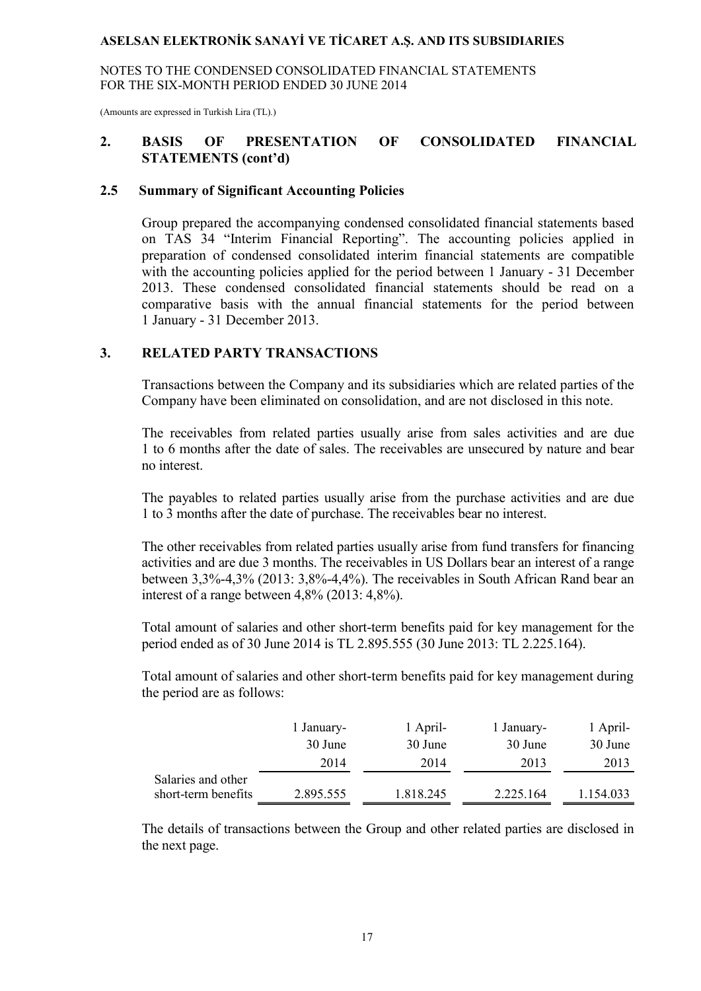NOTES TO THE CONDENSED CONSOLIDATED FINANCIAL STATEMENTS FOR THE SIX-MONTH PERIOD ENDED 30 JUNE 2014

(Amounts are expressed in Turkish Lira (TL).)

### **2. BASIS OF PRESENTATION OF CONSOLIDATED FINANCIAL STATEMENTS (cont'd)**

#### **2.5 Summary of Significant Accounting Policies**

Group prepared the accompanying condensed consolidated financial statements based on TAS 34 "Interim Financial Reporting". The accounting policies applied in preparation of condensed consolidated interim financial statements are compatible with the accounting policies applied for the period between 1 January - 31 December 2013. These condensed consolidated financial statements should be read on a comparative basis with the annual financial statements for the period between 1 January - 31 December 2013.

#### **3. RELATED PARTY TRANSACTIONS**

Transactions between the Company and its subsidiaries which are related parties of the Company have been eliminated on consolidation, and are not disclosed in this note.

The receivables from related parties usually arise from sales activities and are due 1 to 6 months after the date of sales. The receivables are unsecured by nature and bear no interest.

The payables to related parties usually arise from the purchase activities and are due 1 to 3 months after the date of purchase. The receivables bear no interest.

The other receivables from related parties usually arise from fund transfers for financing activities and are due 3 months. The receivables in US Dollars bear an interest of a range between 3,3%-4,3% (2013: 3,8%-4,4%). The receivables in South African Rand bear an interest of a range between 4,8% (2013: 4,8%).

Total amount of salaries and other short-term benefits paid for key management for the period ended as of 30 June 2014 is TL 2.895.555 (30 June 2013: TL 2.225.164).

Total amount of salaries and other short-term benefits paid for key management during the period are as follows:

|                     | l January- | 1 April-  | 1 January- | 1 April-  |
|---------------------|------------|-----------|------------|-----------|
|                     | 30 June    | 30 June   | 30 June    | 30 June   |
|                     | 2014       | 2014      | 2013       | 2013      |
| Salaries and other  |            |           |            |           |
| short-term benefits | 2.895.555  | 1.818.245 | 2.225.164  | 1.154.033 |

The details of transactions between the Group and other related parties are disclosed in the next page.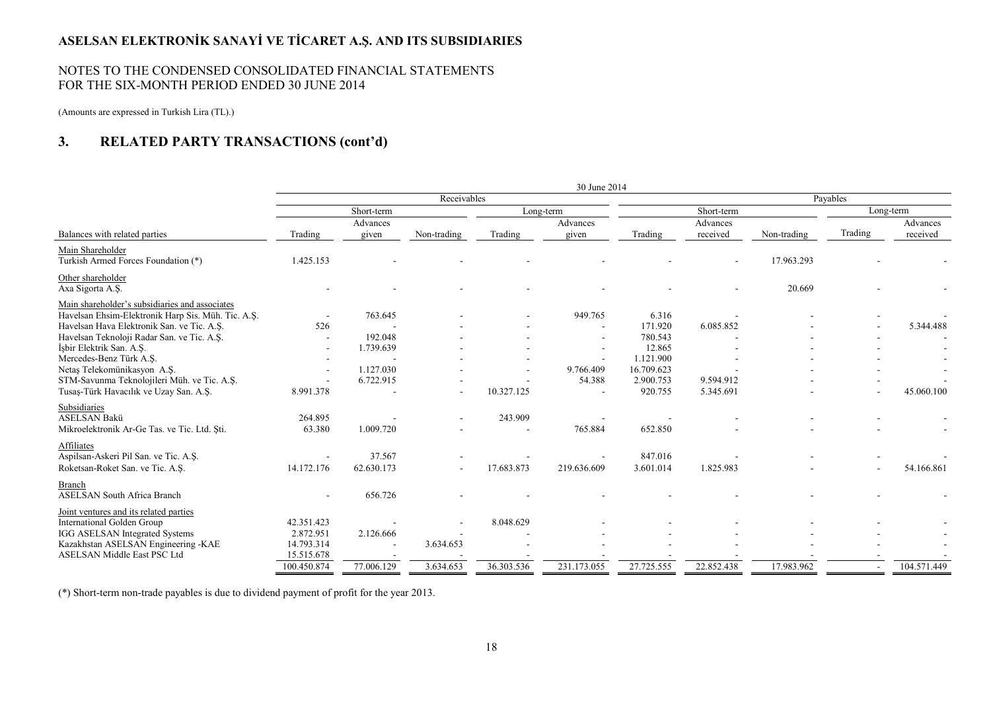#### NOTES TO THE CONDENSED CONSOLIDATED FINANCIAL STATEMENTS FOR THE SIX-MONTH PERIOD ENDED 30 JUNE 2014

(Amounts are expressed in Turkish Lira (TL).)

#### **3.RELATED PARTY TRANSACTIONS (cont'd)**

|                                                                                                                                                    | 30 June 2014                          |                        |             |            |                     |                                    |                        |             |          |             |
|----------------------------------------------------------------------------------------------------------------------------------------------------|---------------------------------------|------------------------|-------------|------------|---------------------|------------------------------------|------------------------|-------------|----------|-------------|
|                                                                                                                                                    |                                       |                        | Receivables |            |                     |                                    |                        |             | Payables |             |
|                                                                                                                                                    |                                       | Short-term             |             | Long-term  |                     |                                    | Short-term             |             |          | Long-term   |
|                                                                                                                                                    |                                       | Advances               |             |            | Advances            |                                    | Advances               |             |          | Advances    |
| Balances with related parties                                                                                                                      | Trading                               | given                  | Non-trading | Trading    | given               | Trading                            | received               | Non-trading | Trading  | received    |
| Main Shareholder<br>Turkish Armed Forces Foundation (*)                                                                                            | 1.425.153                             |                        |             |            |                     |                                    |                        | 17.963.293  |          |             |
| Other shareholder<br>Axa Sigorta A.Ş.                                                                                                              |                                       |                        |             |            |                     |                                    |                        | 20.669      |          |             |
| Main shareholder's subsidiaries and associates<br>Havelsan Ehsim-Elektronik Harp Sis. Müh. Tic. A.Ş.<br>Havelsan Hava Elektronik San. ve Tic. A.Ş. | 526                                   | 763.645                |             |            | 949.765             | 6.316<br>171.920                   | 6.085.852              |             |          | 5.344.488   |
| Havelsan Teknoloji Radar San. ve Tic. A.Ş.<br>İşbir Elektrik San. A.Ş.<br>Mercedes-Benz Türk A.Ş.                                                  |                                       | 192.048<br>1.739.639   |             |            |                     | 780.543<br>12.865<br>1.121.900     |                        |             |          |             |
| Netas Telekomünikasyon A.S.<br>STM-Savunma Teknolojileri Müh. ve Tic. A.Ş.<br>Tusaş-Türk Havacılık ve Uzay San. A.Ş.                               | 8.991.378                             | 1.127.030<br>6.722.915 |             | 10.327.125 | 9.766.409<br>54.388 | 16.709.623<br>2.900.753<br>920.755 | 9.594.912<br>5.345.691 |             |          | 45.060.100  |
| Subsidiaries<br><b>ASELSAN Bakü</b><br>Mikroelektronik Ar-Ge Tas. ve Tic. Ltd. Sti.                                                                | 264.895<br>63.380                     | 1.009.720              |             | 243.909    | 765.884             | 652.850                            |                        |             |          |             |
| Affiliates<br>Aspilsan-Askeri Pil San. ve Tic. A.S.<br>Roketsan-Roket San. ve Tic. A.S.                                                            | 14.172.176                            | 37.567<br>62.630.173   |             | 17.683.873 | 219.636.609         | 847.016<br>3.601.014               | 1.825.983              |             |          | 54.166.861  |
| Branch<br><b>ASELSAN South Africa Branch</b>                                                                                                       |                                       | 656.726                |             |            |                     |                                    |                        |             |          |             |
| Joint ventures and its related parties<br>International Golden Group<br>IGG ASELSAN Integrated Systems<br>Kazakhstan ASELSAN Engineering -KAE      | 42.351.423<br>2.872.951<br>14.793.314 | 2.126.666              | 3.634.653   | 8.048.629  |                     |                                    |                        |             |          |             |
| <b>ASELSAN Middle East PSC Ltd</b>                                                                                                                 | 15.515.678<br>100.450.874             | 77.006.129             | 3.634.653   | 36.303.536 | 231.173.055         | 27.725.555                         | 22.852.438             | 17.983.962  |          | 104.571.449 |

(\*) Short-term non-trade payables is due to dividend payment of profit for the year 2013.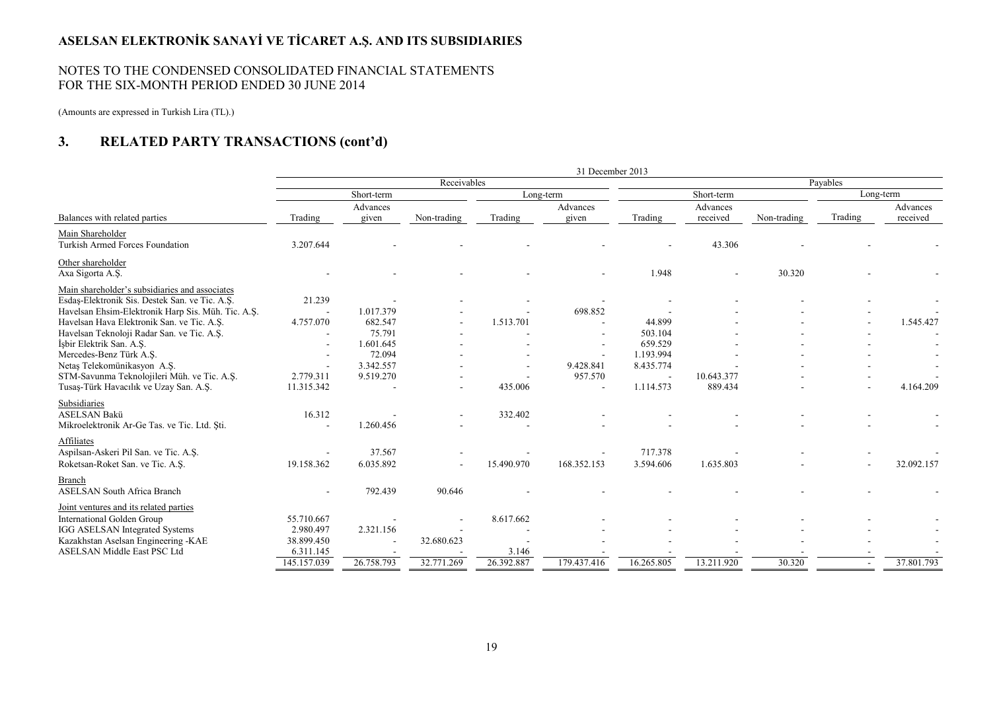#### NOTES TO THE CONDENSED CONSOLIDATED FINANCIAL STATEMENTS FOR THE SIX-MONTH PERIOD ENDED 30 JUNE 2014

(Amounts are expressed in Turkish Lira (TL).)

#### **3.RELATED PARTY TRANSACTIONS (cont'd)**

|                                                     | 31 December 2013 |                          |             |            |                   |            |                      |             |          |                      |
|-----------------------------------------------------|------------------|--------------------------|-------------|------------|-------------------|------------|----------------------|-------------|----------|----------------------|
|                                                     |                  |                          | Receivables |            |                   |            |                      |             | Payables |                      |
|                                                     |                  | Short-term               |             |            | Long-term         |            | Short-term           |             |          | Long-term            |
| Balances with related parties                       | Trading          | Advances<br>given        | Non-trading | Trading    | Advances<br>given | Trading    | Advances<br>received | Non-trading | Trading  | Advances<br>received |
|                                                     |                  |                          |             |            |                   |            |                      |             |          |                      |
| Main Shareholder<br>Turkish Armed Forces Foundation | 3.207.644        |                          |             |            |                   |            | 43.306               |             |          |                      |
| Other shareholder                                   |                  |                          |             |            |                   |            |                      |             |          |                      |
| Axa Sigorta A.Ş.                                    |                  |                          |             |            |                   | 1.948      |                      | 30.320      |          |                      |
| Main shareholder's subsidiaries and associates      |                  |                          |             |            |                   |            |                      |             |          |                      |
| Esdaş-Elektronik Sis. Destek San. ve Tic. A.Ş.      | 21.239           |                          |             |            |                   |            |                      |             |          |                      |
| Havelsan Ehsim-Elektronik Harp Sis. Müh. Tic. A.S.  |                  | 1.017.379                |             |            | 698.852           |            |                      |             |          |                      |
| Havelsan Hava Elektronik San. ve Tic. A.Ş.          | 4.757.070        | 682.547                  |             | 1.513.701  |                   | 44.899     |                      |             |          | 1.545.427            |
| Havelsan Teknoloji Radar San. ve Tic. A.S.          |                  | 75.791                   |             |            |                   | 503.104    |                      |             |          |                      |
| Isbir Elektrik San. A.S.                            |                  | 1.601.645                |             |            |                   | 659.529    |                      |             |          |                      |
| Mercedes-Benz Türk A.S.                             |                  | 72.094                   |             |            |                   | 1.193.994  |                      |             |          |                      |
| Netas Telekomünikasyon A.S.                         |                  | 3.342.557                |             |            | 9.428.841         | 8.435.774  |                      |             |          |                      |
| STM-Savunma Teknolojileri Müh. ve Tic. A.Ş.         | 2.779.311        | 9.519.270                |             |            | 957.570           |            | 10.643.377           |             |          |                      |
| Tusaş-Türk Havacılık ve Uzay San. A.Ş.              | 11.315.342       |                          |             | 435.006    |                   | 1.114.573  | 889.434              |             |          | 4.164.209            |
| Subsidiaries                                        |                  |                          |             |            |                   |            |                      |             |          |                      |
| <b>ASELSAN Bakü</b>                                 | 16.312           |                          |             | 332.402    |                   |            |                      |             |          |                      |
| Mikroelektronik Ar-Ge Tas. ve Tic. Ltd. Sti.        |                  | 1.260.456                |             |            |                   |            |                      |             |          |                      |
| Affiliates                                          |                  |                          |             |            |                   |            |                      |             |          |                      |
| Aspilsan-Askeri Pil San. ve Tic. A.Ş.               |                  | 37.567                   |             |            |                   | 717.378    |                      |             |          |                      |
| Roketsan-Roket San. ve Tic. A.S.                    | 19.158.362       | 6.035.892                |             | 15.490.970 | 168.352.153       | 3.594.606  | 1.635.803            |             |          | 32.092.157           |
| <b>Branch</b>                                       |                  |                          |             |            |                   |            |                      |             |          |                      |
| <b>ASELSAN South Africa Branch</b>                  |                  | 792.439                  | 90.646      |            |                   |            |                      |             |          |                      |
| Joint ventures and its related parties              |                  |                          |             |            |                   |            |                      |             |          |                      |
| International Golden Group                          | 55.710.667       |                          |             | 8.617.662  |                   |            |                      |             |          |                      |
| IGG ASELSAN Integrated Systems                      | 2.980.497        | 2.321.156                |             |            |                   |            |                      |             |          |                      |
| Kazakhstan Aselsan Engineering - KAE                | 38.899.450       | $\overline{\phantom{a}}$ | 32.680.623  |            |                   |            |                      |             |          |                      |
| ASELSAN Middle East PSC Ltd                         | 6.311.145        |                          |             | 3.146      |                   |            |                      |             |          |                      |
|                                                     | 145.157.039      | 26.758.793               | 32.771.269  | 26.392.887 | 179.437.416       | 16.265.805 | 13.211.920           | 30.320      | $\sim$   | 37.801.793           |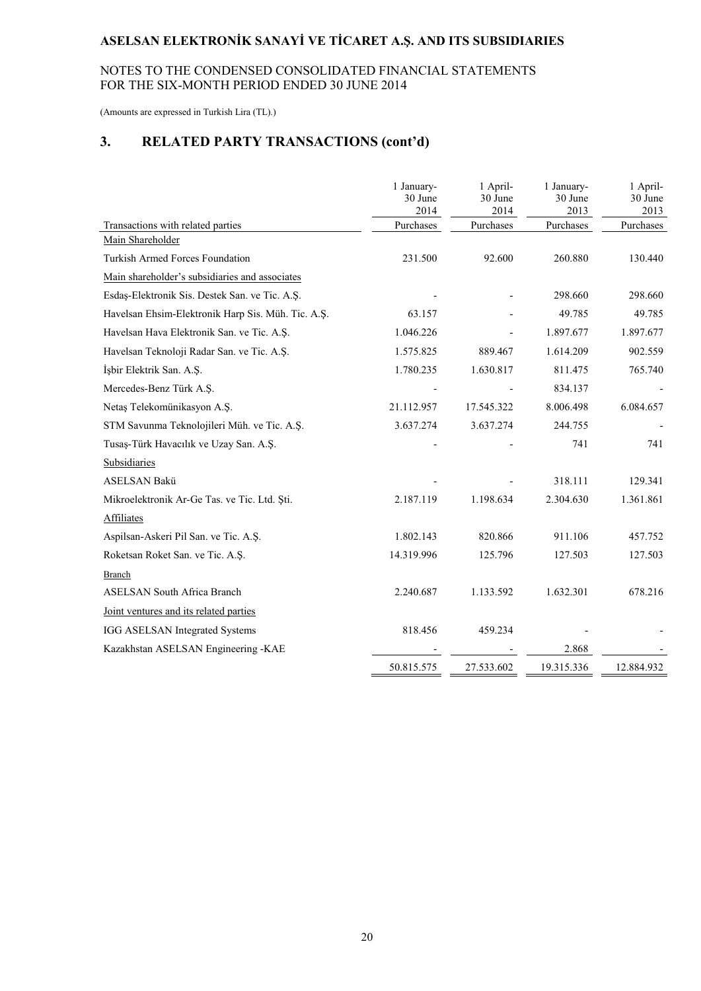#### NOTES TO THE CONDENSED CONSOLIDATED FINANCIAL STATEMENTS FOR THE SIX-MONTH PERIOD ENDED 30 JUNE 2014

(Amounts are expressed in Turkish Lira (TL).)

# **3. RELATED PARTY TRANSACTIONS (cont'd)**

|                                                    | 1 January-<br>30 June<br>2014 | 1 April-<br>30 June<br>2014 | 1 January-<br>30 June<br>2013 | 1 April-<br>30 June<br>2013 |
|----------------------------------------------------|-------------------------------|-----------------------------|-------------------------------|-----------------------------|
| Transactions with related parties                  | Purchases                     | Purchases                   | Purchases                     | Purchases                   |
| Main Shareholder                                   |                               |                             |                               |                             |
| <b>Turkish Armed Forces Foundation</b>             | 231.500                       | 92.600                      | 260.880                       | 130.440                     |
| Main shareholder's subsidiaries and associates     |                               |                             |                               |                             |
| Esdaş-Elektronik Sis. Destek San. ve Tic. A.Ş.     |                               |                             | 298.660                       | 298.660                     |
| Havelsan Ehsim-Elektronik Harp Sis. Müh. Tic. A.Ş. | 63.157                        |                             | 49.785                        | 49.785                      |
| Havelsan Hava Elektronik San. ve Tic. A.Ş.         | 1.046.226                     |                             | 1.897.677                     | 1.897.677                   |
| Havelsan Teknoloji Radar San. ve Tic. A.Ş.         | 1.575.825                     | 889.467                     | 1.614.209                     | 902.559                     |
| İşbir Elektrik San. A.Ş.                           | 1.780.235                     | 1.630.817                   | 811.475                       | 765.740                     |
| Mercedes-Benz Türk A.Ş.                            |                               |                             | 834.137                       |                             |
| Netaş Telekomünikasyon A.Ş.                        | 21.112.957                    | 17.545.322                  | 8.006.498                     | 6.084.657                   |
| STM Savunma Teknolojileri Müh. ve Tic. A.Ş.        | 3.637.274                     | 3.637.274                   | 244.755                       |                             |
| Tusaş-Türk Havacılık ve Uzay San. A.Ş.             |                               |                             | 741                           | 741                         |
| Subsidiaries                                       |                               |                             |                               |                             |
| <b>ASELSAN Bakü</b>                                |                               |                             | 318.111                       | 129.341                     |
| Mikroelektronik Ar-Ge Tas. ve Tic. Ltd. Şti.       | 2.187.119                     | 1.198.634                   | 2.304.630                     | 1.361.861                   |
| <b>Affiliates</b>                                  |                               |                             |                               |                             |
| Aspilsan-Askeri Pil San. ve Tic. A.Ş.              | 1.802.143                     | 820.866                     | 911.106                       | 457.752                     |
| Roketsan Roket San. ve Tic. A.Ş.                   | 14.319.996                    | 125.796                     | 127.503                       | 127.503                     |
| <b>Branch</b>                                      |                               |                             |                               |                             |
| <b>ASELSAN South Africa Branch</b>                 | 2.240.687                     | 1.133.592                   | 1.632.301                     | 678.216                     |
| Joint ventures and its related parties             |                               |                             |                               |                             |
| IGG ASELSAN Integrated Systems                     | 818.456                       | 459.234                     |                               |                             |
| Kazakhstan ASELSAN Engineering -KAE                |                               |                             | 2.868                         |                             |
|                                                    | 50.815.575                    | 27.533.602                  | 19.315.336                    | 12.884.932                  |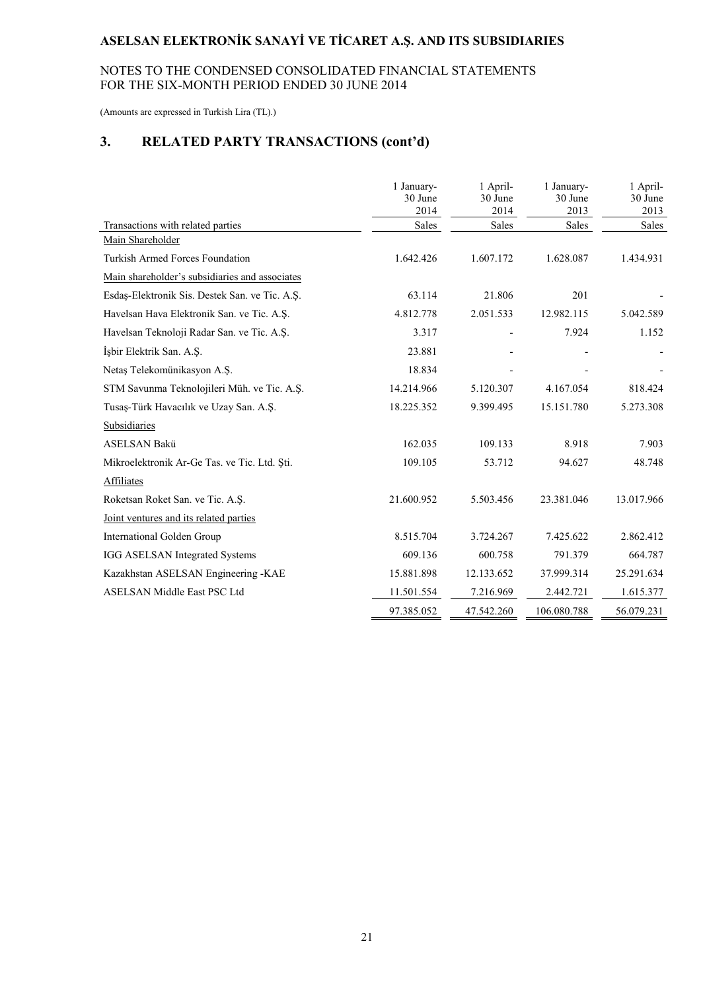### NOTES TO THE CONDENSED CONSOLIDATED FINANCIAL STATEMENTS FOR THE SIX-MONTH PERIOD ENDED 30 JUNE 2014

(Amounts are expressed in Turkish Lira (TL).)

# **3. RELATED PARTY TRANSACTIONS (cont'd)**

|                                                | 1 January-<br>30 June<br>2014 | 1 April-<br>30 June<br>2014 | 1 January-<br>30 June<br>2013 | 1 April-<br>30 June<br>2013 |
|------------------------------------------------|-------------------------------|-----------------------------|-------------------------------|-----------------------------|
| Transactions with related parties              | Sales                         | Sales                       | Sales                         | Sales                       |
| Main Shareholder                               |                               |                             |                               |                             |
| <b>Turkish Armed Forces Foundation</b>         | 1.642.426                     | 1.607.172                   | 1.628.087                     | 1.434.931                   |
| Main shareholder's subsidiaries and associates |                               |                             |                               |                             |
| Esdaș-Elektronik Sis. Destek San. ve Tic. A.Ş. | 63.114                        | 21.806                      | 201                           |                             |
| Havelsan Hava Elektronik San. ve Tic. A.Ş.     | 4.812.778                     | 2.051.533                   | 12.982.115                    | 5.042.589                   |
| Havelsan Teknoloji Radar San. ve Tic. A.Ş.     | 3.317                         |                             | 7.924                         | 1.152                       |
| İşbir Elektrik San. A.Ş.                       | 23.881                        |                             |                               |                             |
| Netaş Telekomünikasyon A.Ş.                    | 18.834                        |                             |                               |                             |
| STM Savunma Teknolojileri Müh. ve Tic. A.Ş.    | 14.214.966                    | 5.120.307                   | 4.167.054                     | 818.424                     |
| Tusaş-Türk Havacılık ve Uzay San. A.Ş.         | 18.225.352                    | 9.399.495                   | 15.151.780                    | 5.273.308                   |
| Subsidiaries                                   |                               |                             |                               |                             |
| <b>ASELSAN Bakü</b>                            | 162.035                       | 109.133                     | 8.918                         | 7.903                       |
| Mikroelektronik Ar-Ge Tas. ve Tic. Ltd. Şti.   | 109.105                       | 53.712                      | 94.627                        | 48.748                      |
| <b>Affiliates</b>                              |                               |                             |                               |                             |
| Roketsan Roket San. ve Tic. A.S.               | 21.600.952                    | 5.503.456                   | 23.381.046                    | 13.017.966                  |
| Joint ventures and its related parties         |                               |                             |                               |                             |
| International Golden Group                     | 8.515.704                     | 3.724.267                   | 7.425.622                     | 2.862.412                   |
| IGG ASELSAN Integrated Systems                 | 609.136                       | 600.758                     | 791.379                       | 664.787                     |
| Kazakhstan ASELSAN Engineering -KAE            | 15.881.898                    | 12.133.652                  | 37.999.314                    | 25.291.634                  |
| <b>ASELSAN Middle East PSC Ltd</b>             | 11.501.554                    | 7.216.969                   | 2.442.721                     | 1.615.377                   |
|                                                | 97.385.052                    | 47.542.260                  | 106.080.788                   | 56.079.231                  |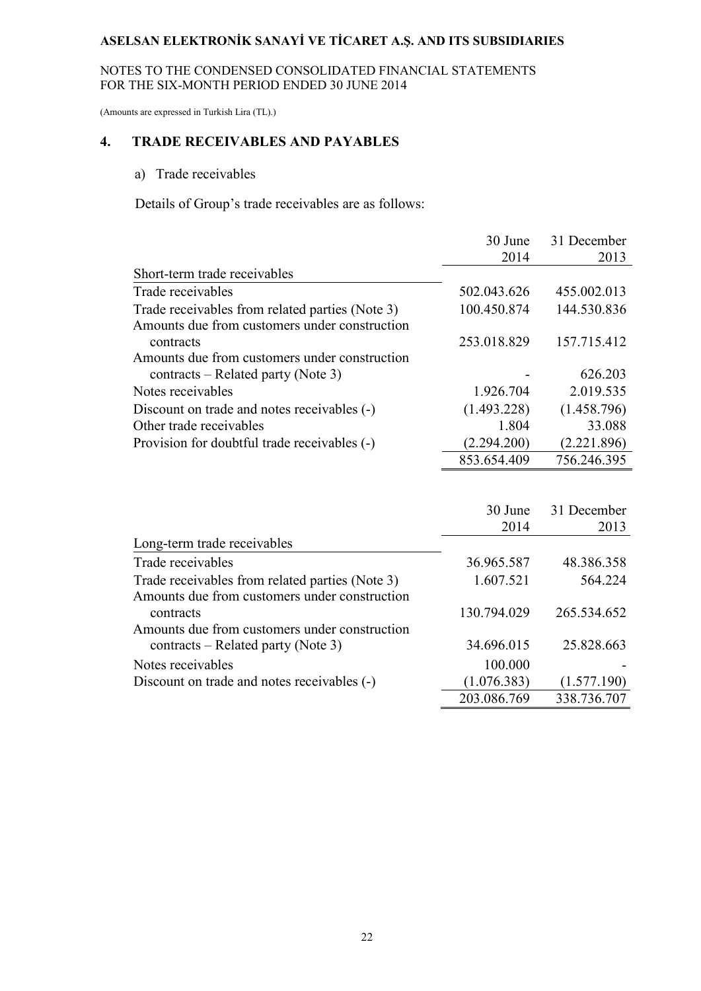#### NOTES TO THE CONDENSED CONSOLIDATED FINANCIAL STATEMENTS FOR THE SIX-MONTH PERIOD ENDED 30 JUNE 2014

(Amounts are expressed in Turkish Lira (TL).)

# **4. TRADE RECEIVABLES AND PAYABLES**

#### a) Trade receivables

Details of Group's trade receivables are as follows:

|                                                 | 30 June     | 31 December |
|-------------------------------------------------|-------------|-------------|
|                                                 | 2014        | 2013        |
| Short-term trade receivables                    |             |             |
| Trade receivables                               | 502.043.626 | 455.002.013 |
| Trade receivables from related parties (Note 3) | 100.450.874 | 144.530.836 |
| Amounts due from customers under construction   |             |             |
| contracts                                       | 253.018.829 | 157.715.412 |
| Amounts due from customers under construction   |             |             |
| contracts – Related party (Note 3)              |             | 626.203     |
| Notes receivables                               | 1.926.704   | 2.019.535   |
| Discount on trade and notes receivables (-)     | (1.493.228) | (1.458.796) |
| Other trade receivables                         | 1.804       | 33.088      |
| Provision for doubtful trade receivables (-)    | (2.294.200) | (2.221.896) |
|                                                 | 853.654.409 | 756.246.395 |

|                                                 | 30 June     | 31 December |
|-------------------------------------------------|-------------|-------------|
|                                                 | 2014        | 2013        |
| Long-term trade receivables                     |             |             |
| Trade receivables                               | 36.965.587  | 48.386.358  |
| Trade receivables from related parties (Note 3) | 1.607.521   | 564.224     |
| Amounts due from customers under construction   |             |             |
| contracts                                       | 130.794.029 | 265.534.652 |
| Amounts due from customers under construction   |             |             |
| contracts – Related party (Note 3)              | 34.696.015  | 25.828.663  |
| Notes receivables                               | 100.000     |             |
| Discount on trade and notes receivables (-)     | (1.076.383) | (1.577.190) |
|                                                 | 203.086.769 | 338.736.707 |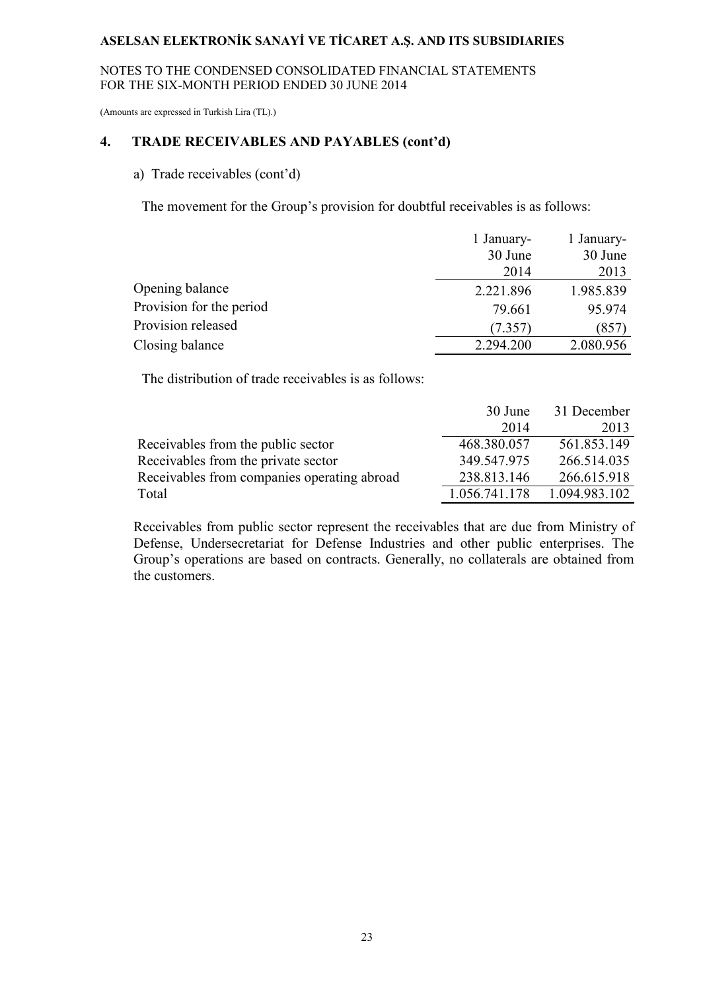#### NOTES TO THE CONDENSED CONSOLIDATED FINANCIAL STATEMENTS FOR THE SIX-MONTH PERIOD ENDED 30 JUNE 2014

(Amounts are expressed in Turkish Lira (TL).)

#### **4. TRADE RECEIVABLES AND PAYABLES (cont'd)**

# a) Trade receivables (cont'd)

The movement for the Group's provision for doubtful receivables is as follows:

|                          | 1 January- | 1 January- |
|--------------------------|------------|------------|
|                          | 30 June    | 30 June    |
|                          | 2014       | 2013       |
| Opening balance          | 2.221.896  | 1.985.839  |
| Provision for the period | 79.661     | 95.974     |
| Provision released       | (7.357)    | (857)      |
| Closing balance          | 2.294.200  | 2.080.956  |

The distribution of trade receivables is as follows:

|                                             | 30 June       | 31 December   |
|---------------------------------------------|---------------|---------------|
|                                             | 2014          | 2013          |
| Receivables from the public sector          | 468.380.057   | 561.853.149   |
| Receivables from the private sector         | 349.547.975   | 266.514.035   |
| Receivables from companies operating abroad | 238.813.146   | 266.615.918   |
| Total                                       | 1.056.741.178 | 1.094.983.102 |

Receivables from public sector represent the receivables that are due from Ministry of Defense, Undersecretariat for Defense Industries and other public enterprises. The Group's operations are based on contracts. Generally, no collaterals are obtained from the customers.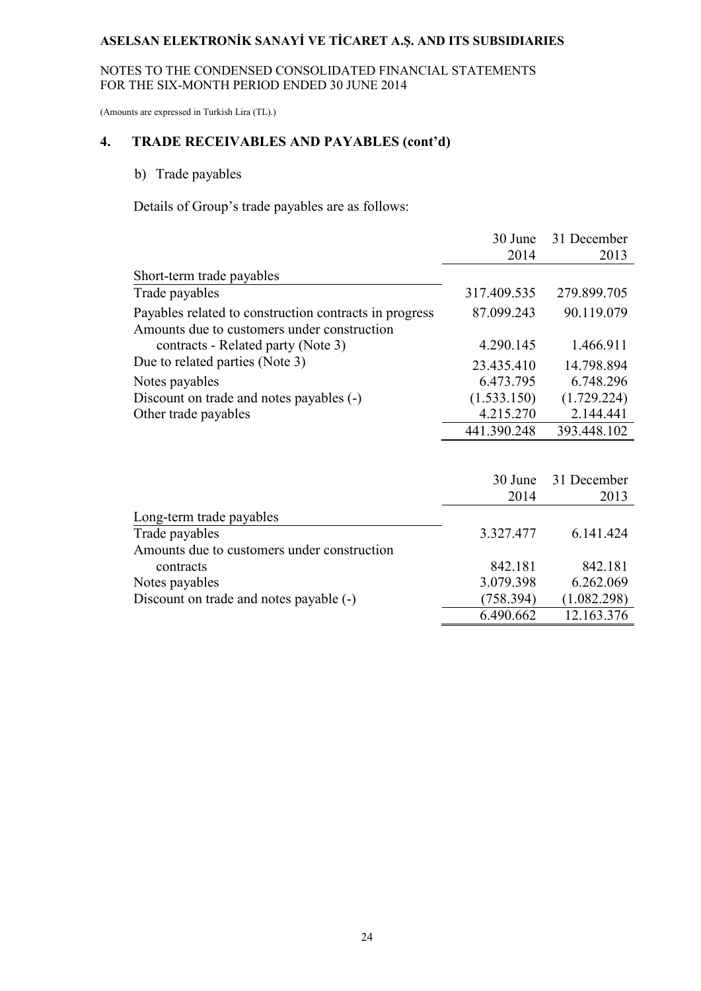#### NOTES TO THE CONDENSED CONSOLIDATED FINANCIAL STATEMENTS FOR THE SIX-MONTH PERIOD ENDED 30 JUNE 2014

(Amounts are expressed in Turkish Lira (TL).)

# **4. TRADE RECEIVABLES AND PAYABLES (cont'd)**

# b) Trade payables

Details of Group's trade payables are as follows:

|                                                                                                       | 30 June     | 31 December |
|-------------------------------------------------------------------------------------------------------|-------------|-------------|
|                                                                                                       | 2014        | 2013        |
| Short-term trade payables                                                                             |             |             |
| Trade payables                                                                                        | 317.409.535 | 279.899.705 |
| Payables related to construction contracts in progress<br>Amounts due to customers under construction | 87.099.243  | 90.119.079  |
| contracts - Related party (Note 3)                                                                    | 4.290.145   | 1.466.911   |
| Due to related parties (Note 3)                                                                       | 23.435.410  | 14.798.894  |
| Notes payables                                                                                        | 6.473.795   | 6.748.296   |
| Discount on trade and notes payables (-)                                                              | (1.533.150) | (1.729.224) |
| Other trade payables                                                                                  | 4.215.270   | 2.144.441   |
|                                                                                                       | 441.390.248 | 393.448.102 |
|                                                                                                       |             |             |
|                                                                                                       | 30 June     | 31 December |
|                                                                                                       | 2014        | 2013        |
| Long-term trade payables                                                                              |             |             |
| Trade payables                                                                                        | 3.327.477   | 6.141.424   |
| Amounts due to customers under construction                                                           |             |             |
| contracts                                                                                             | 842.181     | 842.181     |
| Notes payables                                                                                        | 3.079.398   | 6.262.069   |
| Discount on trade and notes payable (-)                                                               | (758.394)   | (1.082.298) |
|                                                                                                       | 6.490.662   | 12.163.376  |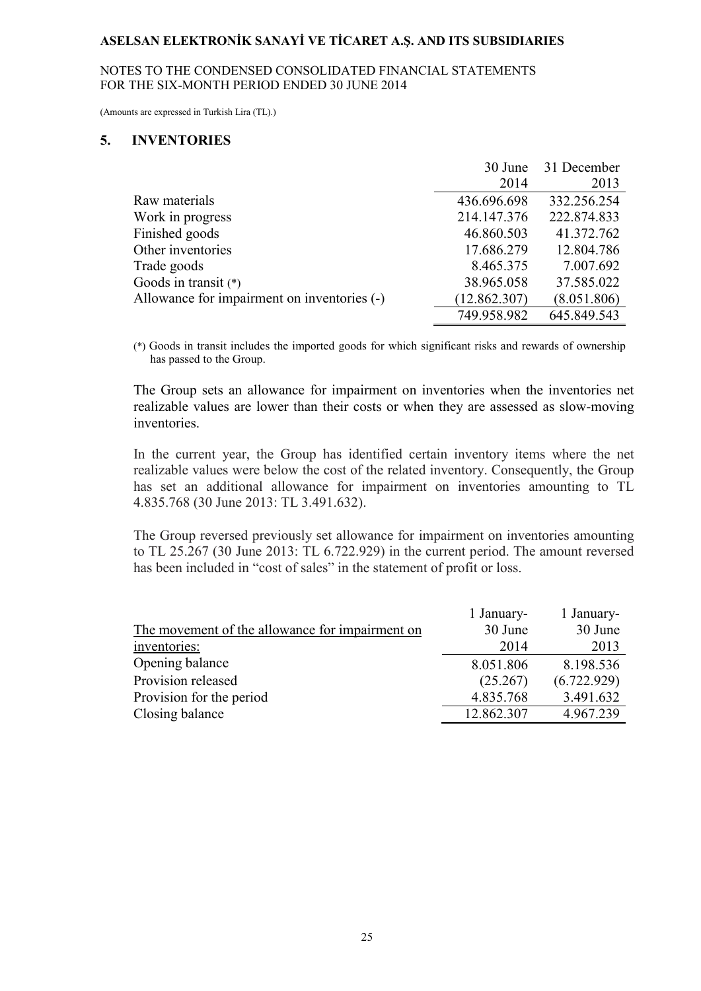#### NOTES TO THE CONDENSED CONSOLIDATED FINANCIAL STATEMENTS FOR THE SIX-MONTH PERIOD ENDED 30 JUNE 2014

(Amounts are expressed in Turkish Lira (TL).)

#### **5. INVENTORIES**

|                                             | 30 June      | 31 December |
|---------------------------------------------|--------------|-------------|
|                                             | 2014         | 2013        |
| Raw materials                               | 436.696.698  | 332.256.254 |
| Work in progress                            | 214.147.376  | 222.874.833 |
| Finished goods                              | 46.860.503   | 41.372.762  |
| Other inventories                           | 17.686.279   | 12.804.786  |
| Trade goods                                 | 8.465.375    | 7.007.692   |
| Goods in transit $(*)$                      | 38.965.058   | 37.585.022  |
| Allowance for impairment on inventories (-) | (12.862.307) | (8.051.806) |
|                                             | 749.958.982  | 645.849.543 |

(\*) Goods in transit includes the imported goods for which significant risks and rewards of ownership has passed to the Group.

The Group sets an allowance for impairment on inventories when the inventories net realizable values are lower than their costs or when they are assessed as slow-moving *inventories* 

In the current year, the Group has identified certain inventory items where the net realizable values were below the cost of the related inventory. Consequently, the Group has set an additional allowance for impairment on inventories amounting to TL 4.835.768 (30 June 2013: TL 3.491.632).

 The Group reversed previously set allowance for impairment on inventories amounting to TL 25.267 (30 June 2013: TL 6.722.929) in the current period. The amount reversed has been included in "cost of sales" in the statement of profit or loss.

|                                                 | 1 January- | 1 January-  |
|-------------------------------------------------|------------|-------------|
| The movement of the allowance for impairment on | 30 June    | 30 June     |
| inventories:                                    | 2014       | 2013        |
| Opening balance                                 | 8.051.806  | 8.198.536   |
| Provision released                              | (25.267)   | (6.722.929) |
| Provision for the period                        | 4.835.768  | 3.491.632   |
| Closing balance                                 | 12.862.307 | 4.967.239   |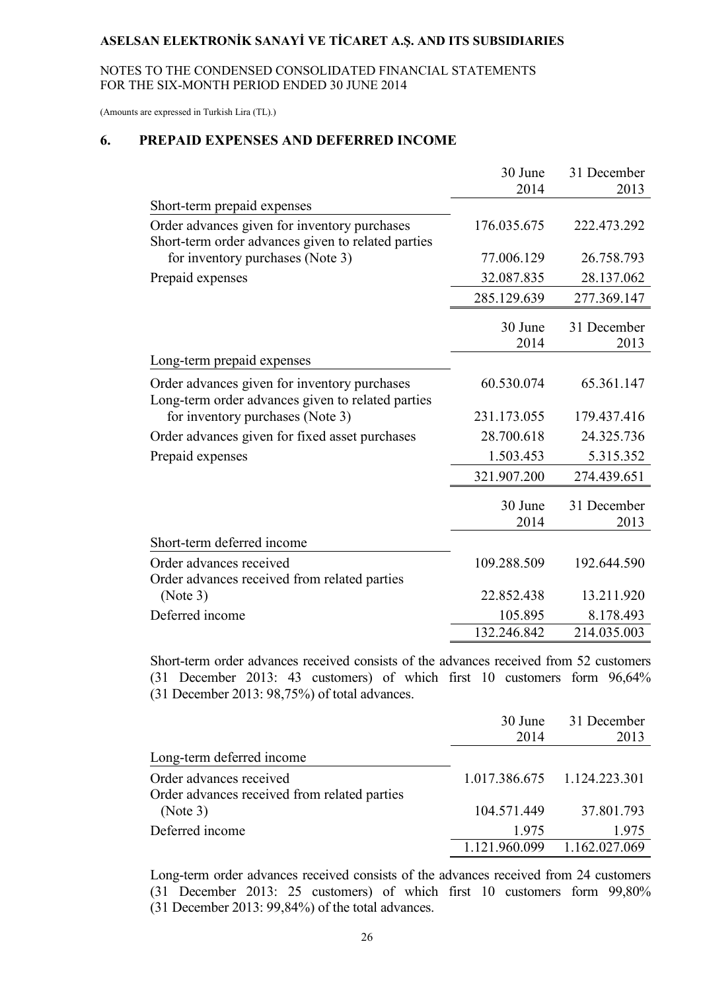NOTES TO THE CONDENSED CONSOLIDATED FINANCIAL STATEMENTS FOR THE SIX-MONTH PERIOD ENDED 30 JUNE 2014

(Amounts are expressed in Turkish Lira (TL).)

### **6. PREPAID EXPENSES AND DEFERRED INCOME**

|                                                                                                    | 30 June         | 31 December         |
|----------------------------------------------------------------------------------------------------|-----------------|---------------------|
|                                                                                                    | 2014            | 2013                |
| Short-term prepaid expenses                                                                        |                 |                     |
| Order advances given for inventory purchases<br>Short-term order advances given to related parties | 176.035.675     | 222.473.292         |
| for inventory purchases (Note 3)                                                                   | 77.006.129      | 26.758.793          |
| Prepaid expenses                                                                                   | 32.087.835      | 28.137.062          |
|                                                                                                    | 285.129.639     | 277.369.147         |
|                                                                                                    | 30 June<br>2014 | 31 December<br>2013 |
| Long-term prepaid expenses                                                                         |                 |                     |
| Order advances given for inventory purchases<br>Long-term order advances given to related parties  | 60.530.074      | 65.361.147          |
| for inventory purchases (Note 3)                                                                   | 231.173.055     | 179.437.416         |
| Order advances given for fixed asset purchases                                                     | 28.700.618      | 24.325.736          |
| Prepaid expenses                                                                                   | 1.503.453       | 5.315.352           |
|                                                                                                    | 321.907.200     | 274.439.651         |
|                                                                                                    | 30 June<br>2014 | 31 December<br>2013 |
| Short-term deferred income                                                                         |                 |                     |
| Order advances received<br>Order advances received from related parties                            | 109.288.509     | 192.644.590         |
| (Note 3)                                                                                           | 22.852.438      | 13.211.920          |
| Deferred income                                                                                    | 105.895         | 8.178.493           |
|                                                                                                    | 132.246.842     | 214.035.003         |

Short-term order advances received consists of the advances received from 52 customers (31 December 2013: 43 customers) of which first 10 customers form 96,64% (31 December 2013: 98,75%) of total advances.

|                                                                         | 30 June<br>2014 | 31 December<br>2013           |
|-------------------------------------------------------------------------|-----------------|-------------------------------|
| Long-term deferred income                                               |                 |                               |
| Order advances received<br>Order advances received from related parties |                 | 1.017.386.675   1.124.223.301 |
| (Note 3)                                                                | 104.571.449     | 37.801.793                    |
| Deferred income                                                         | 1.975           | 1.975                         |
|                                                                         | 1.121.960.099   | 1.162.027.069                 |

Long-term order advances received consists of the advances received from 24 customers (31 December 2013: 25 customers) of which first 10 customers form 99,80% (31 December 2013: 99,84%) of the total advances.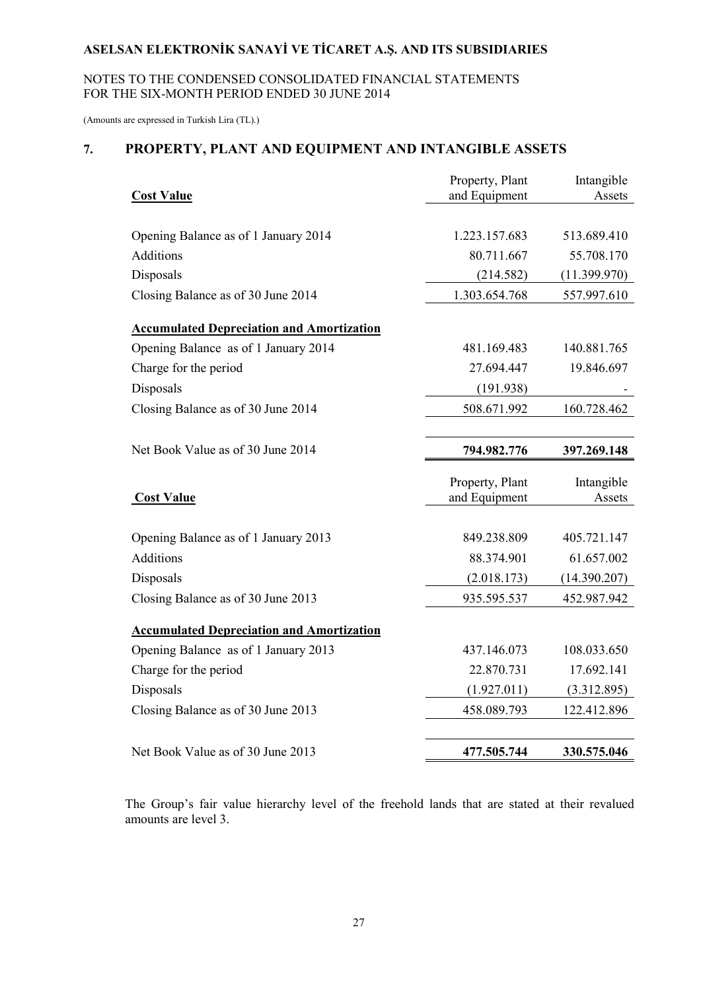#### NOTES TO THE CONDENSED CONSOLIDATED FINANCIAL STATEMENTS FOR THE SIX-MONTH PERIOD ENDED 30 JUNE 2014

(Amounts are expressed in Turkish Lira (TL).)

# **7. PROPERTY, PLANT AND EQUIPMENT AND INTANGIBLE ASSETS**

| <b>Cost Value</b>                                | Property, Plant<br>and Equipment | Intangible<br>Assets |
|--------------------------------------------------|----------------------------------|----------------------|
|                                                  |                                  |                      |
| Opening Balance as of 1 January 2014             | 1.223.157.683                    | 513.689.410          |
| <b>Additions</b>                                 | 80.711.667                       | 55.708.170           |
| Disposals                                        | (214.582)                        | (11.399.970)         |
| Closing Balance as of 30 June 2014               | 1.303.654.768                    | 557.997.610          |
| <b>Accumulated Depreciation and Amortization</b> |                                  |                      |
| Opening Balance as of 1 January 2014             | 481.169.483                      | 140.881.765          |
| Charge for the period                            | 27.694.447                       | 19.846.697           |
| Disposals                                        | (191.938)                        |                      |
| Closing Balance as of 30 June 2014               | 508.671.992                      | 160.728.462          |
|                                                  |                                  |                      |
| Net Book Value as of 30 June 2014                | 794.982.776                      | 397.269.148          |
| <b>Cost Value</b>                                | Property, Plant<br>and Equipment | Intangible<br>Assets |
|                                                  |                                  |                      |
| Opening Balance as of 1 January 2013             | 849.238.809                      | 405.721.147          |
| <b>Additions</b>                                 | 88.374.901                       | 61.657.002           |
| Disposals                                        | (2.018.173)                      | (14.390.207)         |
| Closing Balance as of 30 June 2013               | 935.595.537                      | 452.987.942          |
| <b>Accumulated Depreciation and Amortization</b> |                                  |                      |
| Opening Balance as of 1 January 2013             | 437.146.073                      | 108.033.650          |
| Charge for the period                            | 22.870.731                       | 17.692.141           |
| Disposals                                        | (1.927.011)                      | (3.312.895)          |
| Closing Balance as of 30 June 2013               | 458.089.793                      | 122.412.896          |
|                                                  |                                  |                      |
| Net Book Value as of 30 June 2013                | 477.505.744                      | 330.575.046          |

The Group's fair value hierarchy level of the freehold lands that are stated at their revalued amounts are level 3.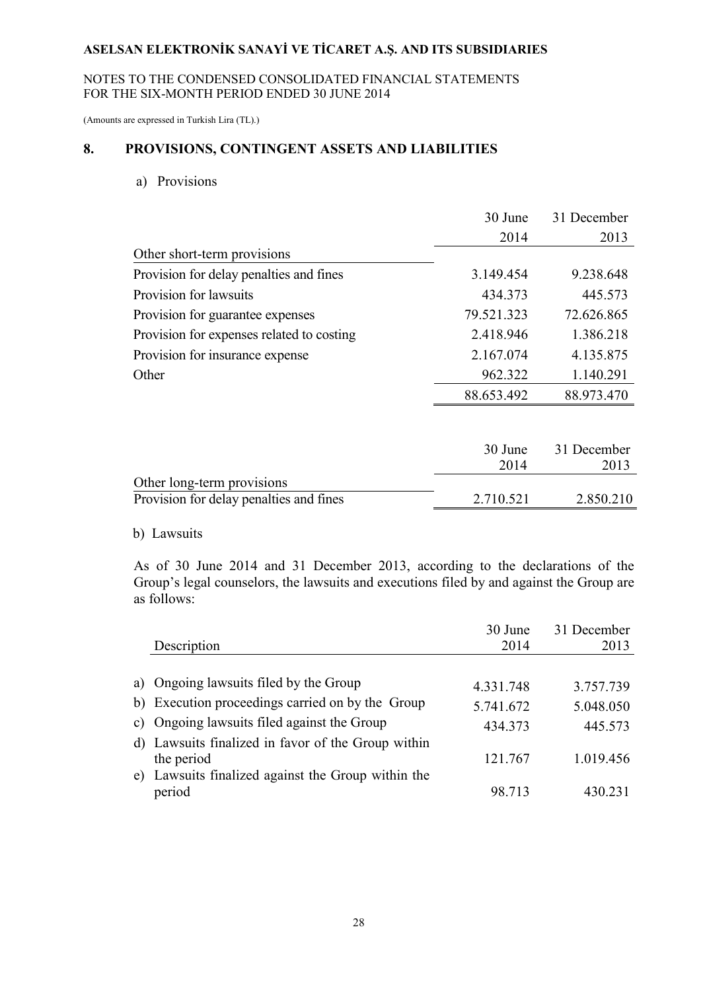#### NOTES TO THE CONDENSED CONSOLIDATED FINANCIAL STATEMENTS FOR THE SIX-MONTH PERIOD ENDED 30 JUNE 2014

(Amounts are expressed in Turkish Lira (TL).)

## **8. PROVISIONS, CONTINGENT ASSETS AND LIABILITIES**

a) Provisions

|                                           | 30 June    | 31 December |
|-------------------------------------------|------------|-------------|
|                                           | 2014       | 2013        |
| Other short-term provisions               |            |             |
| Provision for delay penalties and fines   | 3.149.454  | 9.238.648   |
| Provision for lawsuits                    | 434.373    | 445.573     |
| Provision for guarantee expenses          | 79.521.323 | 72.626.865  |
| Provision for expenses related to costing | 2.418.946  | 1.386.218   |
| Provision for insurance expense           | 2.167.074  | 4.135.875   |
| Other                                     | 962.322    | 1.140.291   |
|                                           | 88.653.492 | 88.973.470  |
|                                           |            |             |
|                                           | 30 June    | 31 December |
|                                           | 2014       | 2013        |
| Other long-term provisions                |            |             |
| Provision for delay penalties and fines   | 2.710.521  | 2.850.210   |

#### b) Lawsuits

As of 30 June 2014 and 31 December 2013, according to the declarations of the Group's legal counselors, the lawsuits and executions filed by and against the Group are as follows:

|                                                                  | 30 June   | 31 December |
|------------------------------------------------------------------|-----------|-------------|
| Description                                                      | 2014      | 2013        |
| a) Ongoing lawsuits filed by the Group                           | 4.331.748 | 3.757.739   |
| b) Execution proceedings carried on by the Group                 | 5.741.672 | 5.048.050   |
| c) Ongoing lawsuits filed against the Group                      | 434.373   | 445.573     |
| d) Lawsuits finalized in favor of the Group within<br>the period | 121.767   | 1.019.456   |
| e) Lawsuits finalized against the Group within the<br>period     | 98.713    | 430.231     |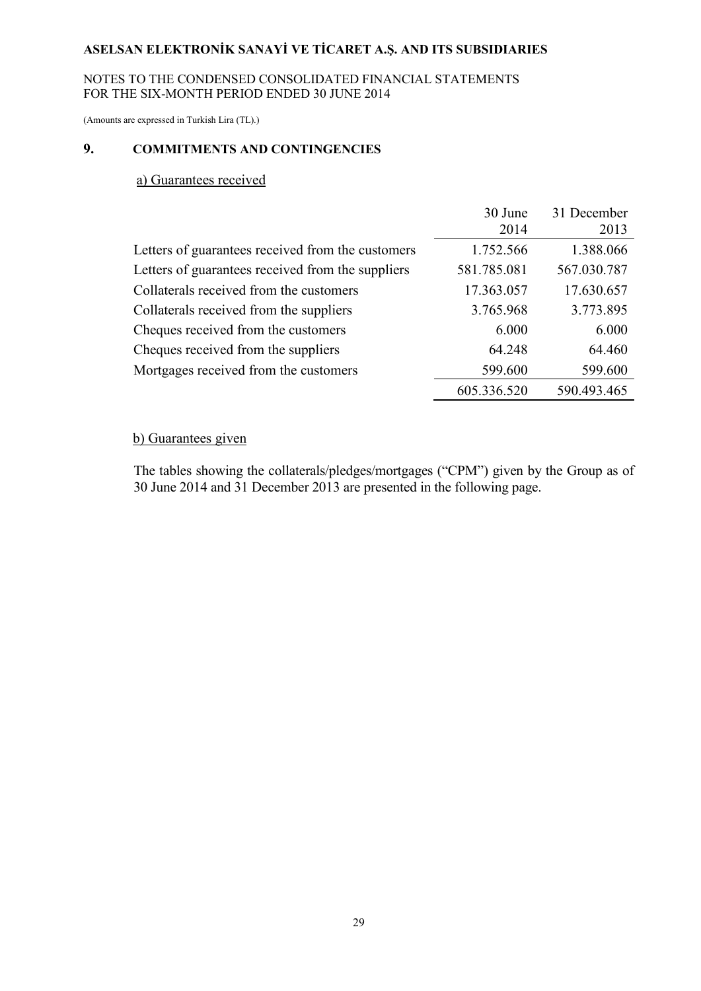#### NOTES TO THE CONDENSED CONSOLIDATED FINANCIAL STATEMENTS FOR THE SIX-MONTH PERIOD ENDED 30 JUNE 2014

(Amounts are expressed in Turkish Lira (TL).)

## **9. COMMITMENTS AND CONTINGENCIES**

#### a) Guarantees received

|                                                   | 30 June     | 31 December |
|---------------------------------------------------|-------------|-------------|
|                                                   | 2014        | 2013        |
| Letters of guarantees received from the customers | 1.752.566   | 1.388.066   |
| Letters of guarantees received from the suppliers | 581.785.081 | 567.030.787 |
| Collaterals received from the customers           | 17.363.057  | 17.630.657  |
| Collaterals received from the suppliers           | 3.765.968   | 3.773.895   |
| Cheques received from the customers               | 6.000       | 6.000       |
| Cheques received from the suppliers               | 64.248      | 64.460      |
| Mortgages received from the customers             | 599.600     | 599.600     |
|                                                   | 605.336.520 | 590.493.465 |

# b) Guarantees given

The tables showing the collaterals/pledges/mortgages ("CPM") given by the Group as of 30 June 2014 and 31 December 2013 are presented in the following page.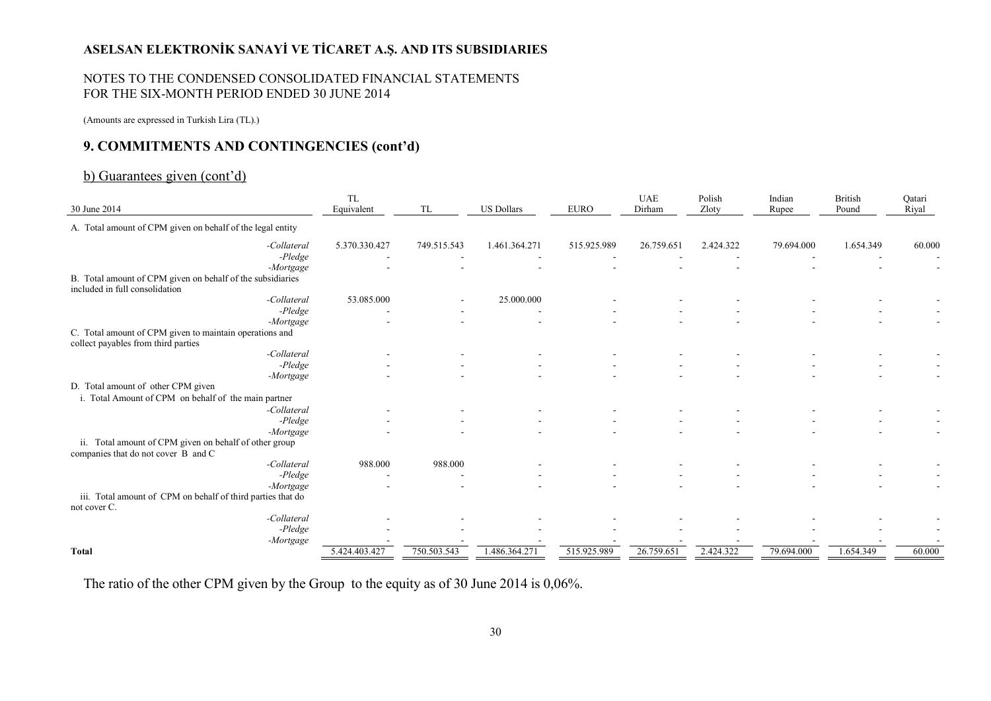#### NOTES TO THE CONDENSED CONSOLIDATED FINANCIAL STATEMENTS FOR THE SIX-MONTH PERIOD ENDED 30 JUNE 2014

(Amounts are expressed in Turkish Lira (TL).)

### **9. COMMITMENTS AND CONTINGENCIES (cont'd)**

### b) Guarantees given (cont'd)

| 30 June 2014                                                                                   | <b>TL</b><br>Equivalent | TL          | <b>US Dollars</b> | <b>EURO</b> | <b>UAE</b><br>Dirham | Polish<br>Zloty | Indian<br>Rupee | <b>British</b><br>Pound | Qatari<br>Riyal |
|------------------------------------------------------------------------------------------------|-------------------------|-------------|-------------------|-------------|----------------------|-----------------|-----------------|-------------------------|-----------------|
|                                                                                                |                         |             |                   |             |                      |                 |                 |                         |                 |
| A. Total amount of CPM given on behalf of the legal entity                                     |                         |             |                   |             |                      |                 |                 |                         |                 |
| -Collateral                                                                                    | 5.370.330.427           | 749.515.543 | 1.461.364.271     | 515.925.989 | 26.759.651           | 2.424.322       | 79.694.000      | 1.654.349               | 60.000          |
| $-P$ <i>ledge</i>                                                                              |                         |             |                   |             |                      |                 |                 |                         |                 |
| -Mortgage                                                                                      |                         |             |                   |             |                      |                 |                 |                         |                 |
| B. Total amount of CPM given on behalf of the subsidiaries                                     |                         |             |                   |             |                      |                 |                 |                         |                 |
| included in full consolidation                                                                 |                         |             |                   |             |                      |                 |                 |                         |                 |
| -Collateral                                                                                    | 53.085.000              |             | 25.000.000        |             |                      |                 |                 |                         |                 |
| -Pledge                                                                                        |                         |             |                   |             |                      |                 |                 |                         |                 |
| -Mortgage                                                                                      |                         |             |                   |             |                      |                 |                 |                         |                 |
| C. Total amount of CPM given to maintain operations and<br>collect payables from third parties |                         |             |                   |             |                      |                 |                 |                         |                 |
| -Collateral                                                                                    |                         |             |                   |             |                      |                 |                 |                         |                 |
| $-P$ <i>ledge</i>                                                                              |                         |             |                   |             |                      |                 |                 |                         |                 |
| -Mortgage                                                                                      |                         |             |                   |             |                      |                 |                 |                         |                 |
| D. Total amount of other CPM given                                                             |                         |             |                   |             |                      |                 |                 |                         |                 |
| i. Total Amount of CPM on behalf of the main partner                                           |                         |             |                   |             |                      |                 |                 |                         |                 |
| -Collateral                                                                                    |                         |             |                   |             |                      |                 |                 |                         |                 |
| $-P$ <i>ledge</i>                                                                              |                         |             |                   |             |                      |                 |                 |                         |                 |
| -Mortgage                                                                                      |                         |             |                   |             |                      |                 |                 |                         |                 |
| ii. Total amount of CPM given on behalf of other group<br>companies that do not cover B and C  |                         |             |                   |             |                      |                 |                 |                         |                 |
| -Collateral                                                                                    | 988.000                 | 988.000     |                   |             |                      |                 |                 |                         |                 |
| -Pledge                                                                                        |                         |             |                   |             |                      |                 |                 |                         |                 |
| -Mortgage                                                                                      |                         |             |                   |             |                      |                 |                 |                         |                 |
| iii. Total amount of CPM on behalf of third parties that do<br>not cover C.                    |                         |             |                   |             |                      |                 |                 |                         |                 |
| -Collateral                                                                                    |                         |             |                   |             |                      |                 |                 |                         |                 |
| -Pledge                                                                                        |                         |             |                   |             |                      |                 |                 |                         |                 |
| -Mortgage                                                                                      |                         |             |                   |             |                      |                 |                 |                         |                 |
| <b>Total</b>                                                                                   | 5.424.403.427           | 750.503.543 | 1.486.364.271     | 515.925.989 | 26.759.651           | 2.424.322       | 79.694.000      | 1.654.349               | 60.000          |

The ratio of the other CPM given by the Group to the equity as of 30 June 2014 is 0,06%.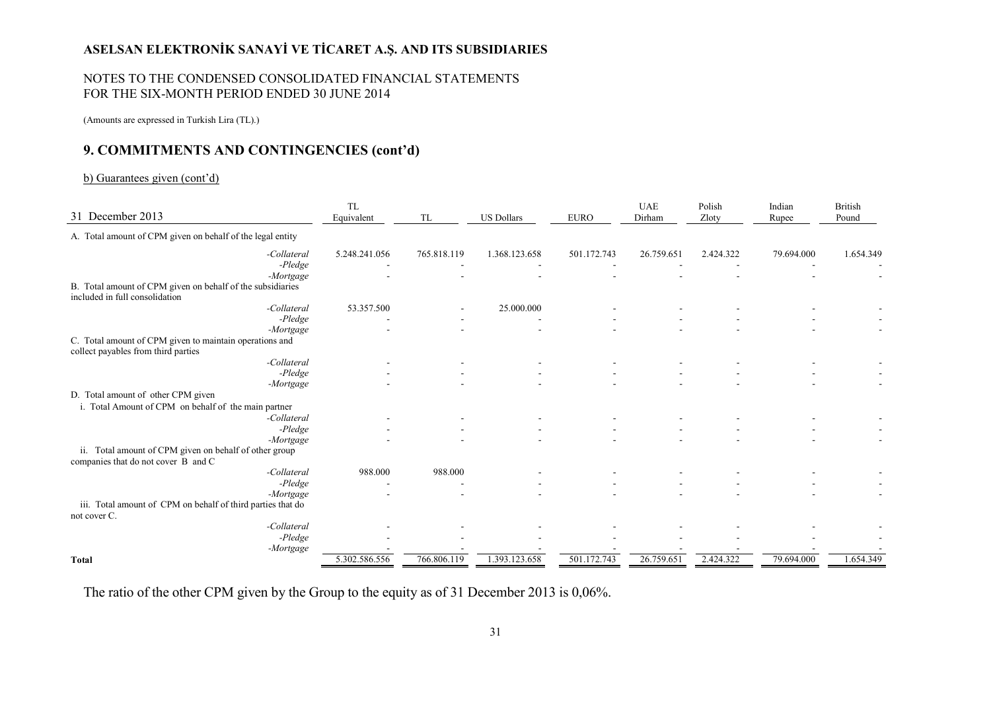#### NOTES TO THE CONDENSED CONSOLIDATED FINANCIAL STATEMENTS FOR THE SIX-MONTH PERIOD ENDED 30 JUNE 2014

(Amounts are expressed in Turkish Lira (TL).)

### **9. COMMITMENTS AND CONTINGENCIES (cont'd)**

#### b) Guarantees given (cont'd)

| 31 December 2013                                                                               |                                  | <b>TL</b><br>Equivalent | <b>TL</b>   | <b>US Dollars</b> | <b>EURO</b> | <b>UAE</b><br>Dirham | Polish<br>Zloty | Indian<br>Rupee | <b>British</b><br>Pound |
|------------------------------------------------------------------------------------------------|----------------------------------|-------------------------|-------------|-------------------|-------------|----------------------|-----------------|-----------------|-------------------------|
| A. Total amount of CPM given on behalf of the legal entity                                     |                                  |                         |             |                   |             |                      |                 |                 |                         |
|                                                                                                | -Collateral<br>$-P$ <i>ledge</i> | 5.248.241.056           | 765.818.119 | 1.368.123.658     | 501.172.743 | 26.759.651           | 2.424.322       | 79.694.000      | 1.654.349               |
|                                                                                                | -Mortgage                        |                         |             |                   |             |                      |                 |                 |                         |
| B. Total amount of CPM given on behalf of the subsidiaries                                     |                                  |                         |             |                   |             |                      |                 |                 |                         |
| included in full consolidation                                                                 |                                  |                         |             |                   |             |                      |                 |                 |                         |
|                                                                                                | -Collateral                      | 53.357.500              |             | 25.000.000        |             |                      |                 |                 |                         |
|                                                                                                | -Pledge                          |                         |             |                   |             |                      |                 |                 |                         |
|                                                                                                | -Mortgage                        |                         |             |                   |             |                      |                 |                 |                         |
| C. Total amount of CPM given to maintain operations and<br>collect payables from third parties |                                  |                         |             |                   |             |                      |                 |                 |                         |
|                                                                                                | -Collateral                      |                         |             |                   |             |                      |                 |                 |                         |
|                                                                                                | $-P$ <i>ledge</i>                |                         |             |                   |             |                      |                 |                 |                         |
|                                                                                                | -Mortgage                        |                         |             |                   |             |                      |                 |                 |                         |
| D. Total amount of other CPM given                                                             |                                  |                         |             |                   |             |                      |                 |                 |                         |
| i. Total Amount of CPM on behalf of the main partner                                           |                                  |                         |             |                   |             |                      |                 |                 |                         |
|                                                                                                | -Collateral                      |                         |             |                   |             |                      |                 |                 |                         |
|                                                                                                | $-P$ <i>ledge</i>                |                         |             |                   |             |                      |                 |                 |                         |
|                                                                                                | -Mortgage                        |                         |             |                   |             |                      |                 |                 |                         |
| ii. Total amount of CPM given on behalf of other group<br>companies that do not cover B and C  |                                  |                         |             |                   |             |                      |                 |                 |                         |
|                                                                                                | -Collateral                      | 988.000                 | 988.000     |                   |             |                      |                 |                 |                         |
|                                                                                                | -Pledge                          |                         |             |                   |             |                      |                 |                 |                         |
|                                                                                                | -Mortgage                        |                         |             |                   |             |                      |                 |                 |                         |
| iii. Total amount of CPM on behalf of third parties that do<br>not cover C.                    |                                  |                         |             |                   |             |                      |                 |                 |                         |
|                                                                                                | -Collateral                      |                         |             |                   |             |                      |                 |                 |                         |
|                                                                                                | $-Pledge$                        |                         |             |                   |             |                      |                 |                 |                         |
|                                                                                                | -Mortgage                        |                         |             |                   |             |                      |                 |                 |                         |
| <b>Total</b>                                                                                   |                                  | 5.302.586.556           | 766.806.119 | 1.393.123.658     | 501.172.743 | 26.759.651           | 2.424.322       | 79.694.000      | 1.654.349               |

The ratio of the other CPM given by the Group to the equity as of 31 December 2013 is 0,06%.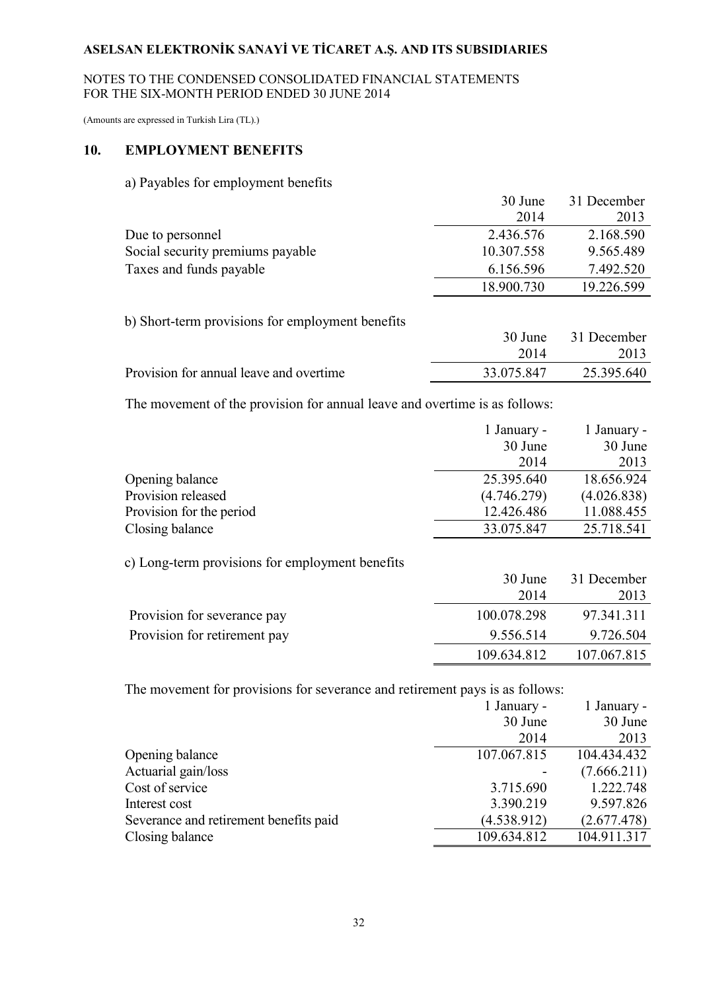#### NOTES TO THE CONDENSED CONSOLIDATED FINANCIAL STATEMENTS FOR THE SIX-MONTH PERIOD ENDED 30 JUNE 2014

(Amounts are expressed in Turkish Lira (TL).)

### **10. EMPLOYMENT BENEFITS**

#### a) Payables for employment benefits

|                                  | 30 June    | 31 December |
|----------------------------------|------------|-------------|
|                                  | 2014       | 2013        |
| Due to personnel                 | 2.436.576  | 2.168.590   |
| Social security premiums payable | 10.307.558 | 9.565.489   |
| Taxes and funds payable          | 6.156.596  | 7.492.520   |
|                                  | 18.900.730 | 19.226.599  |

#### b) Short-term provisions for employment benefits

|                                         |            | 30 June 31 December |
|-----------------------------------------|------------|---------------------|
|                                         | 2014       | 2013                |
| Provision for annual leave and overtime | 33.075.847 | 25.395.640          |

The movement of the provision for annual leave and overtime is as follows:

|             | 30 June     |
|-------------|-------------|
| 2014        | 2013        |
| 25.395.640  | 18.656.924  |
| (4.746.279) | (4.026.838) |
| 12.426.486  | 11.088.455  |
| 33.075.847  | 25.718.541  |
|             |             |
|             | 30 June     |

### c) Long-term provisions for employment benefits

|                              | 30 June     | 31 December |
|------------------------------|-------------|-------------|
|                              | 2014        | 2013        |
| Provision for severance pay  | 100.078.298 | 97.341.311  |
| Provision for retirement pay | 9.556.514   | 9.726.504   |
|                              | 109.634.812 | 107.067.815 |

The movement for provisions for severance and retirement pays is as follows:

|                                        | 1 January - | 1 January - |
|----------------------------------------|-------------|-------------|
|                                        | 30 June     | 30 June     |
|                                        | 2014        | 2013        |
| Opening balance                        | 107.067.815 | 104.434.432 |
| Actuarial gain/loss                    |             | (7.666.211) |
| Cost of service                        | 3.715.690   | 1.222.748   |
| Interest cost                          | 3.390.219   | 9.597.826   |
| Severance and retirement benefits paid | (4.538.912) | (2.677.478) |
| Closing balance                        | 109.634.812 | 104.911.317 |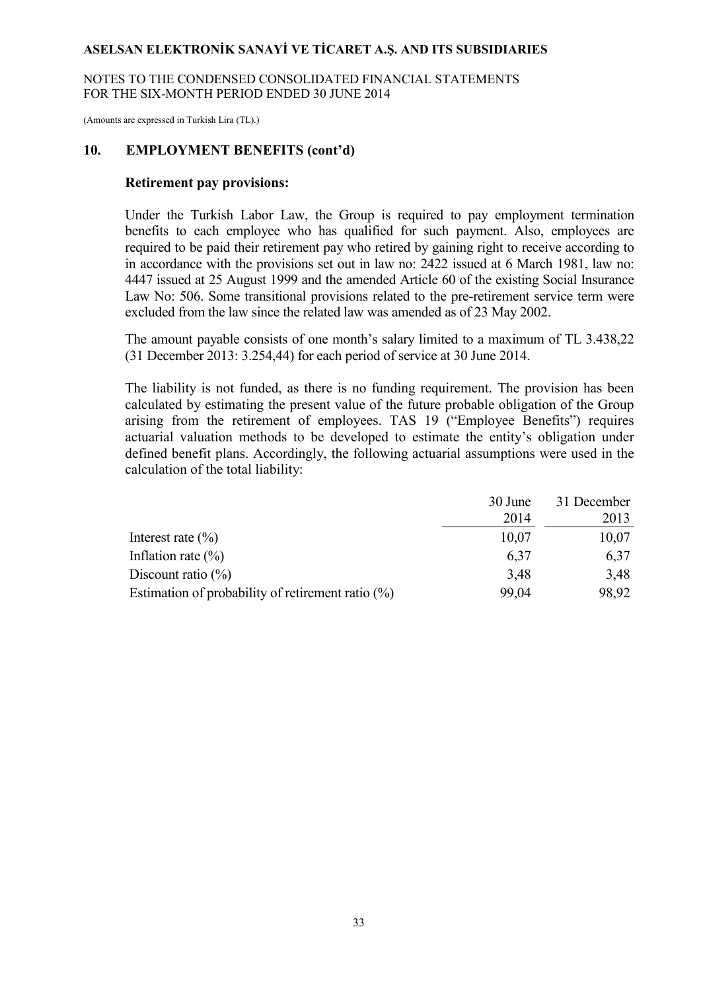NOTES TO THE CONDENSED CONSOLIDATED FINANCIAL STATEMENTS FOR THE SIX-MONTH PERIOD ENDED 30 JUNE 2014

(Amounts are expressed in Turkish Lira (TL).)

#### **10. EMPLOYMENT BENEFITS (cont'd)**

#### **Retirement pay provisions:**

Under the Turkish Labor Law, the Group is required to pay employment termination benefits to each employee who has qualified for such payment. Also, employees are required to be paid their retirement pay who retired by gaining right to receive according to in accordance with the provisions set out in law no: 2422 issued at 6 March 1981, law no: 4447 issued at 25 August 1999 and the amended Article 60 of the existing Social Insurance Law No: 506. Some transitional provisions related to the pre-retirement service term were excluded from the law since the related law was amended as of 23 May 2002.

The amount payable consists of one month's salary limited to a maximum of TL 3.438,22 (31 December 2013: 3.254,44) for each period of service at 30 June 2014.

The liability is not funded, as there is no funding requirement. The provision has been calculated by estimating the present value of the future probable obligation of the Group arising from the retirement of employees. TAS 19 ("Employee Benefits") requires actuarial valuation methods to be developed to estimate the entity's obligation under defined benefit plans. Accordingly, the following actuarial assumptions were used in the calculation of the total liability:

|                                                      | 30 June | 31 December |
|------------------------------------------------------|---------|-------------|
|                                                      | 2014    | 2013        |
| Interest rate $(\% )$                                | 10,07   | 10,07       |
| Inflation rate $(\% )$                               | 6,37    | 6,37        |
| Discount ratio $(\% )$                               | 3,48    | 3,48        |
| Estimation of probability of retirement ratio $(\%)$ | 99,04   | 98.92       |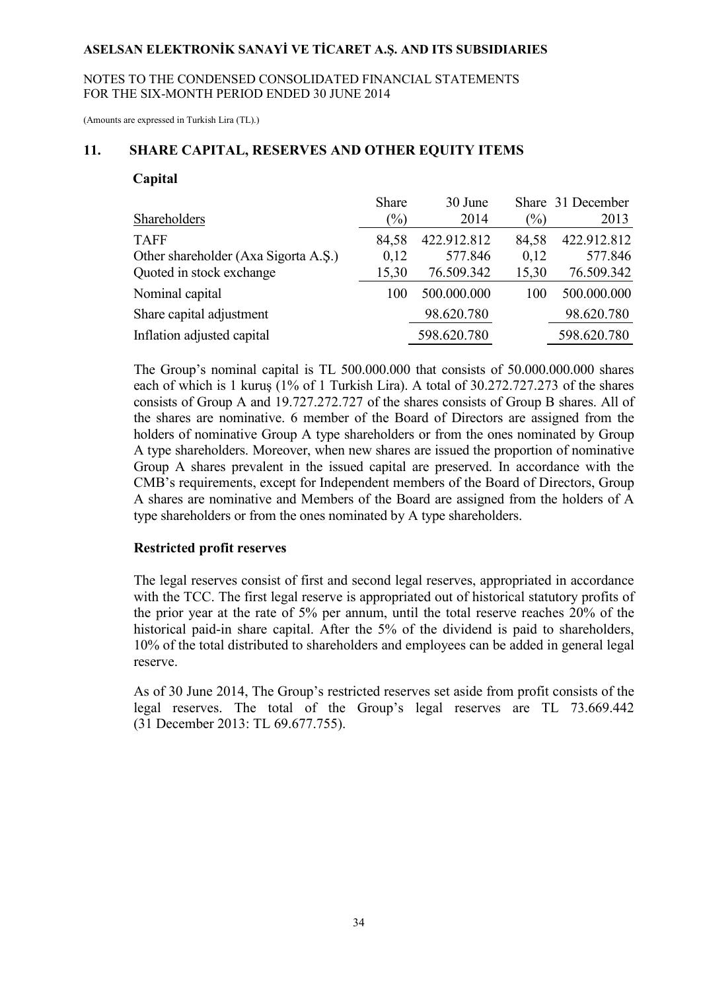#### NOTES TO THE CONDENSED CONSOLIDATED FINANCIAL STATEMENTS FOR THE SIX-MONTH PERIOD ENDED 30 JUNE 2014

(Amounts are expressed in Turkish Lira (TL).)

#### **11. SHARE CAPITAL, RESERVES AND OTHER EQUITY ITEMS**

#### **Capital**

|                                      | Share  | 30 June     |        | Share 31 December |
|--------------------------------------|--------|-------------|--------|-------------------|
| Shareholders                         | $(\%)$ | 2014        | $(\%)$ | 2013              |
| <b>TAFF</b>                          | 84,58  | 422.912.812 | 84,58  | 422.912.812       |
| Other shareholder (Axa Sigorta A.S.) | 0,12   | 577.846     | 0,12   | 577.846           |
| Quoted in stock exchange             | 15,30  | 76.509.342  | 15,30  | 76.509.342        |
| Nominal capital                      | 100    | 500.000.000 | 100    | 500.000.000       |
| Share capital adjustment             |        | 98.620.780  |        | 98.620.780        |
| Inflation adjusted capital           |        | 598.620.780 |        | 598.620.780       |

The Group's nominal capital is TL 500.000.000 that consists of 50.000.000.000 shares each of which is 1 kuruş (1% of 1 Turkish Lira). A total of 30.272.727.273 of the shares consists of Group A and 19.727.272.727 of the shares consists of Group B shares. All of the shares are nominative. 6 member of the Board of Directors are assigned from the holders of nominative Group A type shareholders or from the ones nominated by Group A type shareholders. Moreover, when new shares are issued the proportion of nominative Group A shares prevalent in the issued capital are preserved. In accordance with the CMB's requirements, except for Independent members of the Board of Directors, Group A shares are nominative and Members of the Board are assigned from the holders of A type shareholders or from the ones nominated by A type shareholders.

#### **Restricted profit reserves**

The legal reserves consist of first and second legal reserves, appropriated in accordance with the TCC. The first legal reserve is appropriated out of historical statutory profits of the prior year at the rate of 5% per annum, until the total reserve reaches 20% of the historical paid-in share capital. After the 5% of the dividend is paid to shareholders, 10% of the total distributed to shareholders and employees can be added in general legal reserve.

As of 30 June 2014, The Group's restricted reserves set aside from profit consists of the legal reserves. The total of the Group's legal reserves are TL 73.669.442 (31 December 2013: TL 69.677.755).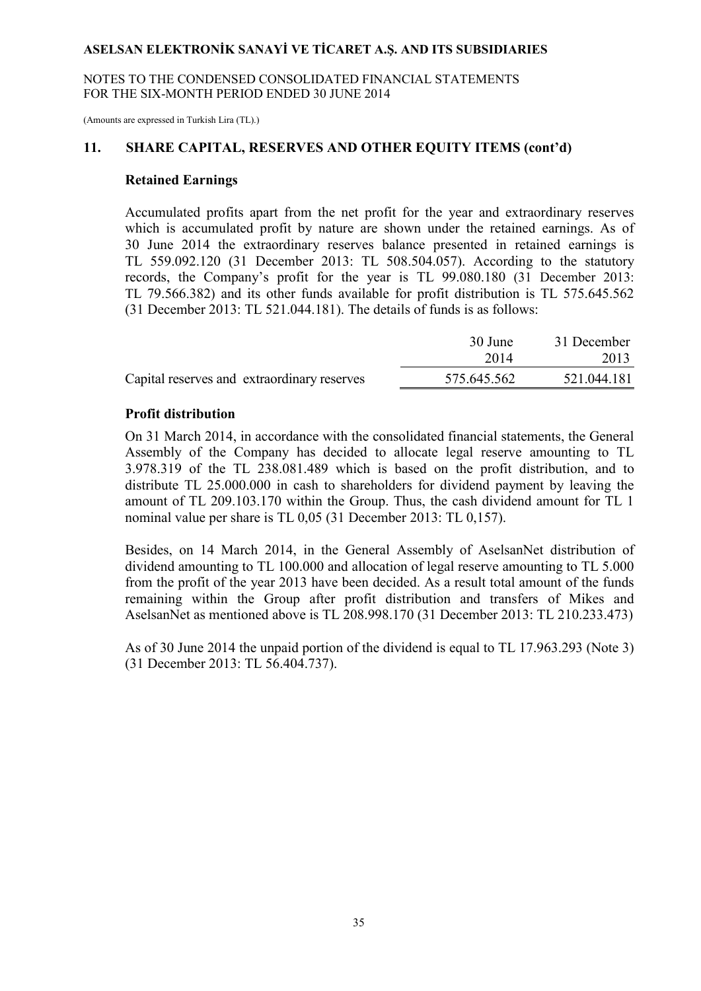NOTES TO THE CONDENSED CONSOLIDATED FINANCIAL STATEMENTS FOR THE SIX-MONTH PERIOD ENDED 30 JUNE 2014

(Amounts are expressed in Turkish Lira (TL).)

#### **11. SHARE CAPITAL, RESERVES AND OTHER EQUITY ITEMS (cont'd)**

#### **Retained Earnings**

Accumulated profits apart from the net profit for the year and extraordinary reserves which is accumulated profit by nature are shown under the retained earnings. As of 30 June 2014 the extraordinary reserves balance presented in retained earnings is TL 559.092.120 (31 December 2013: TL 508.504.057). According to the statutory records, the Company's profit for the year is TL 99.080.180 (31 December 2013: TL 79.566.382) and its other funds available for profit distribution is TL 575.645.562 (31 December 2013: TL 521.044.181). The details of funds is as follows:

|                                             | 30 June     | 31 December |
|---------------------------------------------|-------------|-------------|
|                                             | 2014        | 2013        |
| Capital reserves and extraordinary reserves | 575.645.562 | 521.044.181 |

#### **Profit distribution**

On 31 March 2014, in accordance with the consolidated financial statements, the General Assembly of the Company has decided to allocate legal reserve amounting to TL 3.978.319 of the TL 238.081.489 which is based on the profit distribution, and to distribute TL 25.000.000 in cash to shareholders for dividend payment by leaving the amount of TL 209.103.170 within the Group. Thus, the cash dividend amount for TL 1 nominal value per share is TL 0,05 (31 December 2013: TL 0,157).

Besides, on 14 March 2014, in the General Assembly of AselsanNet distribution of dividend amounting to TL 100.000 and allocation of legal reserve amounting to TL 5.000 from the profit of the year 2013 have been decided. As a result total amount of the funds remaining within the Group after profit distribution and transfers of Mikes and AselsanNet as mentioned above is TL 208.998.170 (31 December 2013: TL 210.233.473)

As of 30 June 2014 the unpaid portion of the dividend is equal to TL 17.963.293 (Note 3) (31 December 2013: TL 56.404.737).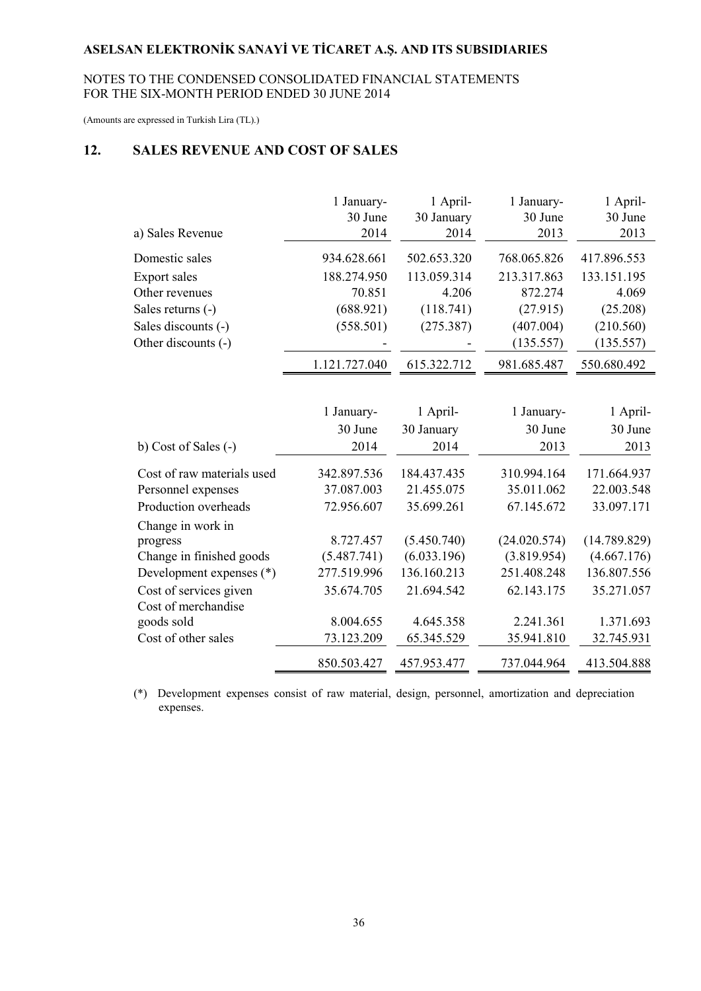#### NOTES TO THE CONDENSED CONSOLIDATED FINANCIAL STATEMENTS FOR THE SIX-MONTH PERIOD ENDED 30 JUNE 2014

(Amounts are expressed in Turkish Lira (TL).)

# **12. SALES REVENUE AND COST OF SALES**

|                            | 1 January-<br>30 June | 1 April-<br>30 January | 1 January-<br>30 June | 1 April-<br>30 June |
|----------------------------|-----------------------|------------------------|-----------------------|---------------------|
| a) Sales Revenue           | 2014                  | 2014                   | 2013                  | 2013                |
| Domestic sales             | 934.628.661           | 502.653.320            | 768.065.826           | 417.896.553         |
| <b>Export sales</b>        | 188.274.950           | 113.059.314            | 213.317.863           | 133.151.195         |
| Other revenues             | 70.851                | 4.206                  | 872.274               | 4.069               |
| Sales returns (-)          | (688.921)             | (118.741)              | (27.915)              | (25.208)            |
| Sales discounts (-)        | (558.501)             | (275.387)              | (407.004)             | (210.560)           |
| Other discounts (-)        |                       |                        | (135.557)             | (135.557)           |
|                            | 1.121.727.040         | 615.322.712            | 981.685.487           | 550.680.492         |
|                            |                       |                        |                       |                     |
|                            | 1 January-            | 1 April-               | 1 January-            | 1 April-            |
|                            | 30 June               | 30 January             | 30 June               | 30 June             |
| b) Cost of Sales (-)       | 2014                  | 2014                   | 2013                  | 2013                |
| Cost of raw materials used | 342.897.536           | 184.437.435            | 310.994.164           | 171.664.937         |
| Personnel expenses         | 37.087.003            | 21.455.075             | 35.011.062            | 22.003.548          |
| Production overheads       | 72.956.607            | 35.699.261             | 67.145.672            | 33.097.171          |
| Change in work in          |                       |                        |                       |                     |
| progress                   | 8.727.457             | (5.450.740)            | (24.020.574)          | (14.789.829)        |
| Change in finished goods   | (5.487.741)           | (6.033.196)            | (3.819.954)           | (4.667.176)         |
| Development expenses (*)   | 277.519.996           | 136.160.213            | 251.408.248           | 136.807.556         |
| Cost of services given     | 35.674.705            | 21.694.542             | 62.143.175            | 35.271.057          |
| Cost of merchandise        |                       |                        |                       |                     |
| goods sold                 | 8.004.655             | 4.645.358              | 2.241.361             | 1.371.693           |
| Cost of other sales        | 73.123.209            | 65.345.529             | 35.941.810            | 32.745.931          |
|                            | 850.503.427           | 457.953.477            | 737.044.964           | 413.504.888         |

(\*) Development expenses consist of raw material, design, personnel, amortization and depreciation expenses.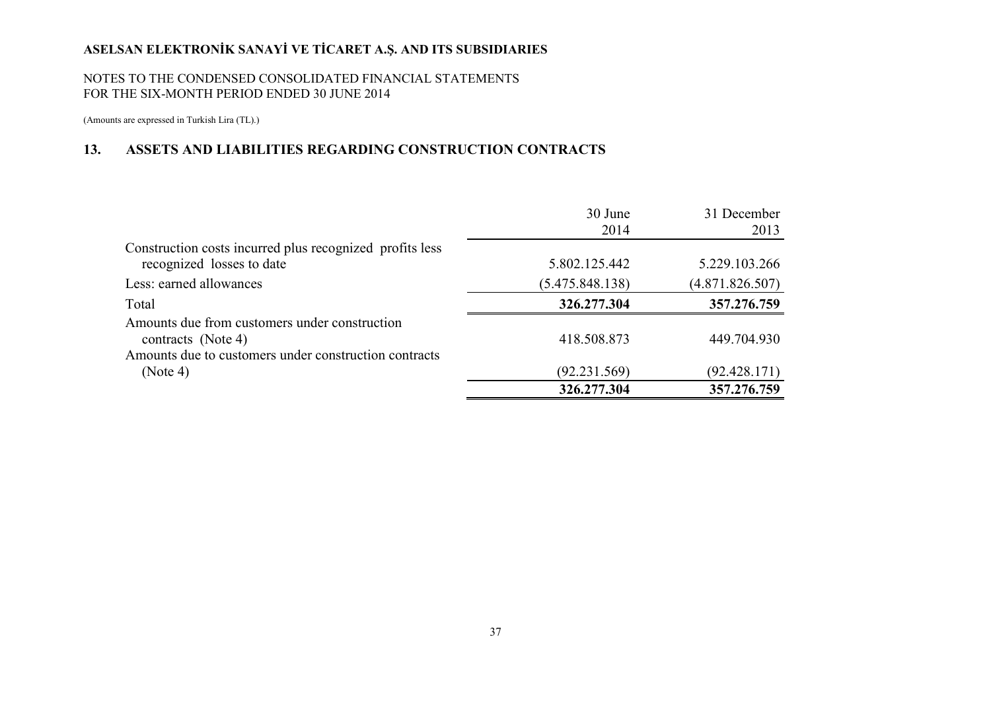#### NOTES TO THE CONDENSED CONSOLIDATED FINANCIAL STATEMENTS FOR THE SIX-MONTH PERIOD ENDED 30 JUNE 2014

(Amounts are expressed in Turkish Lira (TL).)

### **13. ASSETS AND LIABILITIES REGARDING CONSTRUCTION CONTRACTS**

|                                                                     | 30 June<br>2014 | 31 December<br>2013 |
|---------------------------------------------------------------------|-----------------|---------------------|
| Construction costs incurred plus recognized profits less            |                 |                     |
| recognized losses to date                                           | 5.802.125.442   | 5.229.103.266       |
| Less: earned allowances                                             | (5.475.848.138) | (4.871.826.507)     |
| Total                                                               | 326.277.304     | 357.276.759         |
| Amounts due from customers under construction<br>contracts (Note 4) | 418.508.873     | 449.704.930         |
| Amounts due to customers under construction contracts               |                 |                     |
| (Note 4)                                                            | (92.231.569)    | (92.428.171)        |
|                                                                     | 326.277.304     | 357.276.759         |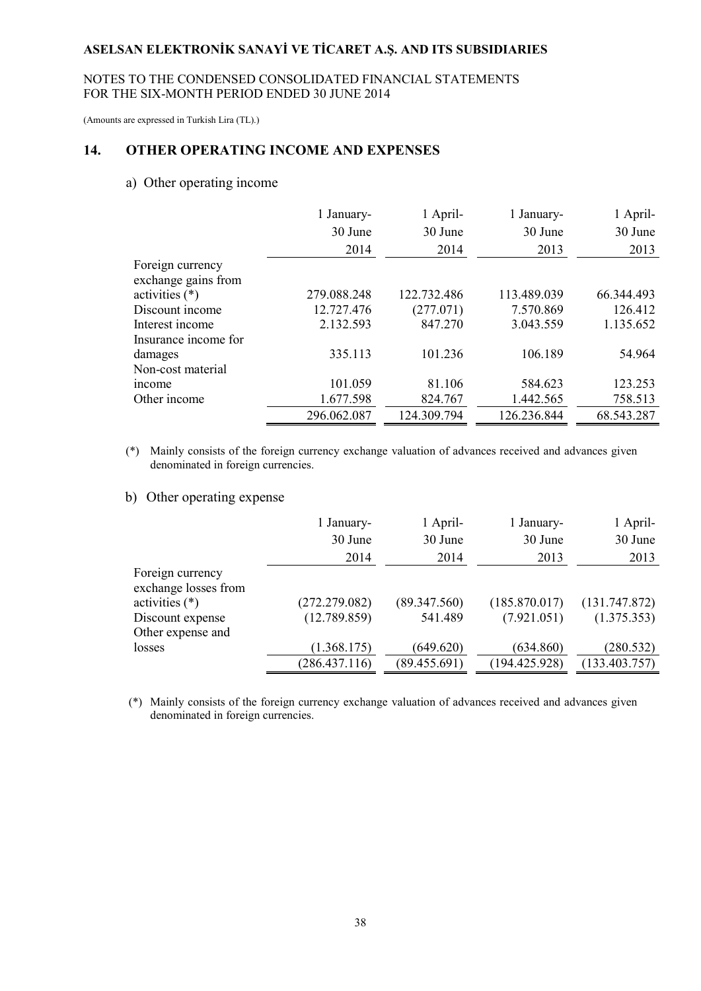#### NOTES TO THE CONDENSED CONSOLIDATED FINANCIAL STATEMENTS FOR THE SIX-MONTH PERIOD ENDED 30 JUNE 2014

(Amounts are expressed in Turkish Lira (TL).)

#### **14. OTHER OPERATING INCOME AND EXPENSES**

#### a) Other operating income

|                      | 1 January-<br>30 June | 1 April-<br>30 June | 1 January-<br>30 June | 1 April-<br>30 June |
|----------------------|-----------------------|---------------------|-----------------------|---------------------|
|                      |                       |                     |                       |                     |
|                      | 2014                  | 2014                | 2013                  | 2013                |
| Foreign currency     |                       |                     |                       |                     |
| exchange gains from  |                       |                     |                       |                     |
| activities (*)       | 279.088.248           | 122.732.486         | 113.489.039           | 66.344.493          |
| Discount income      | 12.727.476            | (277.071)           | 7.570.869             | 126.412             |
| Interest income      | 2.132.593             | 847.270             | 3.043.559             | 1.135.652           |
| Insurance income for |                       |                     |                       |                     |
| damages              | 335.113               | 101.236             | 106.189               | 54.964              |
| Non-cost material    |                       |                     |                       |                     |
| income               | 101.059               | 81.106              | 584.623               | 123.253             |
| Other income         | 1.677.598             | 824.767             | 1.442.565             | 758.513             |
|                      | 296.062.087           | 124.309.794         | 126.236.844           | 68.543.287          |

 (\*) Mainly consists of the foreign currency exchange valuation of advances received and advances given denominated in foreign currencies.

b) Other operating expense

|                      | 1 January-    | 1 April-     | 1 January-    | 1 April-      |
|----------------------|---------------|--------------|---------------|---------------|
|                      | 30 June       | 30 June      | 30 June       | 30 June       |
|                      | 2014          | 2014         | 2013          | 2013          |
| Foreign currency     |               |              |               |               |
| exchange losses from |               |              |               |               |
| activities $(*)$     | (272.279.082) | (89.347.560) | (185.870.017) | (131.747.872) |
| Discount expense     | (12.789.859)  | 541.489      | (7.921.051)   | (1.375.353)   |
| Other expense and    |               |              |               |               |
| losses               | (1.368.175)   | (649.620)    | (634.860)     | (280.532)     |
|                      | (286.437.116) | (89.455.691) | (194.425.928) | (133.403.757) |

 (\*) Mainly consists of the foreign currency exchange valuation of advances received and advances given denominated in foreign currencies.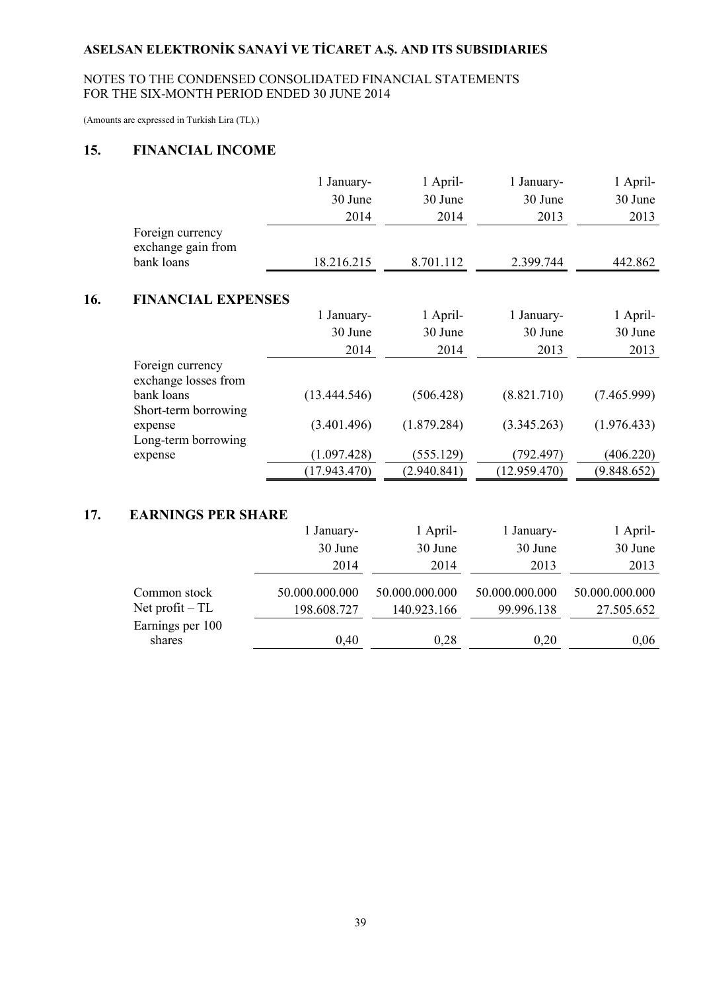### NOTES TO THE CONDENSED CONSOLIDATED FINANCIAL STATEMENTS FOR THE SIX-MONTH PERIOD ENDED 30 JUNE 2014

(Amounts are expressed in Turkish Lira (TL).)

### **15. FINANCIAL INCOME**

|     |                                          | 1 January-   | 1 April-    | 1 January-   | 1 April-    |
|-----|------------------------------------------|--------------|-------------|--------------|-------------|
|     |                                          | 30 June      | 30 June     | 30 June      | 30 June     |
|     |                                          | 2014         | 2014        | 2013         | 2013        |
|     | Foreign currency<br>exchange gain from   |              |             |              |             |
|     | bank loans                               | 18.216.215   | 8.701.112   | 2.399.744    | 442.862     |
| 16. | <b>FINANCIAL EXPENSES</b>                |              |             |              |             |
|     |                                          | 1 January-   | 1 April-    | 1 January-   | 1 April-    |
|     |                                          | 30 June      | 30 June     | 30 June      | 30 June     |
|     |                                          | 2014         | 2014        | 2013         | 2013        |
|     | Foreign currency<br>exchange losses from |              |             |              |             |
|     | bank loans<br>Short-term borrowing       | (13.444.546) | (506.428)   | (8.821.710)  | (7.465.999) |
|     | expense<br>Long-term borrowing           | (3.401.496)  | (1.879.284) | (3.345.263)  | (1.976.433) |
|     | expense                                  | (1.097.428)  | (555.129)   | (792.497)    | (406.220)   |
|     |                                          | (17.943.470) | (2.940.841) | (12.959.470) | (9.848.652) |

# **17. EARNINGS PER SHARE**

|                                                      | 1 January-                    | 1 April-                      | 1 January-                   | 1 April-                     |
|------------------------------------------------------|-------------------------------|-------------------------------|------------------------------|------------------------------|
|                                                      | 30 June                       | 30 June                       | 30 June                      | 30 June                      |
|                                                      | 2014                          | 2014                          | 2013                         | 2013                         |
| Common stock<br>Net profit $-TL$<br>Earnings per 100 | 50.000.000.000<br>198.608.727 | 50.000.000.000<br>140.923.166 | 50.000.000.000<br>99.996.138 | 50.000.000.000<br>27.505.652 |
| shares                                               | 0,40                          | 0,28                          | 0,20                         | 0,06                         |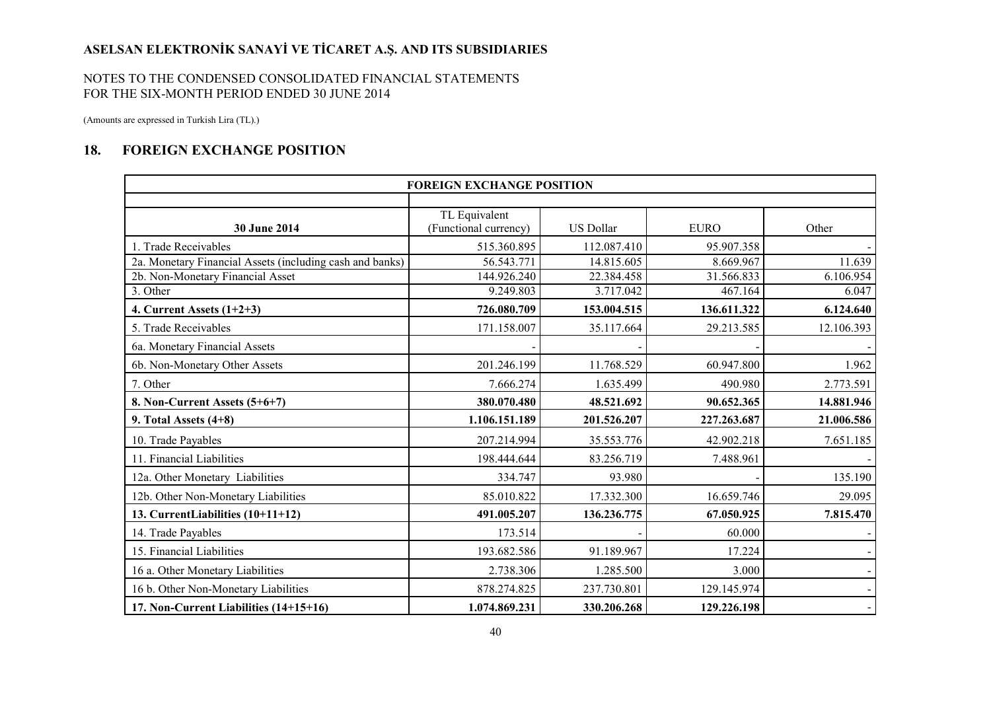#### NOTES TO THE CONDENSED CONSOLIDATED FINANCIAL STATEMENTS FOR THE SIX-MONTH PERIOD ENDED 30 JUNE 2014

(Amounts are expressed in Turkish Lira (TL).)

## **18. FOREIGN EXCHANGE POSITION**

| <b>FOREIGN EXCHANGE POSITION</b>                         |                                        |                  |             |                |
|----------------------------------------------------------|----------------------------------------|------------------|-------------|----------------|
|                                                          |                                        |                  |             |                |
| 30 June 2014                                             | TL Equivalent<br>(Functional currency) | <b>US Dollar</b> | <b>EURO</b> | Other          |
| 1. Trade Receivables                                     | 515.360.895                            | 112.087.410      | 95.907.358  |                |
| 2a. Monetary Financial Assets (including cash and banks) | 56.543.771                             | 14.815.605       | 8.669.967   | 11.639         |
| 2b. Non-Monetary Financial Asset                         | 144.926.240                            | 22.384.458       | 31.566.833  | 6.106.954      |
| 3. Other                                                 | 9.249.803                              | 3.717.042        | 467.164     | 6.047          |
| 4. Current Assets $(1+2+3)$                              | 726.080.709                            | 153.004.515      | 136.611.322 | 6.124.640      |
| 5. Trade Receivables                                     | 171.158.007                            | 35.117.664       | 29.213.585  | 12.106.393     |
| 6a. Monetary Financial Assets                            |                                        |                  |             |                |
| 6b. Non-Monetary Other Assets                            | 201.246.199                            | 11.768.529       | 60.947.800  | 1.962          |
| 7. Other                                                 | 7.666.274                              | 1.635.499        | 490.980     | 2.773.591      |
| 8. Non-Current Assets (5+6+7)                            | 380.070.480                            | 48.521.692       | 90.652.365  | 14.881.946     |
| 9. Total Assets $(4+8)$                                  | 1.106.151.189                          | 201.526.207      | 227.263.687 | 21.006.586     |
| 10. Trade Payables                                       | 207.214.994                            | 35.553.776       | 42.902.218  | 7.651.185      |
| 11. Financial Liabilities                                | 198.444.644                            | 83.256.719       | 7.488.961   |                |
| 12a. Other Monetary Liabilities                          | 334.747                                | 93.980           |             | 135.190        |
| 12b. Other Non-Monetary Liabilities                      | 85.010.822                             | 17.332.300       | 16.659.746  | 29.095         |
| 13. CurrentLiabilities (10+11+12)                        | 491.005.207                            | 136.236.775      | 67.050.925  | 7.815.470      |
| 14. Trade Payables                                       | 173.514                                |                  | 60.000      |                |
| 15. Financial Liabilities                                | 193.682.586                            | 91.189.967       | 17.224      |                |
| 16 a. Other Monetary Liabilities                         | 2.738.306                              | 1.285.500        | 3.000       |                |
| 16 b. Other Non-Monetary Liabilities                     | 878.274.825                            | 237.730.801      | 129.145.974 | $\blacksquare$ |
| 17. Non-Current Liabilities (14+15+16)                   | 1.074.869.231                          | 330.206.268      | 129.226.198 | $\blacksquare$ |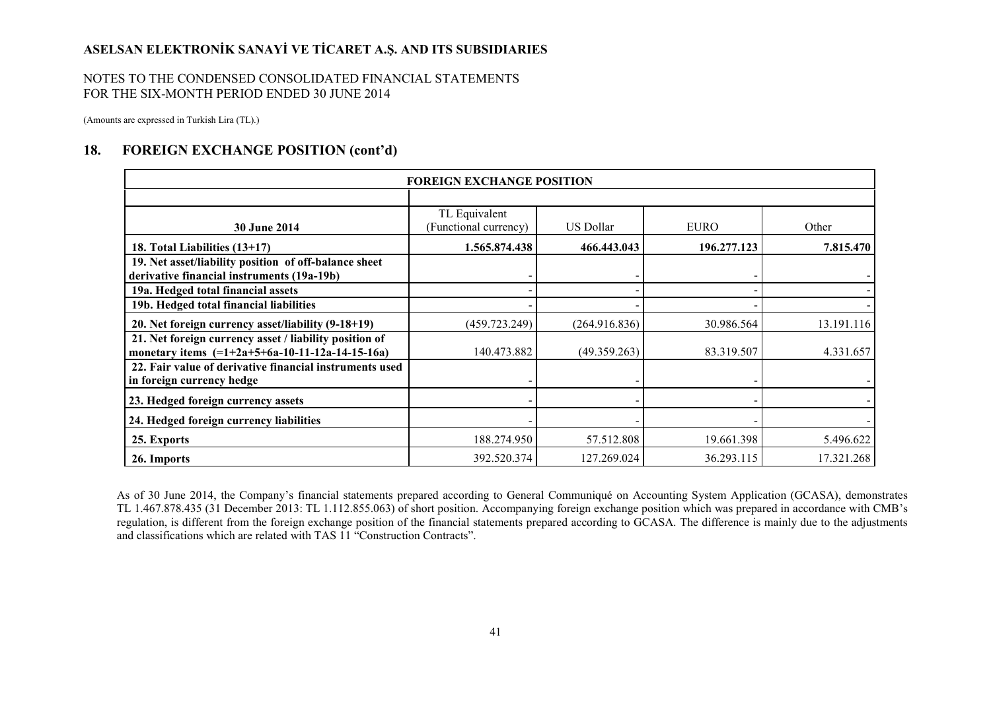#### NOTES TO THE CONDENSED CONSOLIDATED FINANCIAL STATEMENTS FOR THE SIX-MONTH PERIOD ENDED 30 JUNE 2014

(Amounts are expressed in Turkish Lira (TL).)

#### **18. FOREIGN EXCHANGE POSITION (cont'd)**

|                                                                                                             | <b>FOREIGN EXCHANGE POSITION</b>       |                  |             |            |
|-------------------------------------------------------------------------------------------------------------|----------------------------------------|------------------|-------------|------------|
|                                                                                                             |                                        |                  |             |            |
| <b>30 June 2014</b>                                                                                         | TL Equivalent<br>(Functional currency) | <b>US Dollar</b> | <b>EURO</b> | Other      |
| 18. Total Liabilities (13+17)                                                                               | 1.565.874.438                          | 466.443.043      | 196.277.123 | 7.815.470  |
| 19. Net asset/liability position of off-balance sheet<br>derivative financial instruments (19a-19b)         |                                        |                  |             |            |
| 19a. Hedged total financial assets                                                                          |                                        |                  |             |            |
| 19b. Hedged total financial liabilities                                                                     |                                        |                  |             |            |
| 20. Net foreign currency asset/liability (9-18+19)                                                          | (459.723.249)                          | (264.916.836)    | 30.986.564  | 13.191.116 |
| 21. Net foreign currency asset / liability position of<br>monetary items $(=1+2a+5+6a-10-11-12a-14-15-16a)$ | 140.473.882                            | (49.359.263)     | 83.319.507  | 4.331.657  |
| 22. Fair value of derivative financial instruments used<br>in foreign currency hedge                        |                                        |                  |             |            |
| 23. Hedged foreign currency assets                                                                          |                                        |                  |             |            |
| 24. Hedged foreign currency liabilities                                                                     |                                        |                  |             |            |
| 25. Exports                                                                                                 | 188.274.950                            | 57.512.808       | 19.661.398  | 5.496.622  |
| 26. Imports                                                                                                 | 392.520.374                            | 127.269.024      | 36.293.115  | 17.321.268 |

As of 30 June 2014, the Company's financial statements prepared according to General Communiqué on Accounting System Application (GCASA), demonstrates TL 1.467.878.435 (31 December 2013: TL 1.112.855.063) of short position. Accompanying foreign exchange position which was prepared in accordance with CMB's regulation, is different from the foreign exchange position of the financial statements prepared according to GCASA. The difference is mainly due to the adjustments and classifications which are related with TAS 11 "Construction Contracts".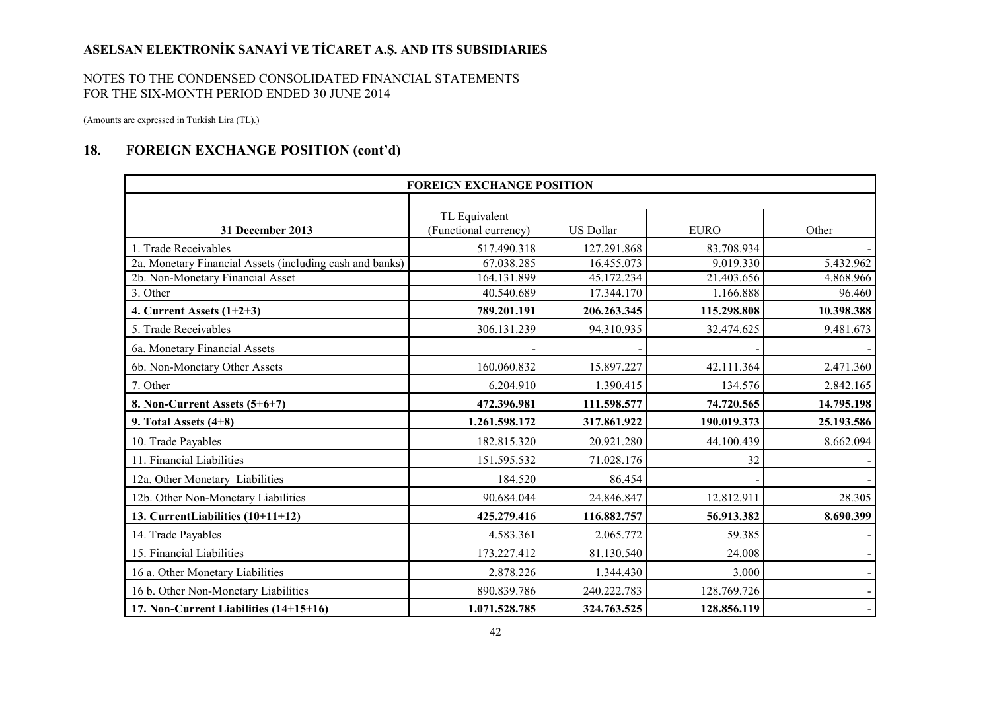#### NOTES TO THE CONDENSED CONSOLIDATED FINANCIAL STATEMENTS FOR THE SIX-MONTH PERIOD ENDED 30 JUNE 2014

(Amounts are expressed in Turkish Lira (TL).)

## **18. FOREIGN EXCHANGE POSITION (cont'd)**

|                                                          | <b>FOREIGN EXCHANGE POSITION</b>       |                  |             |                |
|----------------------------------------------------------|----------------------------------------|------------------|-------------|----------------|
|                                                          |                                        |                  |             |                |
| 31 December 2013                                         | TL Equivalent<br>(Functional currency) | <b>US Dollar</b> | <b>EURO</b> | Other          |
| 1. Trade Receivables                                     | 517.490.318                            | 127.291.868      | 83.708.934  |                |
| 2a. Monetary Financial Assets (including cash and banks) | 67.038.285                             | 16.455.073       | 9.019.330   | 5.432.962      |
| 2b. Non-Monetary Financial Asset                         | 164.131.899                            | 45.172.234       | 21.403.656  | 4.868.966      |
| 3. Other                                                 | 40.540.689                             | 17.344.170       | 1.166.888   | 96.460         |
| 4. Current Assets $(1+2+3)$                              | 789.201.191                            | 206.263.345      | 115.298.808 | 10.398.388     |
| 5. Trade Receivables                                     | 306.131.239                            | 94.310.935       | 32.474.625  | 9.481.673      |
| 6a. Monetary Financial Assets                            |                                        |                  |             |                |
| 6b. Non-Monetary Other Assets                            | 160.060.832                            | 15.897.227       | 42.111.364  | 2.471.360      |
| 7. Other                                                 | 6.204.910                              | 1.390.415        | 134.576     | 2.842.165      |
| 8. Non-Current Assets (5+6+7)                            | 472.396.981                            | 111.598.577      | 74.720.565  | 14.795.198     |
| 9. Total Assets $(4+8)$                                  | 1.261.598.172                          | 317.861.922      | 190.019.373 | 25.193.586     |
| 10. Trade Payables                                       | 182.815.320                            | 20.921.280       | 44.100.439  | 8.662.094      |
| 11. Financial Liabilities                                | 151.595.532                            | 71.028.176       | 32          |                |
| 12a. Other Monetary Liabilities                          | 184.520                                | 86.454           |             |                |
| 12b. Other Non-Monetary Liabilities                      | 90.684.044                             | 24.846.847       | 12.812.911  | 28.305         |
| 13. CurrentLiabilities (10+11+12)                        | 425.279.416                            | 116.882.757      | 56.913.382  | 8.690.399      |
| 14. Trade Payables                                       | 4.583.361                              | 2.065.772        | 59.385      |                |
| 15. Financial Liabilities                                | 173.227.412                            | 81.130.540       | 24.008      |                |
| 16 a. Other Monetary Liabilities                         | 2.878.226                              | 1.344.430        | 3.000       |                |
| 16 b. Other Non-Monetary Liabilities                     | 890.839.786                            | 240.222.783      | 128.769.726 | $\sim$         |
| 17. Non-Current Liabilities (14+15+16)                   | 1.071.528.785                          | 324.763.525      | 128.856.119 | $\blacksquare$ |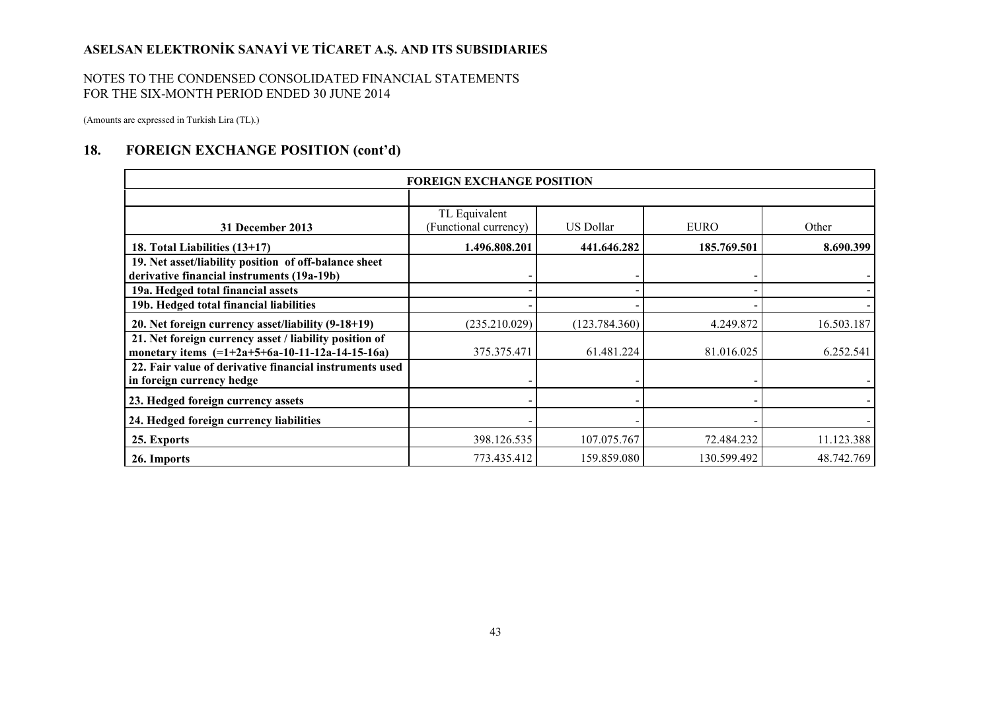#### NOTES TO THE CONDENSED CONSOLIDATED FINANCIAL STATEMENTS FOR THE SIX-MONTH PERIOD ENDED 30 JUNE 2014

(Amounts are expressed in Turkish Lira (TL).)

### **18. FOREIGN EXCHANGE POSITION (cont'd)**

|                                                                                                             | <b>FOREIGN EXCHANGE POSITION</b>       |                  |             |            |
|-------------------------------------------------------------------------------------------------------------|----------------------------------------|------------------|-------------|------------|
|                                                                                                             |                                        |                  |             |            |
| 31 December 2013                                                                                            | TL Equivalent<br>(Functional currency) | <b>US Dollar</b> | <b>EURO</b> | Other      |
| 18. Total Liabilities (13+17)                                                                               | 1.496.808.201                          | 441.646.282      | 185.769.501 | 8.690.399  |
| 19. Net asset/liability position of off-balance sheet<br>derivative financial instruments (19a-19b)         |                                        |                  |             |            |
| 19a. Hedged total financial assets                                                                          |                                        |                  |             |            |
| 19b. Hedged total financial liabilities                                                                     |                                        |                  |             |            |
| 20. Net foreign currency asset/liability (9-18+19)                                                          | (235.210.029)                          | (123.784.360)    | 4.249.872   | 16.503.187 |
| 21. Net foreign currency asset / liability position of<br>monetary items $(=1+2a+5+6a-10-11-12a-14-15-16a)$ | 375.375.471                            | 61.481.224       | 81.016.025  | 6.252.541  |
| 22. Fair value of derivative financial instruments used<br>in foreign currency hedge                        |                                        |                  |             |            |
| 23. Hedged foreign currency assets                                                                          |                                        |                  |             |            |
| 24. Hedged foreign currency liabilities                                                                     |                                        |                  |             |            |
| 25. Exports                                                                                                 | 398.126.535                            | 107.075.767      | 72.484.232  | 11.123.388 |
| 26. Imports                                                                                                 | 773.435.412                            | 159.859.080      | 130.599.492 | 48.742.769 |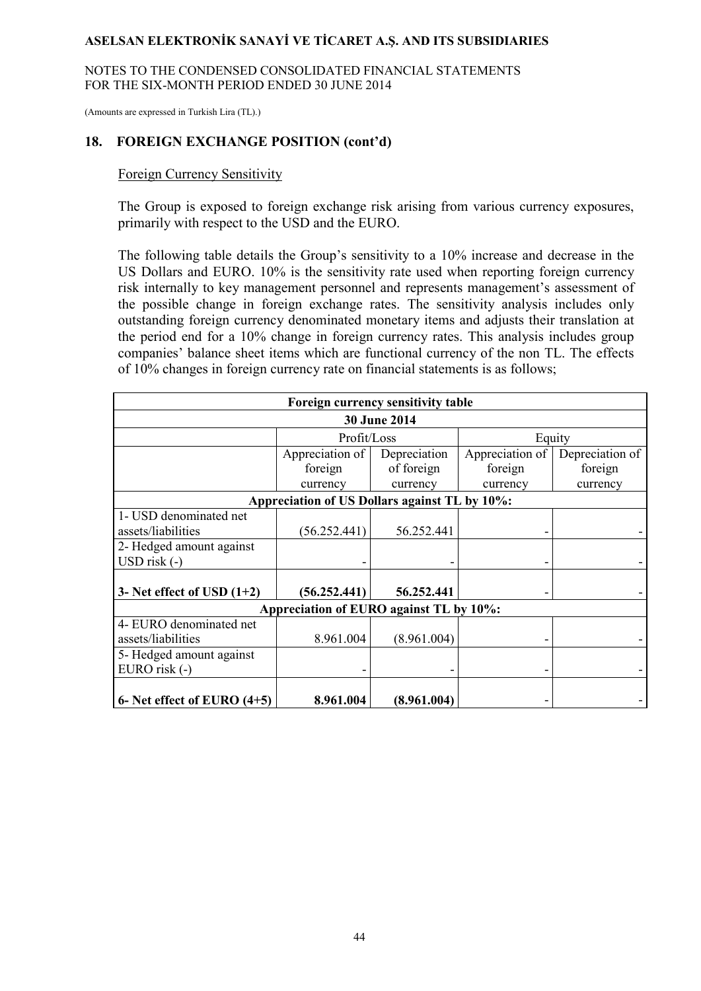NOTES TO THE CONDENSED CONSOLIDATED FINANCIAL STATEMENTS FOR THE SIX-MONTH PERIOD ENDED 30 JUNE 2014

(Amounts are expressed in Turkish Lira (TL).)

### **18. FOREIGN EXCHANGE POSITION (cont'd)**

#### Foreign Currency Sensitivity

The Group is exposed to foreign exchange risk arising from various currency exposures, primarily with respect to the USD and the EURO.

The following table details the Group's sensitivity to a 10% increase and decrease in the US Dollars and EURO. 10% is the sensitivity rate used when reporting foreign currency risk internally to key management personnel and represents management's assessment of the possible change in foreign exchange rates. The sensitivity analysis includes only outstanding foreign currency denominated monetary items and adjusts their translation at the period end for a 10% change in foreign currency rates. This analysis includes group companies' balance sheet items which are functional currency of the non TL. The effects of 10% changes in foreign currency rate on financial statements is as follows;

| Foreign currency sensitivity table      |                                               |              |                 |                 |  |  |  |
|-----------------------------------------|-----------------------------------------------|--------------|-----------------|-----------------|--|--|--|
| <b>30 June 2014</b>                     |                                               |              |                 |                 |  |  |  |
|                                         | Profit/Loss                                   |              | Equity          |                 |  |  |  |
|                                         | Appreciation of                               | Depreciation | Appreciation of | Depreciation of |  |  |  |
|                                         | foreign                                       | of foreign   | foreign         | foreign         |  |  |  |
|                                         | currency                                      | currency     | currency        | currency        |  |  |  |
|                                         | Appreciation of US Dollars against TL by 10%: |              |                 |                 |  |  |  |
| 1- USD denominated net                  |                                               |              |                 |                 |  |  |  |
| assets/liabilities                      | (56.252.441)                                  | 56.252.441   |                 |                 |  |  |  |
| 2- Hedged amount against                |                                               |              |                 |                 |  |  |  |
| USD risk (-)                            |                                               |              |                 |                 |  |  |  |
|                                         |                                               |              |                 |                 |  |  |  |
| 3- Net effect of USD $(1+2)$            | (56.252.441)                                  | 56.252.441   |                 |                 |  |  |  |
| Appreciation of EURO against TL by 10%: |                                               |              |                 |                 |  |  |  |
| 4- EURO denominated net                 |                                               |              |                 |                 |  |  |  |
| assets/liabilities                      | 8.961.004                                     | (8.961.004)  |                 |                 |  |  |  |
| 5- Hedged amount against                |                                               |              |                 |                 |  |  |  |
| EURO risk (-)                           |                                               |              |                 |                 |  |  |  |
|                                         |                                               |              |                 |                 |  |  |  |
| 6- Net effect of EURO $(4+5)$           | 8.961.004                                     | (8.961.004)  |                 |                 |  |  |  |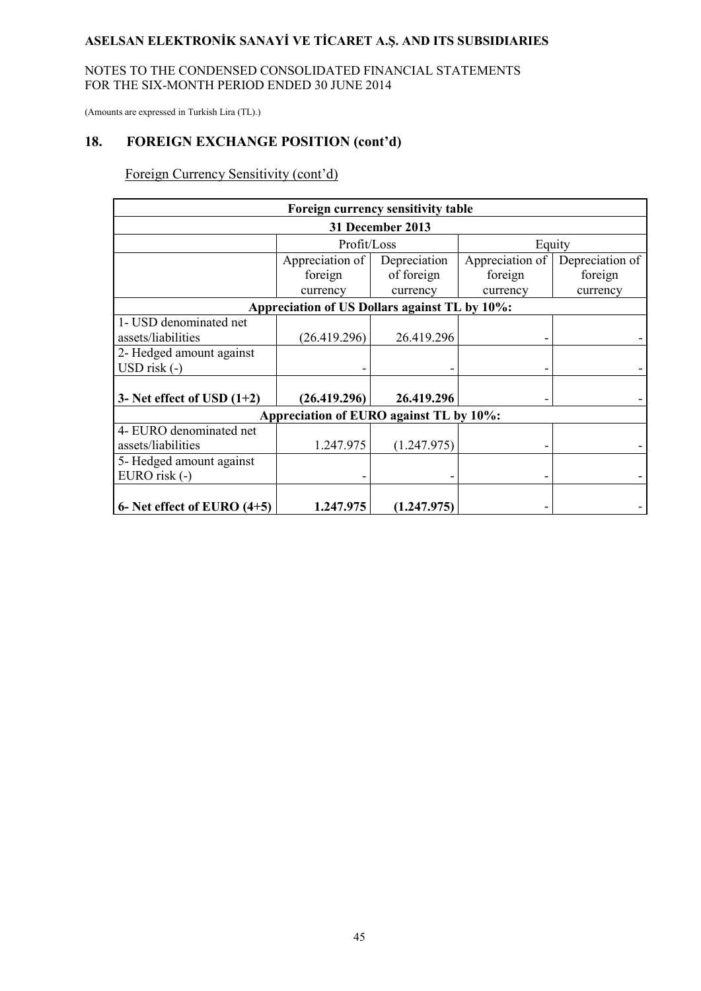#### NOTES TO THE CONDENSED CONSOLIDATED FINANCIAL STATEMENTS FOR THE SIX-MONTH PERIOD ENDED 30 JUNE 2014

(Amounts are expressed in Turkish Lira (TL).)

# **18. FOREIGN EXCHANGE POSITION (cont'd)**

Foreign Currency Sensitivity (cont'd)

| Foreign currency sensitivity table      |                                               |              |                 |                 |  |  |  |
|-----------------------------------------|-----------------------------------------------|--------------|-----------------|-----------------|--|--|--|
| 31 December 2013                        |                                               |              |                 |                 |  |  |  |
|                                         | Profit/Loss                                   |              | Equity          |                 |  |  |  |
|                                         | Appreciation of                               | Depreciation | Appreciation of | Depreciation of |  |  |  |
|                                         | foreign                                       | of foreign   | foreign         | foreign         |  |  |  |
|                                         | currency                                      | currency     | currency        | currency        |  |  |  |
|                                         | Appreciation of US Dollars against TL by 10%: |              |                 |                 |  |  |  |
| 1- USD denominated net                  |                                               |              |                 |                 |  |  |  |
| assets/liabilities                      | (26.419.296)                                  | 26.419.296   |                 |                 |  |  |  |
| 2- Hedged amount against                |                                               |              |                 |                 |  |  |  |
| USD risk (-)                            |                                               |              |                 |                 |  |  |  |
|                                         |                                               |              |                 |                 |  |  |  |
| 3- Net effect of USD $(1+2)$            | (26.419.296)                                  | 26.419.296   |                 |                 |  |  |  |
| Appreciation of EURO against TL by 10%: |                                               |              |                 |                 |  |  |  |
| 4- EURO denominated net                 |                                               |              |                 |                 |  |  |  |
| assets/liabilities                      | 1.247.975                                     | (1.247.975)  |                 |                 |  |  |  |
| 5- Hedged amount against                |                                               |              |                 |                 |  |  |  |
| EURO risk (-)                           |                                               |              |                 |                 |  |  |  |
| 6- Net effect of EURO $(4+5)$           | 1.247.975                                     | (1.247.975)  |                 |                 |  |  |  |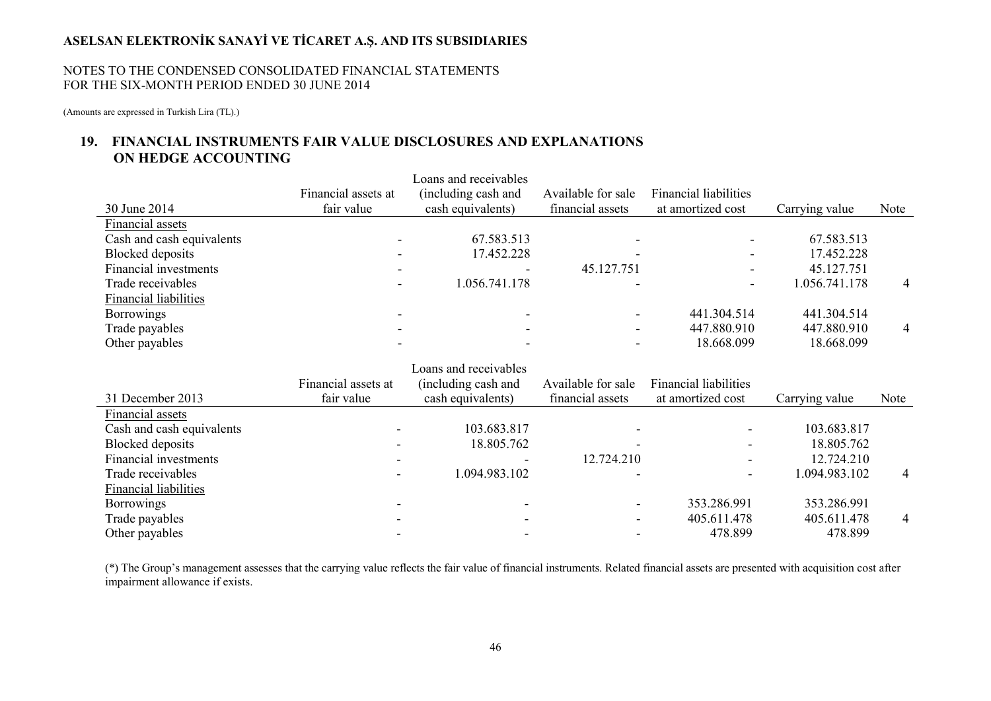#### NOTES TO THE CONDENSED CONSOLIDATED FINANCIAL STATEMENTS FOR THE SIX-MONTH PERIOD ENDED 30 JUNE 2014

(Amounts are expressed in Turkish Lira (TL).)

## **19. FINANCIAL INSTRUMENTS FAIR VALUE DISCLOSURES AND EXPLANATIONS ON HEDGE ACCOUNTING**

| 30 June 2014                 | Financial assets at<br>fair value | Loans and receivables<br>(including cash and<br>cash equivalents) | Available for sale<br>financial assets | <b>Financial liabilities</b><br>at amortized cost | Carrying value         | Note |
|------------------------------|-----------------------------------|-------------------------------------------------------------------|----------------------------------------|---------------------------------------------------|------------------------|------|
| Financial assets             |                                   |                                                                   |                                        |                                                   |                        |      |
| Cash and cash equivalents    |                                   | 67.583.513                                                        |                                        |                                                   | 67.583.513             |      |
| <b>Blocked</b> deposits      |                                   | 17.452.228                                                        |                                        |                                                   | 17.452.228             |      |
| Financial investments        |                                   |                                                                   | 45.127.751                             |                                                   | 45.127.751             |      |
| Trade receivables            |                                   | 1.056.741.178                                                     |                                        |                                                   | 1.056.741.178          | 4    |
| Financial liabilities        |                                   |                                                                   |                                        |                                                   |                        |      |
| <b>Borrowings</b>            |                                   |                                                                   |                                        | 441.304.514                                       | 441.304.514            |      |
| Trade payables               |                                   |                                                                   |                                        | 447.880.910                                       | 447.880.910            | 4    |
| Other payables               |                                   |                                                                   |                                        | 18.668.099                                        | 18.668.099             |      |
|                              |                                   | Loans and receivables                                             |                                        |                                                   |                        |      |
|                              | Financial assets at               | (including cash and                                               |                                        |                                                   |                        |      |
|                              |                                   |                                                                   | Available for sale                     | <b>Financial liabilities</b>                      |                        |      |
| 31 December 2013             | fair value                        | cash equivalents)                                                 | financial assets                       | at amortized cost                                 | Carrying value         | Note |
| Financial assets             |                                   |                                                                   |                                        |                                                   |                        |      |
| Cash and cash equivalents    |                                   | 103.683.817                                                       |                                        |                                                   | 103.683.817            |      |
| <b>Blocked</b> deposits      |                                   | 18.805.762                                                        |                                        |                                                   | 18.805.762             |      |
| Financial investments        |                                   |                                                                   | 12.724.210                             |                                                   | 12.724.210             |      |
| Trade receivables            |                                   | 1.094.983.102                                                     |                                        |                                                   | 1.094.983.102          | 4    |
| <b>Financial liabilities</b> |                                   |                                                                   |                                        |                                                   |                        |      |
| <b>Borrowings</b>            |                                   |                                                                   |                                        | 353.286.991                                       | 353.286.991            |      |
| Trade payables               |                                   |                                                                   |                                        | 405.611.478<br>478.899                            | 405.611.478<br>478.899 | 4    |

(\*) The Group's management assesses that the carrying value reflects the fair value of financial instruments. Related financial assets are presented with acquisition cost after impairment allowance if exists.